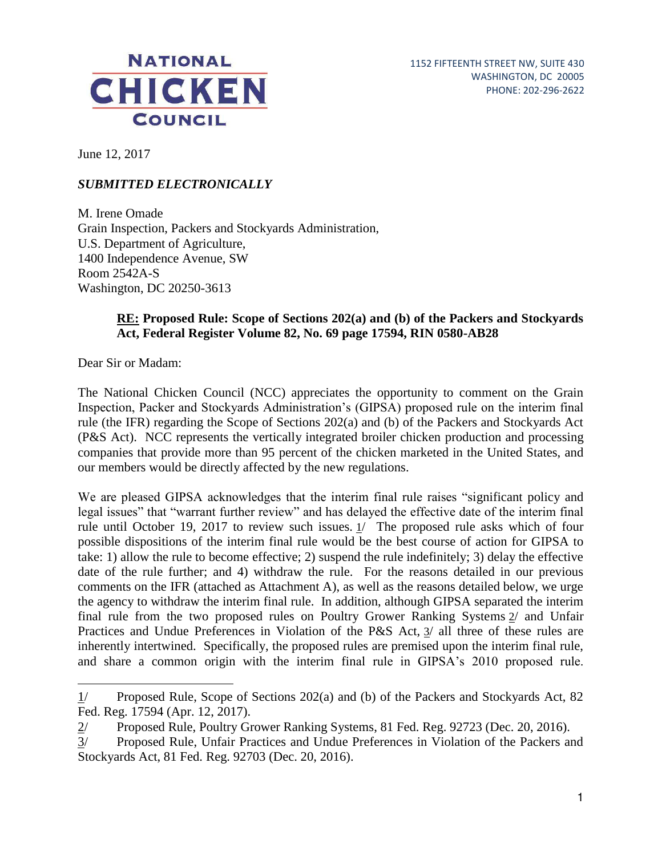

June 12, 2017

## *SUBMITTED ELECTRONICALLY*

M. Irene Omade Grain Inspection, Packers and Stockyards Administration, U.S. Department of Agriculture, 1400 Independence Avenue, SW Room 2542A-S Washington, DC 20250-3613

### **RE: Proposed Rule: Scope of Sections 202(a) and (b) of the Packers and Stockyards Act, Federal Register Volume 82, No. 69 page 17594, RIN 0580-AB28**

Dear Sir or Madam:

 $\overline{a}$ 

The National Chicken Council (NCC) appreciates the opportunity to comment on the Grain Inspection, Packer and Stockyards Administration's (GIPSA) proposed rule on the interim final rule (the IFR) regarding the Scope of Sections 202(a) and (b) of the Packers and Stockyards Act (P&S Act). NCC represents the vertically integrated broiler chicken production and processing companies that provide more than 95 percent of the chicken marketed in the United States, and our members would be directly affected by the new regulations.

We are pleased GIPSA acknowledges that the interim final rule raises "significant policy and legal issues" that "warrant further review" and has delayed the effective date of the interim final rule until October 19, 2017 to review such issues. 1/ The proposed rule asks which of four possible dispositions of the interim final rule would be the best course of action for GIPSA to take: 1) allow the rule to become effective; 2) suspend the rule indefinitely; 3) delay the effective date of the rule further; and 4) withdraw the rule. For the reasons detailed in our previous comments on the IFR (attached as Attachment A), as well as the reasons detailed below, we urge the agency to withdraw the interim final rule. In addition, although GIPSA separated the interim final rule from the two proposed rules on Poultry Grower Ranking Systems 2/ and Unfair Practices and Undue Preferences in Violation of the P&S Act, 3/ all three of these rules are inherently intertwined. Specifically, the proposed rules are premised upon the interim final rule, and share a common origin with the interim final rule in GIPSA's 2010 proposed rule.

<sup>1/</sup> Proposed Rule, Scope of Sections 202(a) and (b) of the Packers and Stockyards Act, 82 Fed. Reg. 17594 (Apr. 12, 2017).

 $\frac{2}{10}$  Proposed Rule, Poultry Grower Ranking Systems, 81 Fed. Reg. 92723 (Dec. 20, 2016).<br>3/ Proposed Rule, Unfair Practices and Undue Preferences in Violation of the Packers and Proposed Rule, Unfair Practices and Undue Preferences in Violation of the Packers and Stockyards Act, 81 Fed. Reg. 92703 (Dec. 20, 2016).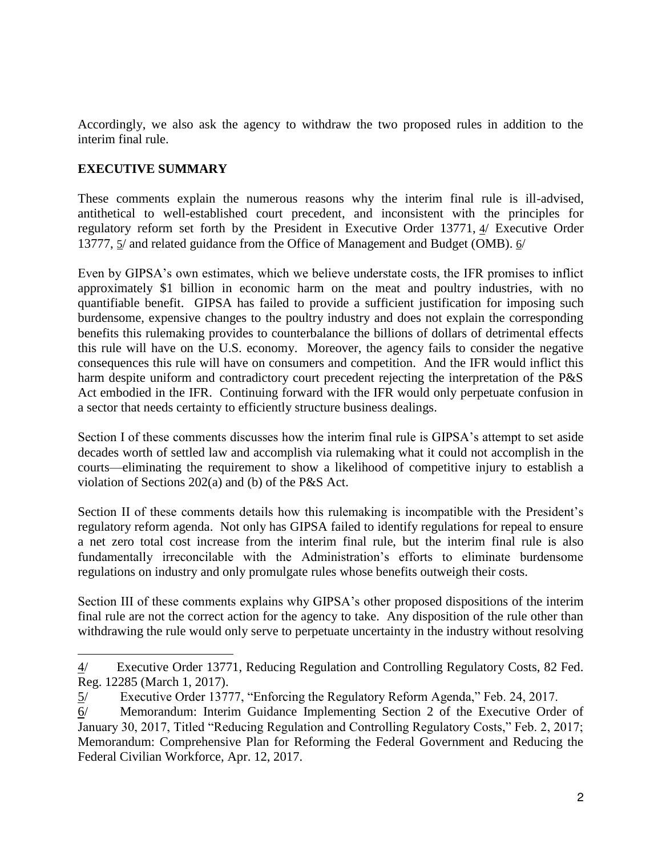Accordingly, we also ask the agency to withdraw the two proposed rules in addition to the interim final rule.

## **EXECUTIVE SUMMARY**

 $\ddot{ }$ 

These comments explain the numerous reasons why the interim final rule is ill-advised, antithetical to well-established court precedent, and inconsistent with the principles for regulatory reform set forth by the President in Executive Order 13771, 4/ Executive Order 13777, 5/ and related guidance from the Office of Management and Budget (OMB). 6/

Even by GIPSA's own estimates, which we believe understate costs, the IFR promises to inflict approximately \$1 billion in economic harm on the meat and poultry industries, with no quantifiable benefit. GIPSA has failed to provide a sufficient justification for imposing such burdensome, expensive changes to the poultry industry and does not explain the corresponding benefits this rulemaking provides to counterbalance the billions of dollars of detrimental effects this rule will have on the U.S. economy. Moreover, the agency fails to consider the negative consequences this rule will have on consumers and competition. And the IFR would inflict this harm despite uniform and contradictory court precedent rejecting the interpretation of the P&S Act embodied in the IFR. Continuing forward with the IFR would only perpetuate confusion in a sector that needs certainty to efficiently structure business dealings.

Section I of these comments discusses how the interim final rule is GIPSA's attempt to set aside decades worth of settled law and accomplish via rulemaking what it could not accomplish in the courts—eliminating the requirement to show a likelihood of competitive injury to establish a violation of Sections 202(a) and (b) of the P&S Act.

Section II of these comments details how this rulemaking is incompatible with the President's regulatory reform agenda. Not only has GIPSA failed to identify regulations for repeal to ensure a net zero total cost increase from the interim final rule, but the interim final rule is also fundamentally irreconcilable with the Administration's efforts to eliminate burdensome regulations on industry and only promulgate rules whose benefits outweigh their costs.

Section III of these comments explains why GIPSA's other proposed dispositions of the interim final rule are not the correct action for the agency to take. Any disposition of the rule other than withdrawing the rule would only serve to perpetuate uncertainty in the industry without resolving

<sup>4/</sup> Executive Order 13771, Reducing Regulation and Controlling Regulatory Costs, 82 Fed. Reg. 12285 (March 1, 2017).

<sup>5/</sup> Executive Order 13777, "Enforcing the Regulatory Reform Agenda," Feb. 24, 2017.

<sup>6/</sup> Memorandum: Interim Guidance Implementing Section 2 of the Executive Order of January 30, 2017, Titled "Reducing Regulation and Controlling Regulatory Costs," Feb. 2, 2017; Memorandum: Comprehensive Plan for Reforming the Federal Government and Reducing the Federal Civilian Workforce, Apr. 12, 2017.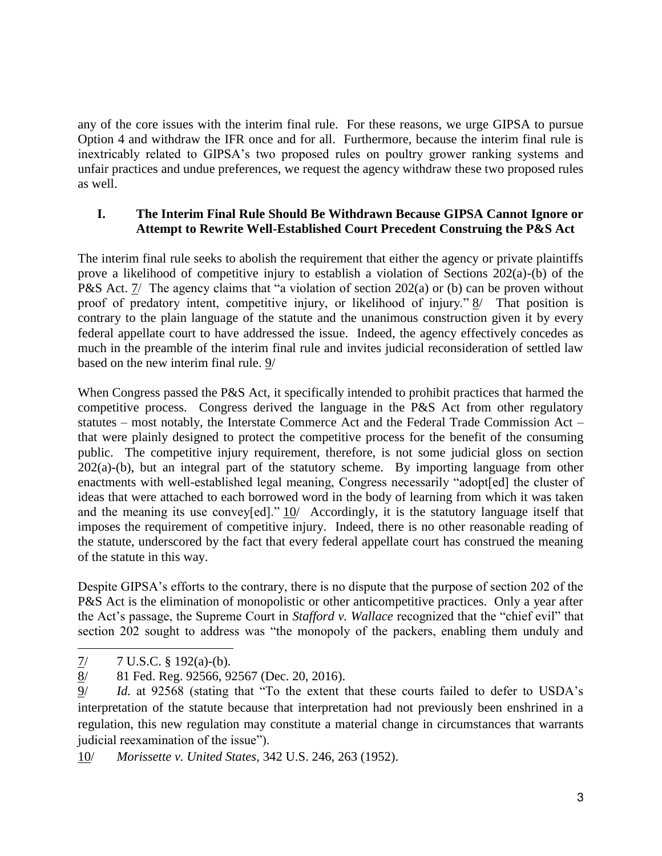any of the core issues with the interim final rule. For these reasons, we urge GIPSA to pursue Option 4 and withdraw the IFR once and for all. Furthermore, because the interim final rule is inextricably related to GIPSA's two proposed rules on poultry grower ranking systems and unfair practices and undue preferences, we request the agency withdraw these two proposed rules as well.

## **I. The Interim Final Rule Should Be Withdrawn Because GIPSA Cannot Ignore or Attempt to Rewrite Well-Established Court Precedent Construing the P&S Act**

The interim final rule seeks to abolish the requirement that either the agency or private plaintiffs prove a likelihood of competitive injury to establish a violation of Sections 202(a)-(b) of the P&S Act. 7/ The agency claims that "a violation of section 202(a) or (b) can be proven without proof of predatory intent, competitive injury, or likelihood of injury."  $\frac{8}{10}$  That position is contrary to the plain language of the statute and the unanimous construction given it by every federal appellate court to have addressed the issue. Indeed, the agency effectively concedes as much in the preamble of the interim final rule and invites judicial reconsideration of settled law based on the new interim final rule. 9/

When Congress passed the P&S Act, it specifically intended to prohibit practices that harmed the competitive process. Congress derived the language in the P&S Act from other regulatory statutes – most notably, the Interstate Commerce Act and the Federal Trade Commission Act – that were plainly designed to protect the competitive process for the benefit of the consuming public. The competitive injury requirement, therefore, is not some judicial gloss on section  $202(a)$ -(b), but an integral part of the statutory scheme. By importing language from other enactments with well-established legal meaning, Congress necessarily "adopt[ed] the cluster of ideas that were attached to each borrowed word in the body of learning from which it was taken and the meaning its use convey[ed]."  $10/$  Accordingly, it is the statutory language itself that imposes the requirement of competitive injury. Indeed, there is no other reasonable reading of the statute, underscored by the fact that every federal appellate court has construed the meaning of the statute in this way.

Despite GIPSA's efforts to the contrary, there is no dispute that the purpose of section 202 of the P&S Act is the elimination of monopolistic or other anticompetitive practices. Only a year after the Act's passage, the Supreme Court in *Stafford v. Wallace* recognized that the "chief evil" that section 202 sought to address was "the monopoly of the packers, enabling them unduly and

 $7/7$  U.S.C. § 192(a)-(b).

<sup>8/ 81</sup> Fed. Reg. 92566, 92567 (Dec. 20, 2016).

<sup>9/</sup> *Id.* at 92568 (stating that "To the extent that these courts failed to defer to USDA's interpretation of the statute because that interpretation had not previously been enshrined in a regulation, this new regulation may constitute a material change in circumstances that warrants judicial reexamination of the issue").

<sup>10/</sup> *Morissette v. United States,* 342 U.S. 246, 263 (1952).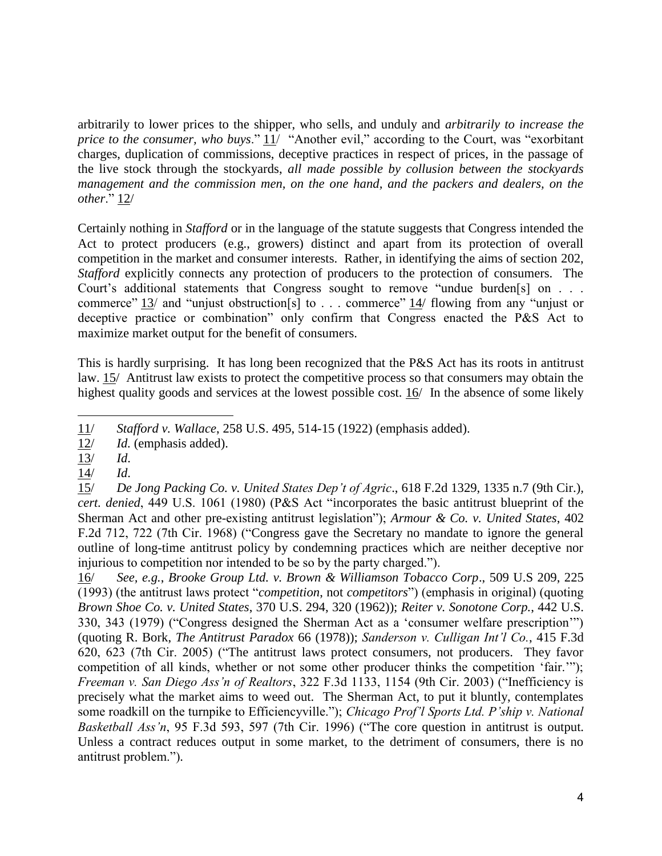arbitrarily to lower prices to the shipper, who sells, and unduly and *arbitrarily to increase the price to the consumer, who buys*." 11/ "Another evil," according to the Court, was "exorbitant charges, duplication of commissions, deceptive practices in respect of prices, in the passage of the live stock through the stockyards, *all made possible by collusion between the stockyards management and the commission men, on the one hand, and the packers and dealers, on the other*." 12/

Certainly nothing in *Stafford* or in the language of the statute suggests that Congress intended the Act to protect producers (e.g., growers) distinct and apart from its protection of overall competition in the market and consumer interests. Rather, in identifying the aims of section 202, *Stafford* explicitly connects any protection of producers to the protection of consumers. The Court's additional statements that Congress sought to remove "undue burden[s] on . . . commerce" 13/ and "unjust obstruction[s] to . . . commerce"  $\frac{14}{1}$  flowing from any "unjust or deceptive practice or combination" only confirm that Congress enacted the P&S Act to maximize market output for the benefit of consumers.

This is hardly surprising. It has long been recognized that the P&S Act has its roots in antitrust law. 15/ Antitrust law exists to protect the competitive process so that consumers may obtain the highest quality goods and services at the lowest possible cost. 16/ In the absence of some likely

16/ *See, e.g.*, *Brooke Group Ltd. v. Brown & Williamson Tobacco Corp*., 509 U.S 209, 225 (1993) (the antitrust laws protect "*competition*, not *competitors*") (emphasis in original) (quoting *Brown Shoe Co. v. United States*, 370 U.S. 294, 320 (1962)); *Reiter v. Sonotone Corp.*, 442 U.S. 330, 343 (1979) ("Congress designed the Sherman Act as a 'consumer welfare prescription'") (quoting R. Bork, *The Antitrust Paradox* 66 (1978)); *Sanderson v. Culligan Int'l Co.*, 415 F.3d 620, 623 (7th Cir. 2005) ("The antitrust laws protect consumers, not producers. They favor competition of all kinds, whether or not some other producer thinks the competition 'fair.'"); *Freeman v. San Diego Ass'n of Realtors*, 322 F.3d 1133, 1154 (9th Cir. 2003) ("Inefficiency is precisely what the market aims to weed out. The Sherman Act, to put it bluntly, contemplates some roadkill on the turnpike to Efficiencyville."); *Chicago Prof'l Sports Ltd. P'ship v. National Basketball Ass'n*, 95 F.3d 593, 597 (7th Cir. 1996) ("The core question in antitrust is output. Unless a contract reduces output in some market, to the detriment of consumers, there is no antitrust problem.").

 $\overline{a}$ 11/ *Stafford v. Wallace*, 258 U.S. 495, 514-15 (1922) (emphasis added).

<sup>12/</sup> *Id.* (emphasis added).

<sup>13/</sup> *Id*.

<sup>14/</sup> *Id*.

<sup>15/</sup> *De Jong Packing Co. v. United States Dep't of Agric*., 618 F.2d 1329, 1335 n.7 (9th Cir.)*, cert. denied*, 449 U.S. 1061 (1980) (P&S Act "incorporates the basic antitrust blueprint of the Sherman Act and other pre-existing antitrust legislation"); *Armour & Co. v. United States*, 402 F.2d 712, 722 (7th Cir. 1968) ("Congress gave the Secretary no mandate to ignore the general outline of long-time antitrust policy by condemning practices which are neither deceptive nor injurious to competition nor intended to be so by the party charged.").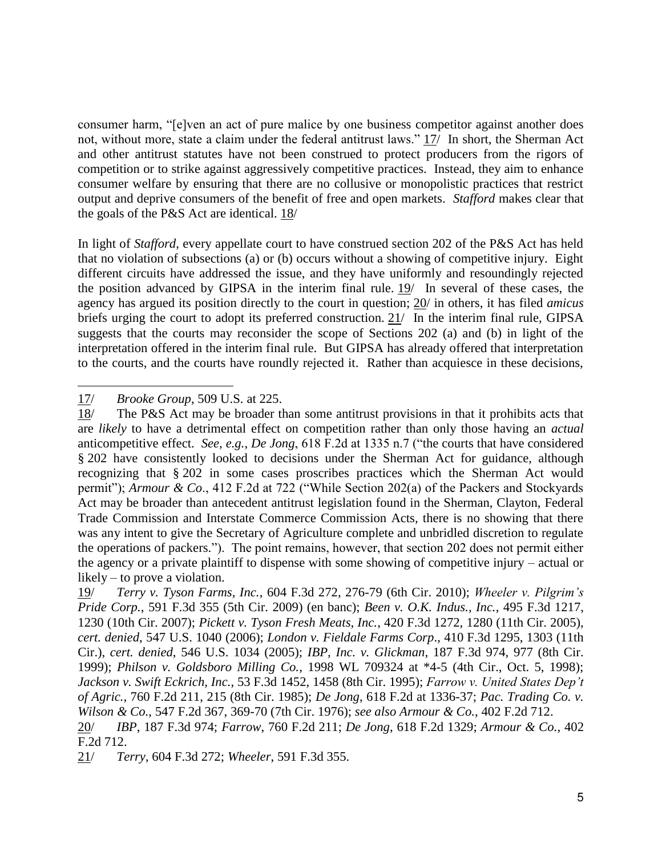consumer harm, "[e]ven an act of pure malice by one business competitor against another does not, without more, state a claim under the federal antitrust laws." 17/ In short, the Sherman Act and other antitrust statutes have not been construed to protect producers from the rigors of competition or to strike against aggressively competitive practices. Instead, they aim to enhance consumer welfare by ensuring that there are no collusive or monopolistic practices that restrict output and deprive consumers of the benefit of free and open markets. *Stafford* makes clear that the goals of the P&S Act are identical. 18/

In light of *Stafford*, every appellate court to have construed section 202 of the P&S Act has held that no violation of subsections (a) or (b) occurs without a showing of competitive injury. Eight different circuits have addressed the issue, and they have uniformly and resoundingly rejected the position advanced by GIPSA in the interim final rule. 19/ In several of these cases, the agency has argued its position directly to the court in question; 20/ in others, it has filed *amicus* briefs urging the court to adopt its preferred construction. 21/ In the interim final rule, GIPSA suggests that the courts may reconsider the scope of Sections 202 (a) and (b) in light of the interpretation offered in the interim final rule. But GIPSA has already offered that interpretation to the courts, and the courts have roundly rejected it. Rather than acquiesce in these decisions,

 $\ddot{ }$ 17/ *Brooke Group*, 509 U.S. at 225.

<sup>18/</sup> The P&S Act may be broader than some antitrust provisions in that it prohibits acts that are *likely* to have a detrimental effect on competition rather than only those having an *actual* anticompetitive effect. *See, e.g.*, *De Jong*, 618 F.2d at 1335 n.7 ("the courts that have considered § 202 have consistently looked to decisions under the Sherman Act for guidance, although recognizing that § 202 in some cases proscribes practices which the Sherman Act would permit"); *Armour & Co*., 412 F.2d at 722 ("While Section 202(a) of the Packers and Stockyards Act may be broader than antecedent antitrust legislation found in the Sherman, Clayton, Federal Trade Commission and Interstate Commerce Commission Acts, there is no showing that there was any intent to give the Secretary of Agriculture complete and unbridled discretion to regulate the operations of packers."). The point remains, however, that section 202 does not permit either the agency or a private plaintiff to dispense with some showing of competitive injury – actual or likely – to prove a violation.

<sup>19/</sup> *Terry v. Tyson Farms, Inc.*, 604 F.3d 272, 276-79 (6th Cir. 2010); *Wheeler v. Pilgrim's Pride Corp.*, 591 F.3d 355 (5th Cir. 2009) (en banc); *Been v. O.K. Indus., Inc.*, 495 F.3d 1217, 1230 (10th Cir. 2007); *Pickett v. Tyson Fresh Meats, Inc.*, 420 F.3d 1272, 1280 (11th Cir. 2005), *cert. denied*, 547 U.S. 1040 (2006); *London v. Fieldale Farms Corp*., 410 F.3d 1295, 1303 (11th Cir.), *cert. denied*, 546 U.S. 1034 (2005); *IBP, Inc. v. Glickman*, 187 F.3d 974, 977 (8th Cir. 1999); *Philson v. Goldsboro Milling Co.*, 1998 WL 709324 at \*4-5 (4th Cir., Oct. 5, 1998); *Jackson v. Swift Eckrich, Inc.*, 53 F.3d 1452, 1458 (8th Cir. 1995); *Farrow v. United States Dep't of Agric.*, 760 F.2d 211, 215 (8th Cir. 1985); *De Jong*, 618 F.2d at 1336-37; *Pac. Trading Co. v. Wilson & Co.*, 547 F.2d 367, 369-70 (7th Cir. 1976); *see also Armour & Co.*, 402 F.2d 712. 20/ *IBP*, 187 F.3d 974; *Farrow*, 760 F.2d 211; *De Jong*, 618 F.2d 1329; *Armour & Co.*, 402 F.2d 712.

<sup>21/</sup> *Terry*, 604 F.3d 272; *Wheeler*, 591 F.3d 355.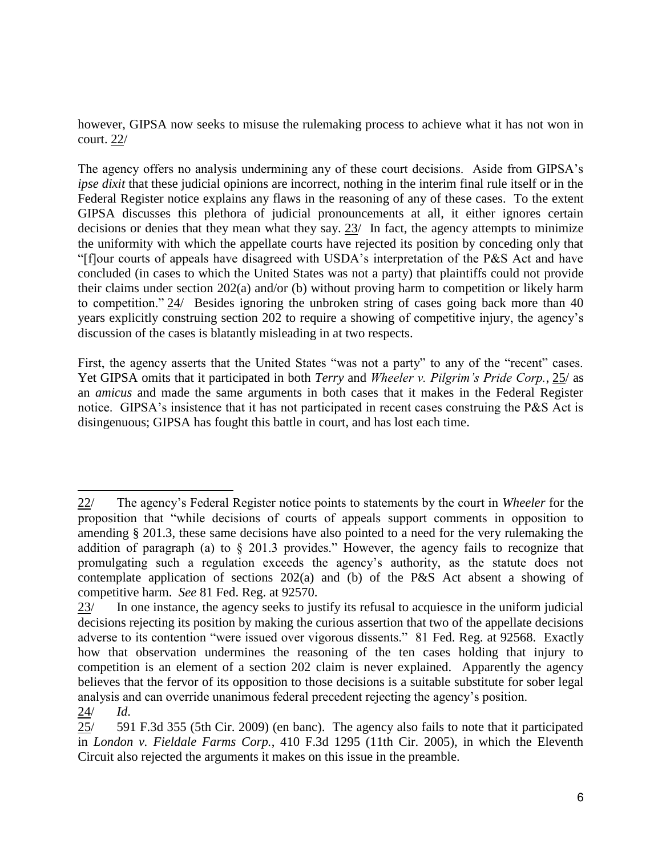however, GIPSA now seeks to misuse the rulemaking process to achieve what it has not won in court. 22/

The agency offers no analysis undermining any of these court decisions. Aside from GIPSA's *ipse dixit* that these judicial opinions are incorrect, nothing in the interim final rule itself or in the Federal Register notice explains any flaws in the reasoning of any of these cases. To the extent GIPSA discusses this plethora of judicial pronouncements at all, it either ignores certain decisions or denies that they mean what they say. 23/ In fact, the agency attempts to minimize the uniformity with which the appellate courts have rejected its position by conceding only that "[f]our courts of appeals have disagreed with USDA's interpretation of the P&S Act and have concluded (in cases to which the United States was not a party) that plaintiffs could not provide their claims under section 202(a) and/or (b) without proving harm to competition or likely harm to competition." 24/ Besides ignoring the unbroken string of cases going back more than 40 years explicitly construing section 202 to require a showing of competitive injury, the agency's discussion of the cases is blatantly misleading in at two respects.

First, the agency asserts that the United States "was not a party" to any of the "recent" cases. Yet GIPSA omits that it participated in both *Terry* and *Wheeler v. Pilgrim's Pride Corp.*, 25/ as an *amicus* and made the same arguments in both cases that it makes in the Federal Register notice. GIPSA's insistence that it has not participated in recent cases construing the P&S Act is disingenuous; GIPSA has fought this battle in court, and has lost each time.

 $\ddot{ }$ 22/ The agency's Federal Register notice points to statements by the court in *Wheeler* for the proposition that "while decisions of courts of appeals support comments in opposition to amending § 201.3, these same decisions have also pointed to a need for the very rulemaking the addition of paragraph (a) to § 201.3 provides." However, the agency fails to recognize that promulgating such a regulation exceeds the agency's authority, as the statute does not contemplate application of sections 202(a) and (b) of the P&S Act absent a showing of competitive harm. *See* 81 Fed. Reg. at 92570.

<sup>23/</sup> In one instance, the agency seeks to justify its refusal to acquiesce in the uniform judicial decisions rejecting its position by making the curious assertion that two of the appellate decisions adverse to its contention "were issued over vigorous dissents." 81 Fed. Reg. at 92568. Exactly how that observation undermines the reasoning of the ten cases holding that injury to competition is an element of a section 202 claim is never explained. Apparently the agency believes that the fervor of its opposition to those decisions is a suitable substitute for sober legal analysis and can override unanimous federal precedent rejecting the agency's position. 24/ *Id*.

 $25/$  591 F.3d 355 (5th Cir. 2009) (en banc). The agency also fails to note that it participated in *London v. Fieldale Farms Corp.*, 410 F.3d 1295 (11th Cir. 2005), in which the Eleventh Circuit also rejected the arguments it makes on this issue in the preamble.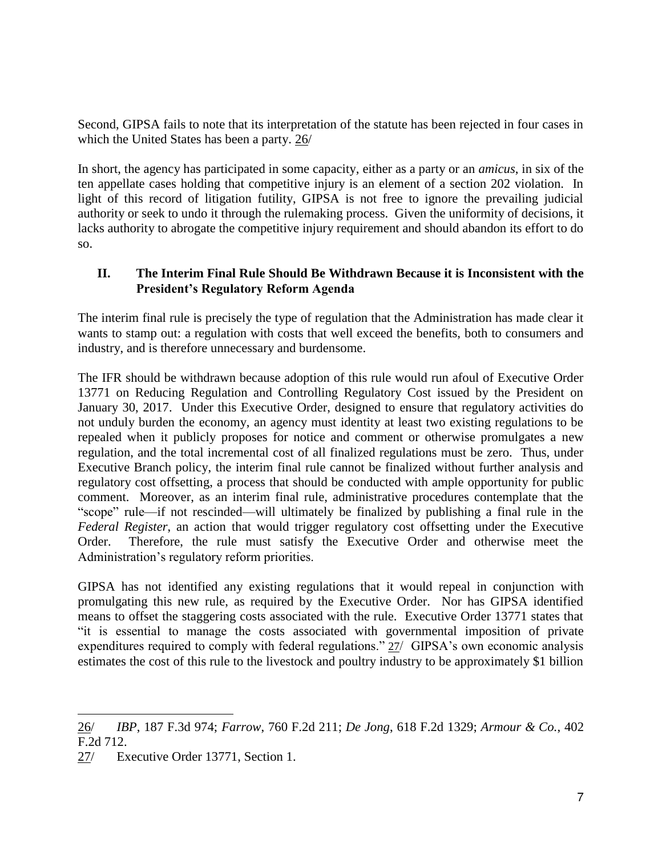Second, GIPSA fails to note that its interpretation of the statute has been rejected in four cases in which the United States has been a party. 26/

In short, the agency has participated in some capacity, either as a party or an *amicus*, in six of the ten appellate cases holding that competitive injury is an element of a section 202 violation. In light of this record of litigation futility, GIPSA is not free to ignore the prevailing judicial authority or seek to undo it through the rulemaking process. Given the uniformity of decisions, it lacks authority to abrogate the competitive injury requirement and should abandon its effort to do so.

## **II. The Interim Final Rule Should Be Withdrawn Because it is Inconsistent with the President's Regulatory Reform Agenda**

The interim final rule is precisely the type of regulation that the Administration has made clear it wants to stamp out: a regulation with costs that well exceed the benefits, both to consumers and industry, and is therefore unnecessary and burdensome.

The IFR should be withdrawn because adoption of this rule would run afoul of Executive Order 13771 on Reducing Regulation and Controlling Regulatory Cost issued by the President on January 30, 2017. Under this Executive Order, designed to ensure that regulatory activities do not unduly burden the economy, an agency must identity at least two existing regulations to be repealed when it publicly proposes for notice and comment or otherwise promulgates a new regulation, and the total incremental cost of all finalized regulations must be zero. Thus, under Executive Branch policy, the interim final rule cannot be finalized without further analysis and regulatory cost offsetting, a process that should be conducted with ample opportunity for public comment. Moreover, as an interim final rule, administrative procedures contemplate that the "scope" rule—if not rescinded—will ultimately be finalized by publishing a final rule in the *Federal Register*, an action that would trigger regulatory cost offsetting under the Executive Order. Therefore, the rule must satisfy the Executive Order and otherwise meet the Administration's regulatory reform priorities.

GIPSA has not identified any existing regulations that it would repeal in conjunction with promulgating this new rule, as required by the Executive Order. Nor has GIPSA identified means to offset the staggering costs associated with the rule. Executive Order 13771 states that "it is essential to manage the costs associated with governmental imposition of private expenditures required to comply with federal regulations." 27/ GIPSA's own economic analysis estimates the cost of this rule to the livestock and poultry industry to be approximately \$1 billion

<sup>26/</sup> *IBP*, 187 F.3d 974; *Farrow*, 760 F.2d 211; *De Jong*, 618 F.2d 1329; *Armour & Co.*, 402 F.2d 712.

<sup>27/</sup> Executive Order 13771, Section 1.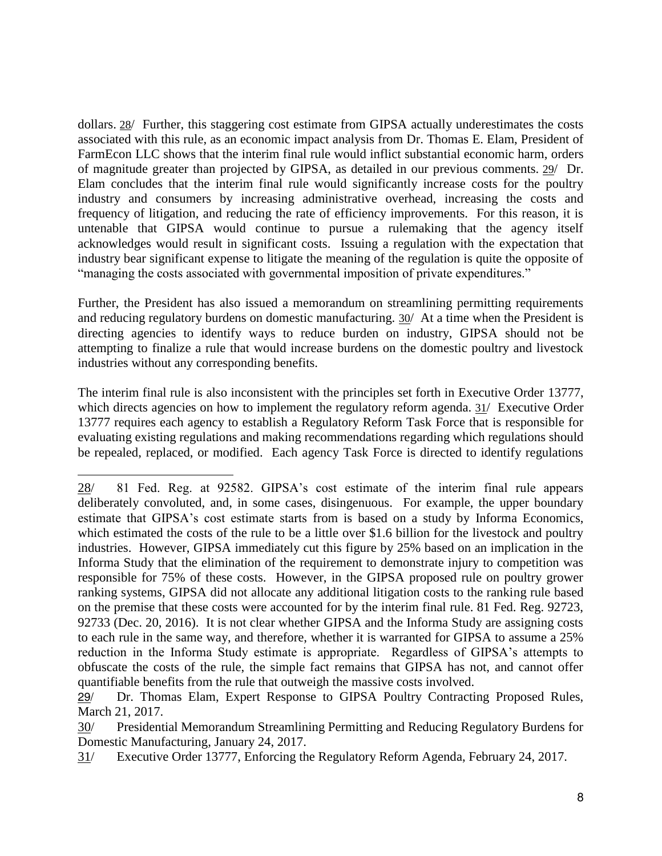dollars. 28/ Further, this staggering cost estimate from GIPSA actually underestimates the costs associated with this rule, as an economic impact analysis from Dr. Thomas E. Elam, President of FarmEcon LLC shows that the interim final rule would inflict substantial economic harm, orders of magnitude greater than projected by GIPSA, as detailed in our previous comments. 29/ Dr. Elam concludes that the interim final rule would significantly increase costs for the poultry industry and consumers by increasing administrative overhead, increasing the costs and frequency of litigation, and reducing the rate of efficiency improvements. For this reason, it is untenable that GIPSA would continue to pursue a rulemaking that the agency itself acknowledges would result in significant costs. Issuing a regulation with the expectation that industry bear significant expense to litigate the meaning of the regulation is quite the opposite of "managing the costs associated with governmental imposition of private expenditures."

Further, the President has also issued a memorandum on streamlining permitting requirements and reducing regulatory burdens on domestic manufacturing. 30/ At a time when the President is directing agencies to identify ways to reduce burden on industry, GIPSA should not be attempting to finalize a rule that would increase burdens on the domestic poultry and livestock industries without any corresponding benefits.

The interim final rule is also inconsistent with the principles set forth in Executive Order 13777, which directs agencies on how to implement the regulatory reform agenda. 31/ Executive Order 13777 requires each agency to establish a Regulatory Reform Task Force that is responsible for evaluating existing regulations and making recommendations regarding which regulations should be repealed, replaced, or modified. Each agency Task Force is directed to identify regulations

<sup>28/</sup> 81 Fed. Reg. at 92582. GIPSA's cost estimate of the interim final rule appears deliberately convoluted, and, in some cases, disingenuous. For example, the upper boundary estimate that GIPSA's cost estimate starts from is based on a study by Informa Economics, which estimated the costs of the rule to be a little over \$1.6 billion for the livestock and poultry industries. However, GIPSA immediately cut this figure by 25% based on an implication in the Informa Study that the elimination of the requirement to demonstrate injury to competition was responsible for 75% of these costs. However, in the GIPSA proposed rule on poultry grower ranking systems, GIPSA did not allocate any additional litigation costs to the ranking rule based on the premise that these costs were accounted for by the interim final rule. 81 Fed. Reg. 92723, 92733 (Dec. 20, 2016). It is not clear whether GIPSA and the Informa Study are assigning costs to each rule in the same way, and therefore, whether it is warranted for GIPSA to assume a 25% reduction in the Informa Study estimate is appropriate. Regardless of GIPSA's attempts to obfuscate the costs of the rule, the simple fact remains that GIPSA has not, and cannot offer quantifiable benefits from the rule that outweigh the massive costs involved.

<sup>29/</sup> Dr. Thomas Elam, Expert Response to GIPSA Poultry Contracting Proposed Rules, March 21, 2017.

<sup>30/</sup> Presidential Memorandum Streamlining Permitting and Reducing Regulatory Burdens for Domestic Manufacturing, January 24, 2017.

<sup>31/</sup> Executive Order 13777, Enforcing the Regulatory Reform Agenda, February 24, 2017.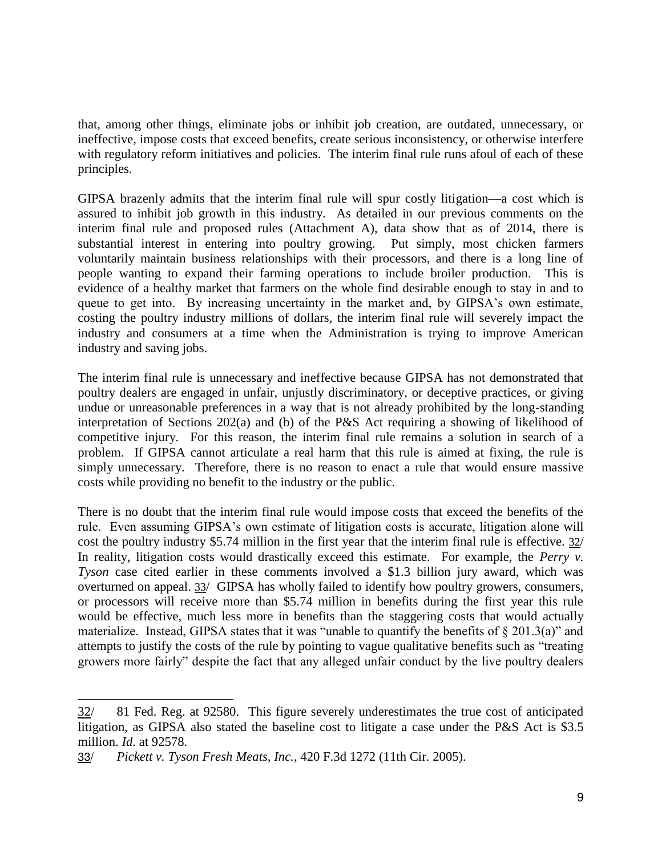that, among other things, eliminate jobs or inhibit job creation, are outdated, unnecessary, or ineffective, impose costs that exceed benefits, create serious inconsistency, or otherwise interfere with regulatory reform initiatives and policies. The interim final rule runs afoul of each of these principles.

GIPSA brazenly admits that the interim final rule will spur costly litigation—a cost which is assured to inhibit job growth in this industry. As detailed in our previous comments on the interim final rule and proposed rules (Attachment A), data show that as of 2014, there is substantial interest in entering into poultry growing. Put simply, most chicken farmers voluntarily maintain business relationships with their processors, and there is a long line of people wanting to expand their farming operations to include broiler production. This is evidence of a healthy market that farmers on the whole find desirable enough to stay in and to queue to get into. By increasing uncertainty in the market and, by GIPSA's own estimate, costing the poultry industry millions of dollars, the interim final rule will severely impact the industry and consumers at a time when the Administration is trying to improve American industry and saving jobs.

The interim final rule is unnecessary and ineffective because GIPSA has not demonstrated that poultry dealers are engaged in unfair, unjustly discriminatory, or deceptive practices, or giving undue or unreasonable preferences in a way that is not already prohibited by the long-standing interpretation of Sections 202(a) and (b) of the P&S Act requiring a showing of likelihood of competitive injury. For this reason, the interim final rule remains a solution in search of a problem. If GIPSA cannot articulate a real harm that this rule is aimed at fixing, the rule is simply unnecessary. Therefore, there is no reason to enact a rule that would ensure massive costs while providing no benefit to the industry or the public.

There is no doubt that the interim final rule would impose costs that exceed the benefits of the rule. Even assuming GIPSA's own estimate of litigation costs is accurate, litigation alone will cost the poultry industry \$5.74 million in the first year that the interim final rule is effective. 32/ In reality, litigation costs would drastically exceed this estimate. For example, the *Perry v. Tyson* case cited earlier in these comments involved a \$1.3 billion jury award, which was overturned on appeal. 33/ GIPSA has wholly failed to identify how poultry growers, consumers, or processors will receive more than \$5.74 million in benefits during the first year this rule would be effective, much less more in benefits than the staggering costs that would actually materialize. Instead, GIPSA states that it was "unable to quantify the benefits of  $\S 201.3(a)$ " and attempts to justify the costs of the rule by pointing to vague qualitative benefits such as "treating growers more fairly" despite the fact that any alleged unfair conduct by the live poultry dealers

<sup>32/ 81</sup> Fed. Reg. at 92580. This figure severely underestimates the true cost of anticipated litigation, as GIPSA also stated the baseline cost to litigate a case under the P&S Act is \$3.5 million. *Id.* at 92578.

<sup>33/</sup> *Pickett v. Tyson Fresh Meats, Inc.*, 420 F.3d 1272 (11th Cir. 2005).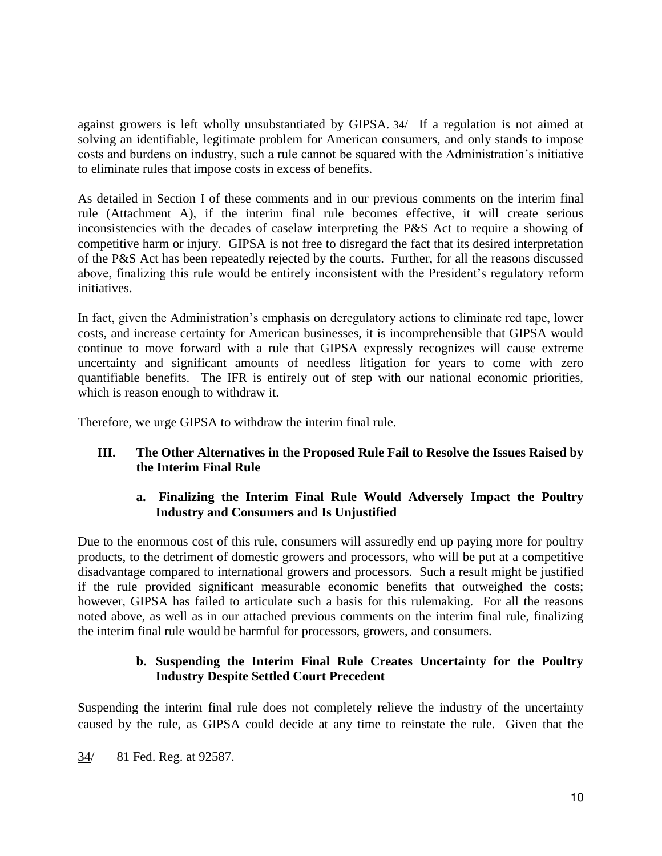against growers is left wholly unsubstantiated by GIPSA. 34/ If a regulation is not aimed at solving an identifiable, legitimate problem for American consumers, and only stands to impose costs and burdens on industry, such a rule cannot be squared with the Administration's initiative to eliminate rules that impose costs in excess of benefits.

As detailed in Section I of these comments and in our previous comments on the interim final rule (Attachment A), if the interim final rule becomes effective, it will create serious inconsistencies with the decades of caselaw interpreting the P&S Act to require a showing of competitive harm or injury. GIPSA is not free to disregard the fact that its desired interpretation of the P&S Act has been repeatedly rejected by the courts. Further, for all the reasons discussed above, finalizing this rule would be entirely inconsistent with the President's regulatory reform initiatives.

In fact, given the Administration's emphasis on deregulatory actions to eliminate red tape, lower costs, and increase certainty for American businesses, it is incomprehensible that GIPSA would continue to move forward with a rule that GIPSA expressly recognizes will cause extreme uncertainty and significant amounts of needless litigation for years to come with zero quantifiable benefits. The IFR is entirely out of step with our national economic priorities, which is reason enough to withdraw it.

Therefore, we urge GIPSA to withdraw the interim final rule.

## **III. The Other Alternatives in the Proposed Rule Fail to Resolve the Issues Raised by the Interim Final Rule**

## **a. Finalizing the Interim Final Rule Would Adversely Impact the Poultry Industry and Consumers and Is Unjustified**

Due to the enormous cost of this rule, consumers will assuredly end up paying more for poultry products, to the detriment of domestic growers and processors, who will be put at a competitive disadvantage compared to international growers and processors. Such a result might be justified if the rule provided significant measurable economic benefits that outweighed the costs; however, GIPSA has failed to articulate such a basis for this rulemaking. For all the reasons noted above, as well as in our attached previous comments on the interim final rule, finalizing the interim final rule would be harmful for processors, growers, and consumers.

## **b. Suspending the Interim Final Rule Creates Uncertainty for the Poultry Industry Despite Settled Court Precedent**

Suspending the interim final rule does not completely relieve the industry of the uncertainty caused by the rule, as GIPSA could decide at any time to reinstate the rule. Given that the

 $\ddot{ }$ 

<sup>34/ 81</sup> Fed. Reg. at 92587.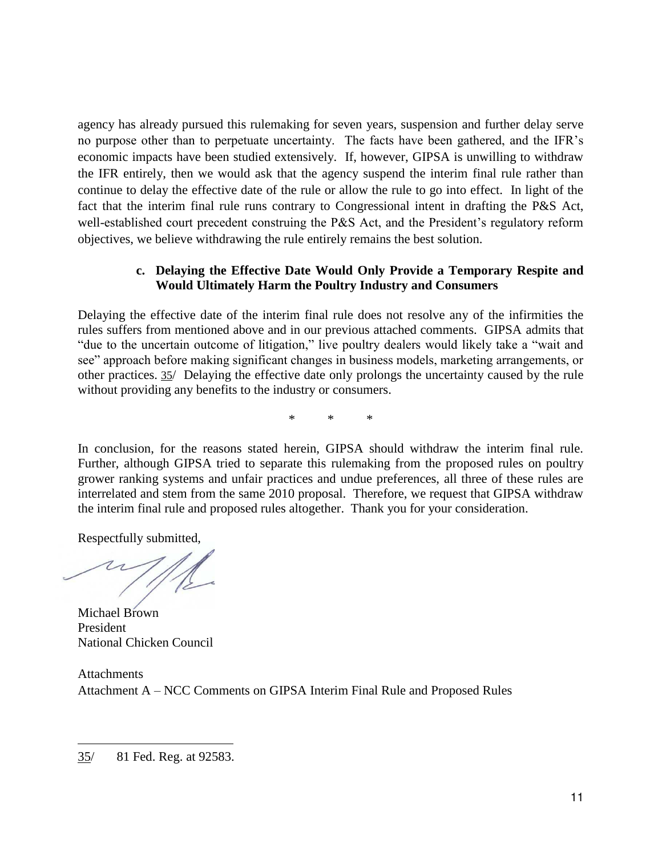agency has already pursued this rulemaking for seven years, suspension and further delay serve no purpose other than to perpetuate uncertainty. The facts have been gathered, and the IFR's economic impacts have been studied extensively. If, however, GIPSA is unwilling to withdraw the IFR entirely, then we would ask that the agency suspend the interim final rule rather than continue to delay the effective date of the rule or allow the rule to go into effect. In light of the fact that the interim final rule runs contrary to Congressional intent in drafting the P&S Act, well-established court precedent construing the P&S Act, and the President's regulatory reform objectives, we believe withdrawing the rule entirely remains the best solution.

### **c. Delaying the Effective Date Would Only Provide a Temporary Respite and Would Ultimately Harm the Poultry Industry and Consumers**

Delaying the effective date of the interim final rule does not resolve any of the infirmities the rules suffers from mentioned above and in our previous attached comments. GIPSA admits that "due to the uncertain outcome of litigation," live poultry dealers would likely take a "wait and see" approach before making significant changes in business models, marketing arrangements, or other practices. 35/ Delaying the effective date only prolongs the uncertainty caused by the rule without providing any benefits to the industry or consumers.

\* \* \*

In conclusion, for the reasons stated herein, GIPSA should withdraw the interim final rule. Further, although GIPSA tried to separate this rulemaking from the proposed rules on poultry grower ranking systems and unfair practices and undue preferences, all three of these rules are interrelated and stem from the same 2010 proposal. Therefore, we request that GIPSA withdraw the interim final rule and proposed rules altogether. Thank you for your consideration.

Respectfully submitted,

Michael Brown President National Chicken Council

**Attachments** Attachment A – NCC Comments on GIPSA Interim Final Rule and Proposed Rules

 $\ddot{ }$ 

<sup>35/ 81</sup> Fed. Reg. at 92583.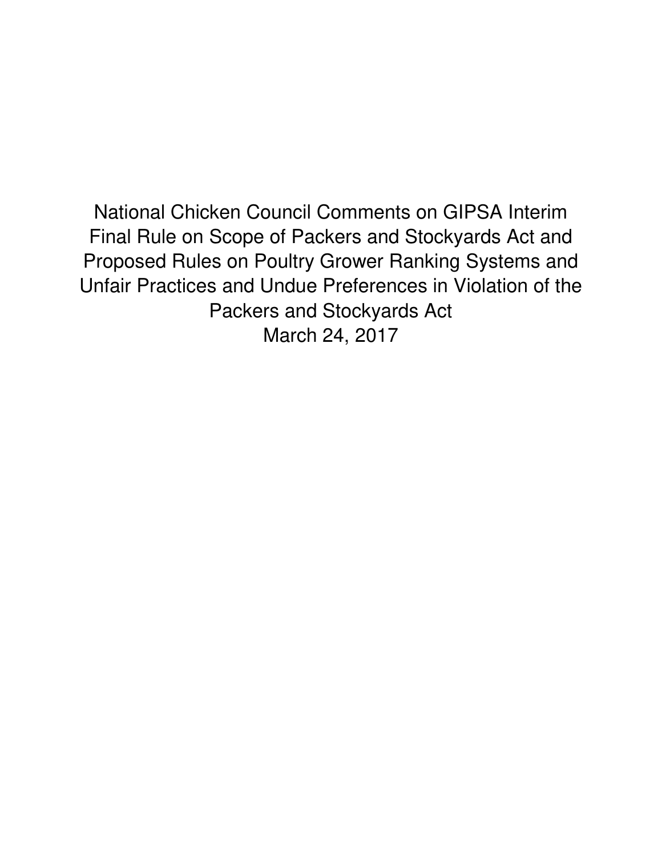National Chicken Council Comments on GIPSA Interim Final Rule on Scope of Packers and Stockyards Act and Proposed Rules on Poultry Grower Ranking Systems and Unfair Practices and Undue Preferences in Violation of the Packers and Stockyards Act March 24, 2017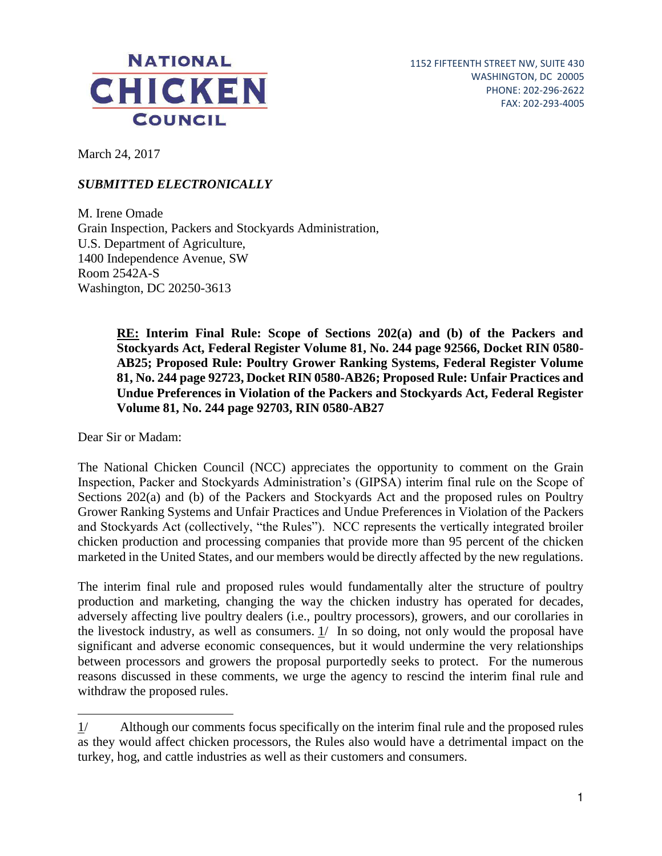

March 24, 2017

## *SUBMITTED ELECTRONICALLY*

M. Irene Omade Grain Inspection, Packers and Stockyards Administration, U.S. Department of Agriculture, 1400 Independence Avenue, SW Room 2542A-S Washington, DC 20250-3613

> **RE: Interim Final Rule: Scope of Sections 202(a) and (b) of the Packers and Stockyards Act, Federal Register Volume 81, No. 244 page 92566, Docket RIN 0580- AB25; Proposed Rule: Poultry Grower Ranking Systems, Federal Register Volume 81, No. 244 page 92723, Docket RIN 0580-AB26; Proposed Rule: Unfair Practices and Undue Preferences in Violation of the Packers and Stockyards Act, Federal Register Volume 81, No. 244 page 92703, RIN 0580-AB27**

Dear Sir or Madam:

 $\overline{a}$ 

The National Chicken Council (NCC) appreciates the opportunity to comment on the Grain Inspection, Packer and Stockyards Administration's (GIPSA) interim final rule on the Scope of Sections 202(a) and (b) of the Packers and Stockyards Act and the proposed rules on Poultry Grower Ranking Systems and Unfair Practices and Undue Preferences in Violation of the Packers and Stockyards Act (collectively, "the Rules"). NCC represents the vertically integrated broiler chicken production and processing companies that provide more than 95 percent of the chicken marketed in the United States, and our members would be directly affected by the new regulations.

The interim final rule and proposed rules would fundamentally alter the structure of poultry production and marketing, changing the way the chicken industry has operated for decades, adversely affecting live poultry dealers (i.e., poultry processors), growers, and our corollaries in the livestock industry, as well as consumers. 1/ In so doing, not only would the proposal have significant and adverse economic consequences, but it would undermine the very relationships between processors and growers the proposal purportedly seeks to protect. For the numerous reasons discussed in these comments, we urge the agency to rescind the interim final rule and withdraw the proposed rules.

<sup>1/</sup> Although our comments focus specifically on the interim final rule and the proposed rules as they would affect chicken processors, the Rules also would have a detrimental impact on the turkey, hog, and cattle industries as well as their customers and consumers.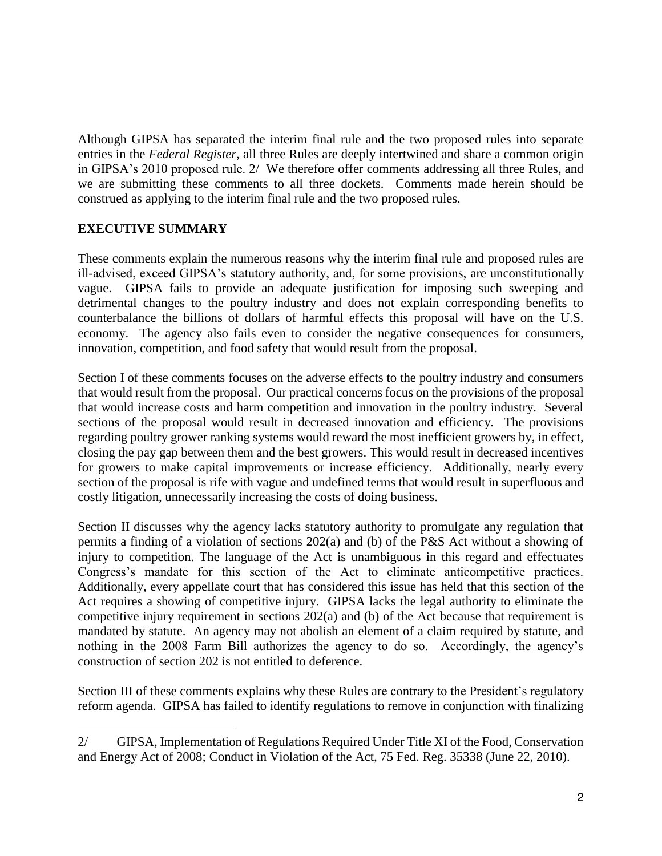Although GIPSA has separated the interim final rule and the two proposed rules into separate entries in the *Federal Register*, all three Rules are deeply intertwined and share a common origin in GIPSA's 2010 proposed rule. 2/ We therefore offer comments addressing all three Rules, and we are submitting these comments to all three dockets. Comments made herein should be construed as applying to the interim final rule and the two proposed rules.

## **EXECUTIVE SUMMARY**

These comments explain the numerous reasons why the interim final rule and proposed rules are ill-advised, exceed GIPSA's statutory authority, and, for some provisions, are unconstitutionally vague. GIPSA fails to provide an adequate justification for imposing such sweeping and detrimental changes to the poultry industry and does not explain corresponding benefits to counterbalance the billions of dollars of harmful effects this proposal will have on the U.S. economy. The agency also fails even to consider the negative consequences for consumers, innovation, competition, and food safety that would result from the proposal.

Section I of these comments focuses on the adverse effects to the poultry industry and consumers that would result from the proposal. Our practical concerns focus on the provisions of the proposal that would increase costs and harm competition and innovation in the poultry industry. Several sections of the proposal would result in decreased innovation and efficiency. The provisions regarding poultry grower ranking systems would reward the most inefficient growers by, in effect, closing the pay gap between them and the best growers. This would result in decreased incentives for growers to make capital improvements or increase efficiency. Additionally, nearly every section of the proposal is rife with vague and undefined terms that would result in superfluous and costly litigation, unnecessarily increasing the costs of doing business.

Section II discusses why the agency lacks statutory authority to promulgate any regulation that permits a finding of a violation of sections 202(a) and (b) of the P&S Act without a showing of injury to competition. The language of the Act is unambiguous in this regard and effectuates Congress's mandate for this section of the Act to eliminate anticompetitive practices. Additionally, every appellate court that has considered this issue has held that this section of the Act requires a showing of competitive injury. GIPSA lacks the legal authority to eliminate the competitive injury requirement in sections 202(a) and (b) of the Act because that requirement is mandated by statute. An agency may not abolish an element of a claim required by statute, and nothing in the 2008 Farm Bill authorizes the agency to do so. Accordingly, the agency's construction of section 202 is not entitled to deference.

Section III of these comments explains why these Rules are contrary to the President's regulatory reform agenda. GIPSA has failed to identify regulations to remove in conjunction with finalizing

 $\ddot{ }$ 2/ GIPSA, Implementation of Regulations Required Under Title XI of the Food, Conservation and Energy Act of 2008; Conduct in Violation of the Act, 75 Fed. Reg. 35338 (June 22, 2010).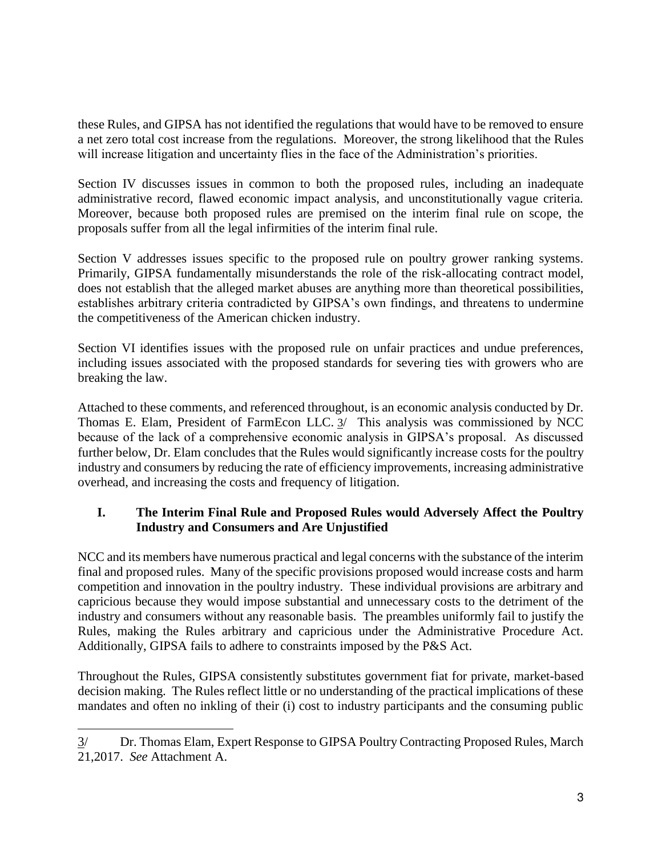these Rules, and GIPSA has not identified the regulations that would have to be removed to ensure a net zero total cost increase from the regulations. Moreover, the strong likelihood that the Rules will increase litigation and uncertainty flies in the face of the Administration's priorities.

Section IV discusses issues in common to both the proposed rules, including an inadequate administrative record, flawed economic impact analysis, and unconstitutionally vague criteria. Moreover, because both proposed rules are premised on the interim final rule on scope, the proposals suffer from all the legal infirmities of the interim final rule.

Section V addresses issues specific to the proposed rule on poultry grower ranking systems. Primarily, GIPSA fundamentally misunderstands the role of the risk-allocating contract model, does not establish that the alleged market abuses are anything more than theoretical possibilities, establishes arbitrary criteria contradicted by GIPSA's own findings, and threatens to undermine the competitiveness of the American chicken industry.

Section VI identifies issues with the proposed rule on unfair practices and undue preferences, including issues associated with the proposed standards for severing ties with growers who are breaking the law.

Attached to these comments, and referenced throughout, is an economic analysis conducted by Dr. Thomas E. Elam, President of FarmEcon LLC. 3/ This analysis was commissioned by NCC because of the lack of a comprehensive economic analysis in GIPSA's proposal. As discussed further below, Dr. Elam concludes that the Rules would significantly increase costs for the poultry industry and consumers by reducing the rate of efficiency improvements, increasing administrative overhead, and increasing the costs and frequency of litigation.

## **I. The Interim Final Rule and Proposed Rules would Adversely Affect the Poultry Industry and Consumers and Are Unjustified**

NCC and its members have numerous practical and legal concerns with the substance of the interim final and proposed rules. Many of the specific provisions proposed would increase costs and harm competition and innovation in the poultry industry. These individual provisions are arbitrary and capricious because they would impose substantial and unnecessary costs to the detriment of the industry and consumers without any reasonable basis. The preambles uniformly fail to justify the Rules, making the Rules arbitrary and capricious under the Administrative Procedure Act. Additionally, GIPSA fails to adhere to constraints imposed by the P&S Act.

Throughout the Rules, GIPSA consistently substitutes government fiat for private, market-based decision making. The Rules reflect little or no understanding of the practical implications of these mandates and often no inkling of their (i) cost to industry participants and the consuming public

 $\ddot{ }$ 

<sup>3/</sup> Dr. Thomas Elam, Expert Response to GIPSA Poultry Contracting Proposed Rules, March 21,2017. *See* Attachment A.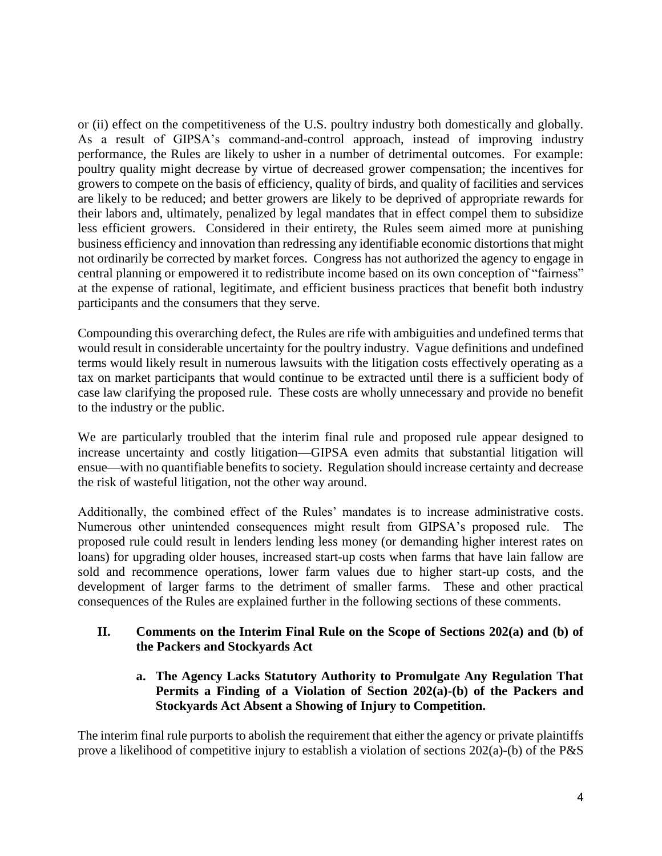or (ii) effect on the competitiveness of the U.S. poultry industry both domestically and globally. As a result of GIPSA's command-and-control approach, instead of improving industry performance, the Rules are likely to usher in a number of detrimental outcomes. For example: poultry quality might decrease by virtue of decreased grower compensation; the incentives for growers to compete on the basis of efficiency, quality of birds, and quality of facilities and services are likely to be reduced; and better growers are likely to be deprived of appropriate rewards for their labors and, ultimately, penalized by legal mandates that in effect compel them to subsidize less efficient growers. Considered in their entirety, the Rules seem aimed more at punishing business efficiency and innovation than redressing any identifiable economic distortions that might not ordinarily be corrected by market forces. Congress has not authorized the agency to engage in central planning or empowered it to redistribute income based on its own conception of "fairness" at the expense of rational, legitimate, and efficient business practices that benefit both industry participants and the consumers that they serve.

Compounding this overarching defect, the Rules are rife with ambiguities and undefined terms that would result in considerable uncertainty for the poultry industry. Vague definitions and undefined terms would likely result in numerous lawsuits with the litigation costs effectively operating as a tax on market participants that would continue to be extracted until there is a sufficient body of case law clarifying the proposed rule. These costs are wholly unnecessary and provide no benefit to the industry or the public.

We are particularly troubled that the interim final rule and proposed rule appear designed to increase uncertainty and costly litigation—GIPSA even admits that substantial litigation will ensue—with no quantifiable benefits to society. Regulation should increase certainty and decrease the risk of wasteful litigation, not the other way around.

Additionally, the combined effect of the Rules' mandates is to increase administrative costs. Numerous other unintended consequences might result from GIPSA's proposed rule. The proposed rule could result in lenders lending less money (or demanding higher interest rates on loans) for upgrading older houses, increased start-up costs when farms that have lain fallow are sold and recommence operations, lower farm values due to higher start-up costs, and the development of larger farms to the detriment of smaller farms. These and other practical consequences of the Rules are explained further in the following sections of these comments.

### **II. Comments on the Interim Final Rule on the Scope of Sections 202(a) and (b) of the Packers and Stockyards Act**

**a. The Agency Lacks Statutory Authority to Promulgate Any Regulation That Permits a Finding of a Violation of Section 202(a)-(b) of the Packers and Stockyards Act Absent a Showing of Injury to Competition.** 

The interim final rule purports to abolish the requirement that either the agency or private plaintiffs prove a likelihood of competitive injury to establish a violation of sections 202(a)-(b) of the P&S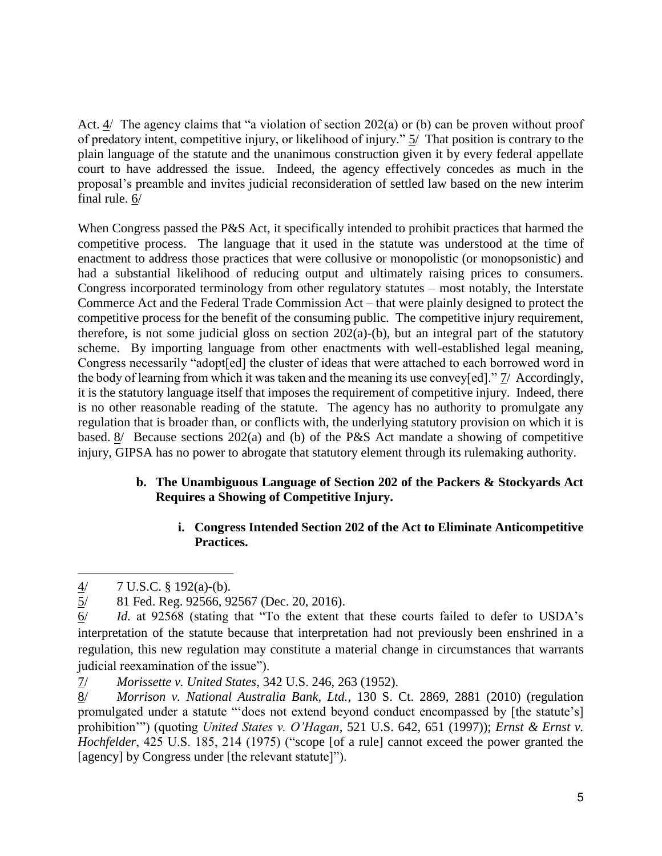Act. 4/ The agency claims that "a violation of section 202(a) or (b) can be proven without proof of predatory intent, competitive injury, or likelihood of injury." 5/ That position is contrary to the plain language of the statute and the unanimous construction given it by every federal appellate court to have addressed the issue. Indeed, the agency effectively concedes as much in the proposal's preamble and invites judicial reconsideration of settled law based on the new interim final rule. 6/

When Congress passed the P&S Act, it specifically intended to prohibit practices that harmed the competitive process. The language that it used in the statute was understood at the time of enactment to address those practices that were collusive or monopolistic (or monopsonistic) and had a substantial likelihood of reducing output and ultimately raising prices to consumers. Congress incorporated terminology from other regulatory statutes – most notably, the Interstate Commerce Act and the Federal Trade Commission Act – that were plainly designed to protect the competitive process for the benefit of the consuming public. The competitive injury requirement, therefore, is not some judicial gloss on section 202(a)-(b), but an integral part of the statutory scheme. By importing language from other enactments with well-established legal meaning, Congress necessarily "adopt[ed] the cluster of ideas that were attached to each borrowed word in the body of learning from which it was taken and the meaning its use convey[ed]." 7/ Accordingly, it is the statutory language itself that imposes the requirement of competitive injury. Indeed, there is no other reasonable reading of the statute. The agency has no authority to promulgate any regulation that is broader than, or conflicts with, the underlying statutory provision on which it is based.  $\frac{8}{ }$  Because sections 202(a) and (b) of the P&S Act mandate a showing of competitive injury, GIPSA has no power to abrogate that statutory element through its rulemaking authority.

## **b. The Unambiguous Language of Section 202 of the Packers & Stockyards Act Requires a Showing of Competitive Injury.**

## **i. Congress Intended Section 202 of the Act to Eliminate Anticompetitive Practices.**

 $\overline{a}$ 

 $\frac{4}{5}$  7 U.S.C. § 192(a)-(b).<br>5/ 81 Fed. Reg. 92566, 92 5/ 81 Fed. Reg. 92566, 92567 (Dec. 20, 2016).

<sup>6/</sup> *Id.* at 92568 (stating that "To the extent that these courts failed to defer to USDA's interpretation of the statute because that interpretation had not previously been enshrined in a regulation, this new regulation may constitute a material change in circumstances that warrants judicial reexamination of the issue").

<sup>7/</sup> *Morissette v. United States,* 342 U.S. 246, 263 (1952).

<sup>8/</sup> *Morrison v. National Australia Bank, Ltd.*, 130 S. Ct. 2869, 2881 (2010) (regulation promulgated under a statute "'does not extend beyond conduct encompassed by [the statute's] prohibition'") (quoting *United States v. O'Hagan*, 521 U.S. 642, 651 (1997)); *Ernst & Ernst v. Hochfelder*, 425 U.S. 185, 214 (1975) ("scope [of a rule] cannot exceed the power granted the [agency] by Congress under [the relevant statute]").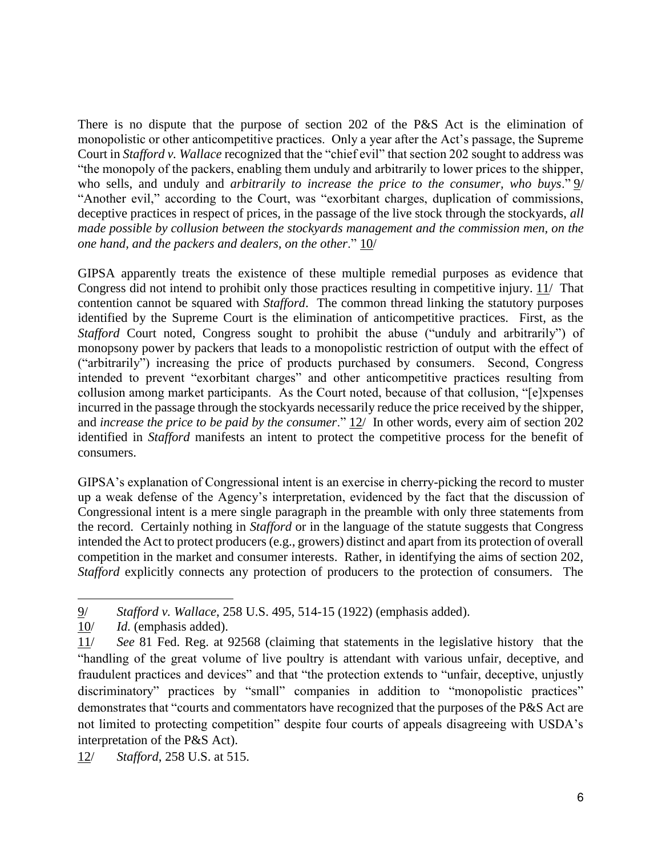There is no dispute that the purpose of section 202 of the P&S Act is the elimination of monopolistic or other anticompetitive practices. Only a year after the Act's passage, the Supreme Court in *Stafford v. Wallace* recognized that the "chief evil" that section 202 sought to address was "the monopoly of the packers, enabling them unduly and arbitrarily to lower prices to the shipper, who sells, and unduly and *arbitrarily to increase the price to the consumer, who buys*." 9/ "Another evil," according to the Court, was "exorbitant charges, duplication of commissions, deceptive practices in respect of prices, in the passage of the live stock through the stockyards, *all made possible by collusion between the stockyards management and the commission men, on the one hand, and the packers and dealers, on the other*." 10/

GIPSA apparently treats the existence of these multiple remedial purposes as evidence that Congress did not intend to prohibit only those practices resulting in competitive injury. 11/ That contention cannot be squared with *Stafford*. The common thread linking the statutory purposes identified by the Supreme Court is the elimination of anticompetitive practices. First, as the *Stafford* Court noted, Congress sought to prohibit the abuse ("unduly and arbitrarily") of monopsony power by packers that leads to a monopolistic restriction of output with the effect of ("arbitrarily") increasing the price of products purchased by consumers. Second, Congress intended to prevent "exorbitant charges" and other anticompetitive practices resulting from collusion among market participants. As the Court noted, because of that collusion, "[e]xpenses incurred in the passage through the stockyards necessarily reduce the price received by the shipper, and *increase the price to be paid by the consumer*." 12/ In other words, every aim of section 202 identified in *Stafford* manifests an intent to protect the competitive process for the benefit of consumers.

GIPSA's explanation of Congressional intent is an exercise in cherry-picking the record to muster up a weak defense of the Agency's interpretation, evidenced by the fact that the discussion of Congressional intent is a mere single paragraph in the preamble with only three statements from the record. Certainly nothing in *Stafford* or in the language of the statute suggests that Congress intended the Act to protect producers (e.g., growers) distinct and apart from its protection of overall competition in the market and consumer interests. Rather, in identifying the aims of section 202, *Stafford* explicitly connects any protection of producers to the protection of consumers. The

12/ *Stafford*, 258 U.S. at 515.

 $\ddot{ }$ 9/ *Stafford v. Wallace*, 258 U.S. 495, 514-15 (1922) (emphasis added).

<sup>10/</sup> *Id.* (emphasis added).

<sup>11/</sup> *See* 81 Fed. Reg. at 92568 (claiming that statements in the legislative history that the "handling of the great volume of live poultry is attendant with various unfair, deceptive, and fraudulent practices and devices" and that "the protection extends to "unfair, deceptive, unjustly discriminatory" practices by "small" companies in addition to "monopolistic practices" demonstrates that "courts and commentators have recognized that the purposes of the P&S Act are not limited to protecting competition" despite four courts of appeals disagreeing with USDA's interpretation of the P&S Act).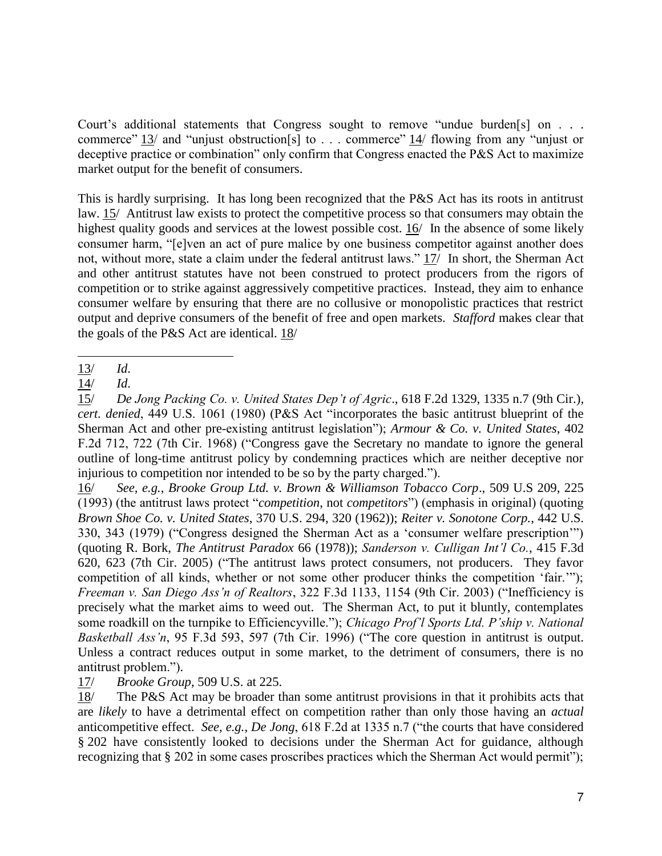Court's additional statements that Congress sought to remove "undue burden[s] on . . . commerce" 13/ and "unjust obstruction[s] to . . . commerce" 14/ flowing from any "unjust or deceptive practice or combination" only confirm that Congress enacted the P&S Act to maximize market output for the benefit of consumers.

This is hardly surprising. It has long been recognized that the P&S Act has its roots in antitrust law. 15/ Antitrust law exists to protect the competitive process so that consumers may obtain the highest quality goods and services at the lowest possible cost. 16/ In the absence of some likely consumer harm, "[e]ven an act of pure malice by one business competitor against another does not, without more, state a claim under the federal antitrust laws." 17/ In short, the Sherman Act and other antitrust statutes have not been construed to protect producers from the rigors of competition or to strike against aggressively competitive practices. Instead, they aim to enhance consumer welfare by ensuring that there are no collusive or monopolistic practices that restrict output and deprive consumers of the benefit of free and open markets. *Stafford* makes clear that the goals of the P&S Act are identical. 18/

16/ *See, e.g.*, *Brooke Group Ltd. v. Brown & Williamson Tobacco Corp*., 509 U.S 209, 225 (1993) (the antitrust laws protect "*competition*, not *competitors*") (emphasis in original) (quoting *Brown Shoe Co. v. United States*, 370 U.S. 294, 320 (1962)); *Reiter v. Sonotone Corp.*, 442 U.S. 330, 343 (1979) ("Congress designed the Sherman Act as a 'consumer welfare prescription'") (quoting R. Bork, *The Antitrust Paradox* 66 (1978)); *Sanderson v. Culligan Int'l Co.*, 415 F.3d 620, 623 (7th Cir. 2005) ("The antitrust laws protect consumers, not producers. They favor competition of all kinds, whether or not some other producer thinks the competition 'fair.'"); *Freeman v. San Diego Ass'n of Realtors*, 322 F.3d 1133, 1154 (9th Cir. 2003) ("Inefficiency is precisely what the market aims to weed out. The Sherman Act, to put it bluntly, contemplates some roadkill on the turnpike to Efficiencyville."); *Chicago Prof'l Sports Ltd. P'ship v. National Basketball Ass'n*, 95 F.3d 593, 597 (7th Cir. 1996) ("The core question in antitrust is output. Unless a contract reduces output in some market, to the detriment of consumers, there is no antitrust problem.").

17/ *Brooke Group*, 509 U.S. at 225.

18/ The P&S Act may be broader than some antitrust provisions in that it prohibits acts that are *likely* to have a detrimental effect on competition rather than only those having an *actual* anticompetitive effect. *See, e.g.*, *De Jong*, 618 F.2d at 1335 n.7 ("the courts that have considered § 202 have consistently looked to decisions under the Sherman Act for guidance, although recognizing that § 202 in some cases proscribes practices which the Sherman Act would permit");

 $\overline{a}$ 13/ *Id*.

<sup>14/</sup> *Id*.

<sup>15/</sup> *De Jong Packing Co. v. United States Dep't of Agric*., 618 F.2d 1329, 1335 n.7 (9th Cir.)*, cert. denied*, 449 U.S. 1061 (1980) (P&S Act "incorporates the basic antitrust blueprint of the Sherman Act and other pre-existing antitrust legislation"); *Armour & Co. v. United States*, 402 F.2d 712, 722 (7th Cir. 1968) ("Congress gave the Secretary no mandate to ignore the general outline of long-time antitrust policy by condemning practices which are neither deceptive nor injurious to competition nor intended to be so by the party charged.").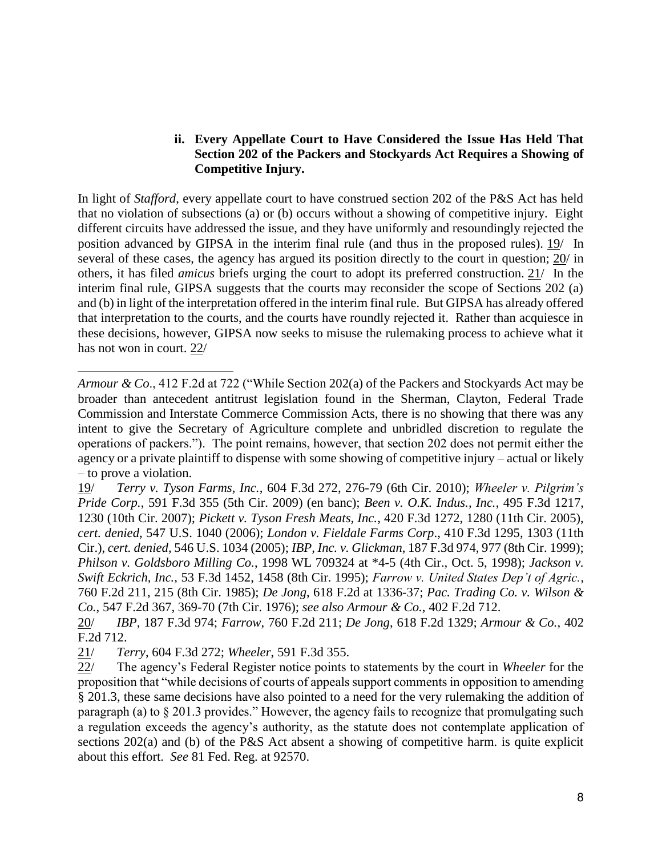### **ii. Every Appellate Court to Have Considered the Issue Has Held That Section 202 of the Packers and Stockyards Act Requires a Showing of Competitive Injury.**

In light of *Stafford*, every appellate court to have construed section 202 of the P&S Act has held that no violation of subsections (a) or (b) occurs without a showing of competitive injury. Eight different circuits have addressed the issue, and they have uniformly and resoundingly rejected the position advanced by GIPSA in the interim final rule (and thus in the proposed rules). 19/ In several of these cases, the agency has argued its position directly to the court in question; 20/ in others, it has filed *amicus* briefs urging the court to adopt its preferred construction. 21/ In the interim final rule, GIPSA suggests that the courts may reconsider the scope of Sections 202 (a) and (b) in light of the interpretation offered in the interim final rule. But GIPSA has already offered that interpretation to the courts, and the courts have roundly rejected it. Rather than acquiesce in these decisions, however, GIPSA now seeks to misuse the rulemaking process to achieve what it has not won in court. 22/

19/ *Terry v. Tyson Farms, Inc.*, 604 F.3d 272, 276-79 (6th Cir. 2010); *Wheeler v. Pilgrim's Pride Corp.*, 591 F.3d 355 (5th Cir. 2009) (en banc); *Been v. O.K. Indus., Inc.*, 495 F.3d 1217, 1230 (10th Cir. 2007); *Pickett v. Tyson Fresh Meats, Inc.*, 420 F.3d 1272, 1280 (11th Cir. 2005), *cert. denied*, 547 U.S. 1040 (2006); *London v. Fieldale Farms Corp*., 410 F.3d 1295, 1303 (11th Cir.), *cert. denied*, 546 U.S. 1034 (2005); *IBP, Inc. v. Glickman*, 187 F.3d 974, 977 (8th Cir. 1999); *Philson v. Goldsboro Milling Co.*, 1998 WL 709324 at \*4-5 (4th Cir., Oct. 5, 1998); *Jackson v. Swift Eckrich, Inc.*, 53 F.3d 1452, 1458 (8th Cir. 1995); *Farrow v. United States Dep't of Agric.*, 760 F.2d 211, 215 (8th Cir. 1985); *De Jong*, 618 F.2d at 1336-37; *Pac. Trading Co. v. Wilson & Co.*, 547 F.2d 367, 369-70 (7th Cir. 1976); *see also Armour & Co.*, 402 F.2d 712.

20/ *IBP*, 187 F.3d 974; *Farrow*, 760 F.2d 211; *De Jong*, 618 F.2d 1329; *Armour & Co.*, 402 F.2d 712.

21/ *Terry*, 604 F.3d 272; *Wheeler*, 591 F.3d 355.

 $\ddot{ }$ 

22/ The agency's Federal Register notice points to statements by the court in *Wheeler* for the proposition that "while decisions of courts of appeals support comments in opposition to amending § 201.3, these same decisions have also pointed to a need for the very rulemaking the addition of paragraph (a) to § 201.3 provides." However, the agency fails to recognize that promulgating such a regulation exceeds the agency's authority, as the statute does not contemplate application of sections 202(a) and (b) of the P&S Act absent a showing of competitive harm. is quite explicit about this effort. *See* 81 Fed. Reg. at 92570.

*Armour & Co*., 412 F.2d at 722 ("While Section 202(a) of the Packers and Stockyards Act may be broader than antecedent antitrust legislation found in the Sherman, Clayton, Federal Trade Commission and Interstate Commerce Commission Acts, there is no showing that there was any intent to give the Secretary of Agriculture complete and unbridled discretion to regulate the operations of packers."). The point remains, however, that section 202 does not permit either the agency or a private plaintiff to dispense with some showing of competitive injury – actual or likely – to prove a violation.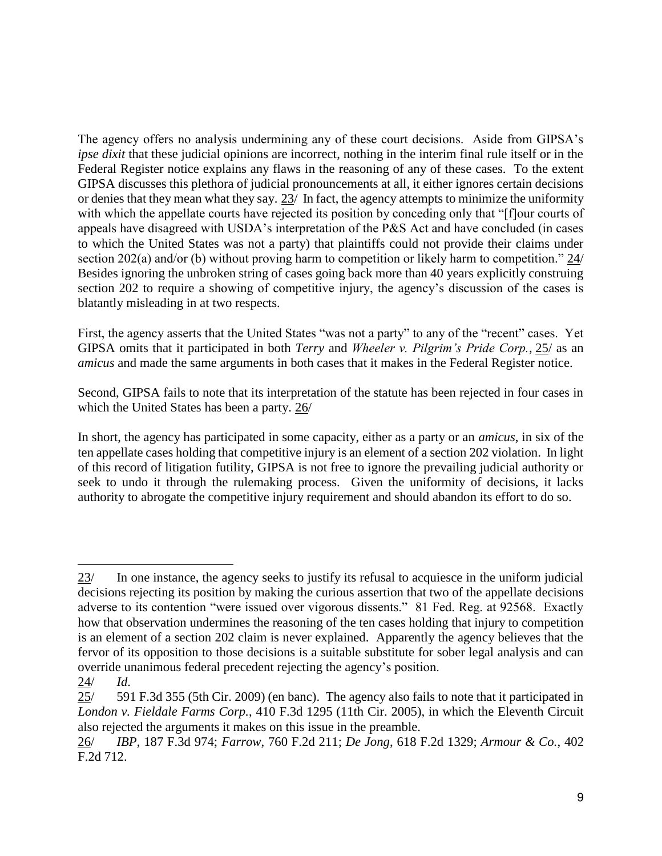The agency offers no analysis undermining any of these court decisions. Aside from GIPSA's *ipse dixit* that these judicial opinions are incorrect, nothing in the interim final rule itself or in the Federal Register notice explains any flaws in the reasoning of any of these cases. To the extent GIPSA discusses this plethora of judicial pronouncements at all, it either ignores certain decisions or denies that they mean what they say. 23/ In fact, the agency attempts to minimize the uniformity with which the appellate courts have rejected its position by conceding only that "[f]our courts of appeals have disagreed with USDA's interpretation of the P&S Act and have concluded (in cases to which the United States was not a party) that plaintiffs could not provide their claims under section 202(a) and/or (b) without proving harm to competition or likely harm to competition." 24/ Besides ignoring the unbroken string of cases going back more than 40 years explicitly construing section 202 to require a showing of competitive injury, the agency's discussion of the cases is blatantly misleading in at two respects.

First, the agency asserts that the United States "was not a party" to any of the "recent" cases. Yet GIPSA omits that it participated in both *Terry* and *Wheeler v. Pilgrim's Pride Corp.*, 25/ as an *amicus* and made the same arguments in both cases that it makes in the Federal Register notice.

Second, GIPSA fails to note that its interpretation of the statute has been rejected in four cases in which the United States has been a party. 26/

In short, the agency has participated in some capacity, either as a party or an *amicus*, in six of the ten appellate cases holding that competitive injury is an element of a section 202 violation. In light of this record of litigation futility, GIPSA is not free to ignore the prevailing judicial authority or seek to undo it through the rulemaking process. Given the uniformity of decisions, it lacks authority to abrogate the competitive injury requirement and should abandon its effort to do so.

 $\ddot{ }$ 

<sup>23/</sup> In one instance, the agency seeks to justify its refusal to acquiesce in the uniform judicial decisions rejecting its position by making the curious assertion that two of the appellate decisions adverse to its contention "were issued over vigorous dissents." 81 Fed. Reg. at 92568. Exactly how that observation undermines the reasoning of the ten cases holding that injury to competition is an element of a section 202 claim is never explained. Apparently the agency believes that the fervor of its opposition to those decisions is a suitable substitute for sober legal analysis and can override unanimous federal precedent rejecting the agency's position.

<sup>24/</sup> *Id*.

<sup>25/ 591</sup> F.3d 355 (5th Cir. 2009) (en banc). The agency also fails to note that it participated in *London v. Fieldale Farms Corp.*, 410 F.3d 1295 (11th Cir. 2005), in which the Eleventh Circuit also rejected the arguments it makes on this issue in the preamble.

<sup>26/</sup> *IBP*, 187 F.3d 974; *Farrow*, 760 F.2d 211; *De Jong*, 618 F.2d 1329; *Armour & Co.*, 402 F.2d 712.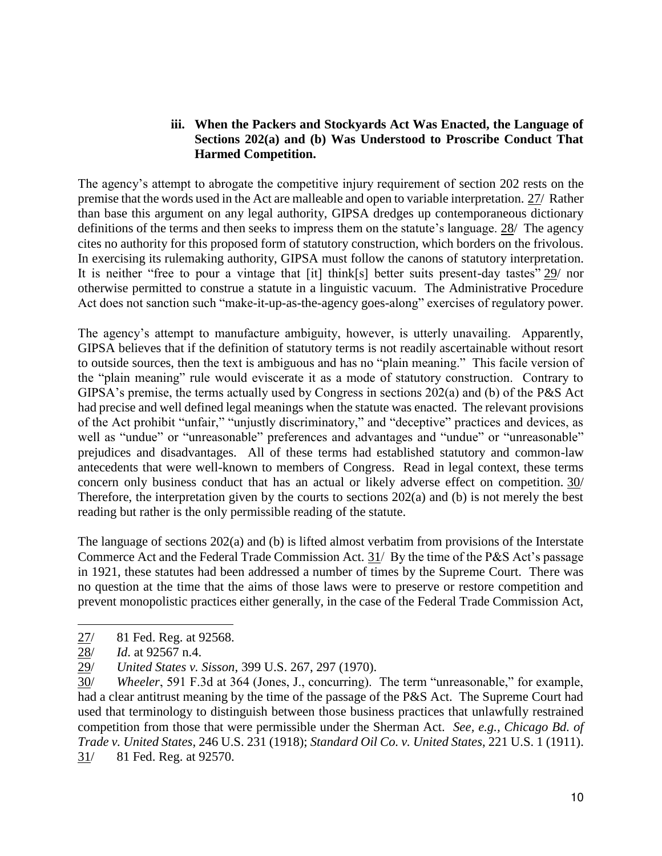### **iii. When the Packers and Stockyards Act Was Enacted, the Language of Sections 202(a) and (b) Was Understood to Proscribe Conduct That Harmed Competition.**

The agency's attempt to abrogate the competitive injury requirement of section 202 rests on the premise that the words used in the Act are malleable and open to variable interpretation. 27/ Rather than base this argument on any legal authority, GIPSA dredges up contemporaneous dictionary definitions of the terms and then seeks to impress them on the statute's language. 28/ The agency cites no authority for this proposed form of statutory construction, which borders on the frivolous. In exercising its rulemaking authority, GIPSA must follow the canons of statutory interpretation. It is neither "free to pour a vintage that [it] think[s] better suits present-day tastes" 29/ nor otherwise permitted to construe a statute in a linguistic vacuum. The Administrative Procedure Act does not sanction such "make-it-up-as-the-agency goes-along" exercises of regulatory power.

The agency's attempt to manufacture ambiguity, however, is utterly unavailing. Apparently, GIPSA believes that if the definition of statutory terms is not readily ascertainable without resort to outside sources, then the text is ambiguous and has no "plain meaning." This facile version of the "plain meaning" rule would eviscerate it as a mode of statutory construction. Contrary to GIPSA's premise, the terms actually used by Congress in sections 202(a) and (b) of the P&S Act had precise and well defined legal meanings when the statute was enacted. The relevant provisions of the Act prohibit "unfair," "unjustly discriminatory," and "deceptive" practices and devices, as well as "undue" or "unreasonable" preferences and advantages and "undue" or "unreasonable" prejudices and disadvantages. All of these terms had established statutory and common-law antecedents that were well-known to members of Congress. Read in legal context, these terms concern only business conduct that has an actual or likely adverse effect on competition. 30/ Therefore, the interpretation given by the courts to sections 202(a) and (b) is not merely the best reading but rather is the only permissible reading of the statute.

The language of sections 202(a) and (b) is lifted almost verbatim from provisions of the Interstate Commerce Act and the Federal Trade Commission Act. 31/ By the time of the P&S Act's passage in 1921, these statutes had been addressed a number of times by the Supreme Court. There was no question at the time that the aims of those laws were to preserve or restore competition and prevent monopolistic practices either generally, in the case of the Federal Trade Commission Act,

 $\overline{a}$ 27/ 81 Fed. Reg. at 92568.

<sup>28/</sup> *Id*. at 92567 n.4.

<sup>29/</sup> *United States v. Sisson*, 399 U.S. 267, 297 (1970).

<sup>30/</sup> *Wheeler*, 591 F.3d at 364 (Jones, J., concurring). The term "unreasonable," for example, had a clear antitrust meaning by the time of the passage of the P&S Act. The Supreme Court had used that terminology to distinguish between those business practices that unlawfully restrained competition from those that were permissible under the Sherman Act. *See, e.g., Chicago Bd. of Trade v. United States*, 246 U.S. 231 (1918); *Standard Oil Co. v. United States*, 221 U.S. 1 (1911). 31/ 81 Fed. Reg. at 92570.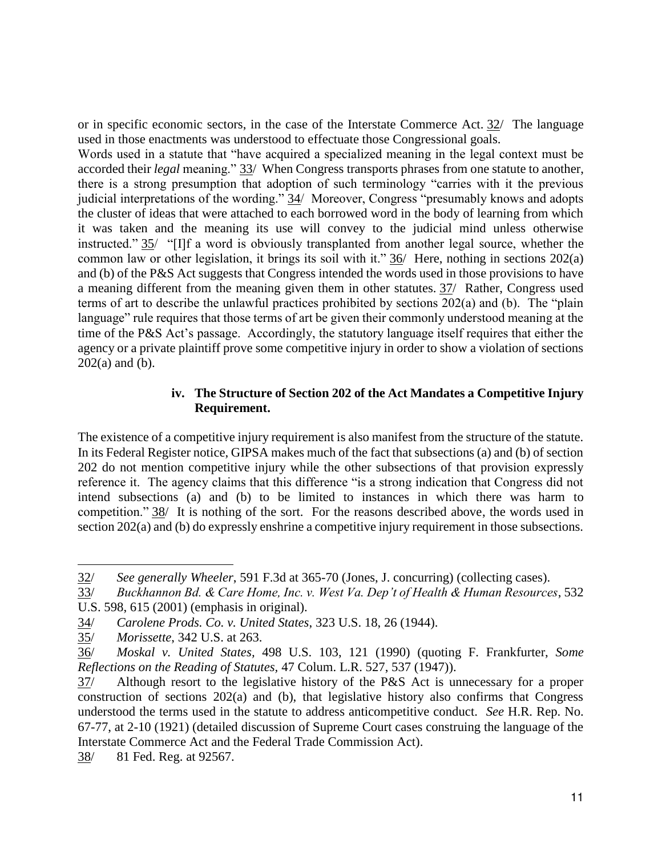or in specific economic sectors, in the case of the Interstate Commerce Act. 32/ The language used in those enactments was understood to effectuate those Congressional goals.

Words used in a statute that "have acquired a specialized meaning in the legal context must be accorded their *legal* meaning." 33/ When Congress transports phrases from one statute to another, there is a strong presumption that adoption of such terminology "carries with it the previous judicial interpretations of the wording." 34/ Moreover, Congress "presumably knows and adopts the cluster of ideas that were attached to each borrowed word in the body of learning from which it was taken and the meaning its use will convey to the judicial mind unless otherwise instructed." 35/ "[I]f a word is obviously transplanted from another legal source, whether the common law or other legislation, it brings its soil with it."  $36/$  Here, nothing in sections 202(a) and (b) of the P&S Act suggests that Congress intended the words used in those provisions to have a meaning different from the meaning given them in other statutes. 37/ Rather, Congress used terms of art to describe the unlawful practices prohibited by sections 202(a) and (b). The "plain language" rule requires that those terms of art be given their commonly understood meaning at the time of the P&S Act's passage. Accordingly, the statutory language itself requires that either the agency or a private plaintiff prove some competitive injury in order to show a violation of sections  $202(a)$  and (b).

#### **iv. The Structure of Section 202 of the Act Mandates a Competitive Injury Requirement.**

The existence of a competitive injury requirement is also manifest from the structure of the statute. In its Federal Register notice, GIPSA makes much of the fact that subsections (a) and (b) of section 202 do not mention competitive injury while the other subsections of that provision expressly reference it. The agency claims that this difference "is a strong indication that Congress did not intend subsections (a) and (b) to be limited to instances in which there was harm to competition." 38/ It is nothing of the sort. For the reasons described above, the words used in section 202(a) and (b) do expressly enshrine a competitive injury requirement in those subsections.

 $\ddot{ }$ 

<sup>32/</sup> *See generally Wheeler*, 591 F.3d at 365-70 (Jones, J. concurring) (collecting cases).

<sup>33/</sup> *Buckhannon Bd. & Care Home, Inc. v. West Va. Dep't of Health & Human Resources*, 532 U.S. 598, 615 (2001) (emphasis in original).

<sup>34/</sup> *Carolene Prods. Co. v. United States*, 323 U.S. 18, 26 (1944).

<sup>35/</sup> *Morissette*, 342 U.S. at 263.

<sup>36/</sup> *Moskal v. United States,* 498 U.S. 103, 121 (1990) (quoting F. Frankfurter, *Some Reflections on the Reading of Statutes,* 47 Colum. L.R. 527, 537 (1947)).

<sup>37/</sup> Although resort to the legislative history of the P&S Act is unnecessary for a proper  $\overline{\text{construction}}$  of sections 202(a) and (b), that legislative history also confirms that Congress understood the terms used in the statute to address anticompetitive conduct. *See* H.R. Rep. No. 67-77, at 2-10 (1921) (detailed discussion of Supreme Court cases construing the language of the Interstate Commerce Act and the Federal Trade Commission Act).

<sup>38/ 81</sup> Fed. Reg. at 92567.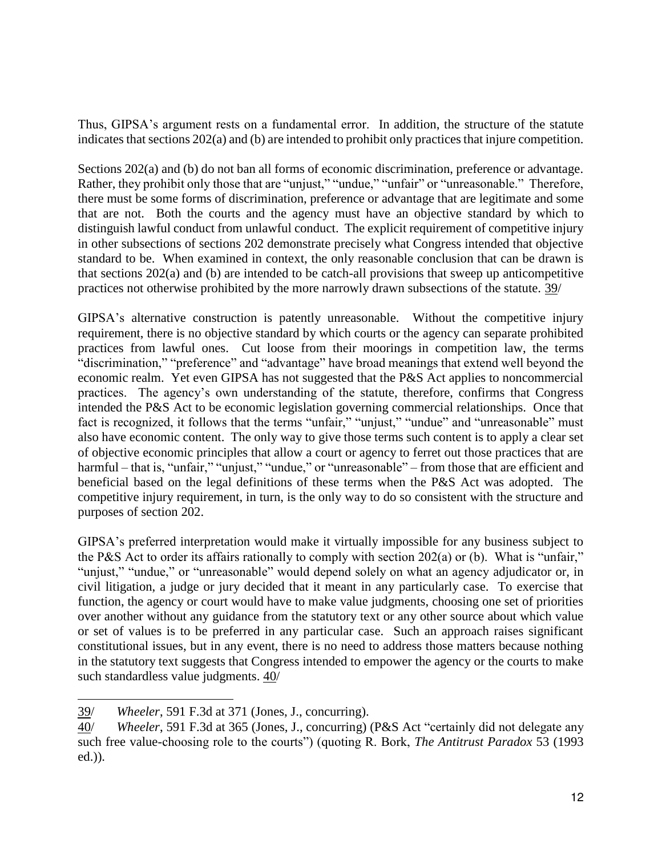Thus, GIPSA's argument rests on a fundamental error. In addition, the structure of the statute indicates that sections 202(a) and (b) are intended to prohibit only practices that injure competition.

Sections 202(a) and (b) do not ban all forms of economic discrimination, preference or advantage. Rather, they prohibit only those that are "unjust," "undue," "unfair" or "unreasonable." Therefore, there must be some forms of discrimination, preference or advantage that are legitimate and some that are not. Both the courts and the agency must have an objective standard by which to distinguish lawful conduct from unlawful conduct. The explicit requirement of competitive injury in other subsections of sections 202 demonstrate precisely what Congress intended that objective standard to be. When examined in context, the only reasonable conclusion that can be drawn is that sections 202(a) and (b) are intended to be catch-all provisions that sweep up anticompetitive practices not otherwise prohibited by the more narrowly drawn subsections of the statute. 39/

GIPSA's alternative construction is patently unreasonable. Without the competitive injury requirement, there is no objective standard by which courts or the agency can separate prohibited practices from lawful ones. Cut loose from their moorings in competition law, the terms "discrimination," "preference" and "advantage" have broad meanings that extend well beyond the economic realm. Yet even GIPSA has not suggested that the P&S Act applies to noncommercial practices. The agency's own understanding of the statute, therefore, confirms that Congress intended the P&S Act to be economic legislation governing commercial relationships. Once that fact is recognized, it follows that the terms "unfair," "unjust," "undue" and "unreasonable" must also have economic content. The only way to give those terms such content is to apply a clear set of objective economic principles that allow a court or agency to ferret out those practices that are harmful – that is, "unfair," "unjust," "undue," or "unreasonable" – from those that are efficient and beneficial based on the legal definitions of these terms when the P&S Act was adopted. The competitive injury requirement, in turn, is the only way to do so consistent with the structure and purposes of section 202.

GIPSA's preferred interpretation would make it virtually impossible for any business subject to the P&S Act to order its affairs rationally to comply with section 202(a) or (b). What is "unfair," "unjust," "undue," or "unreasonable" would depend solely on what an agency adjudicator or, in civil litigation, a judge or jury decided that it meant in any particularly case. To exercise that function, the agency or court would have to make value judgments, choosing one set of priorities over another without any guidance from the statutory text or any other source about which value or set of values is to be preferred in any particular case. Such an approach raises significant constitutional issues, but in any event, there is no need to address those matters because nothing in the statutory text suggests that Congress intended to empower the agency or the courts to make such standardless value judgments. 40/

 $\overline{a}$ 39/ *Wheeler*, 591 F.3d at 371 (Jones, J., concurring).

<sup>40/</sup> *Wheeler*, 591 F.3d at 365 (Jones, J., concurring) (P&S Act "certainly did not delegate any such free value-choosing role to the courts") (quoting R. Bork, *The Antitrust Paradox* 53 (1993 ed.)).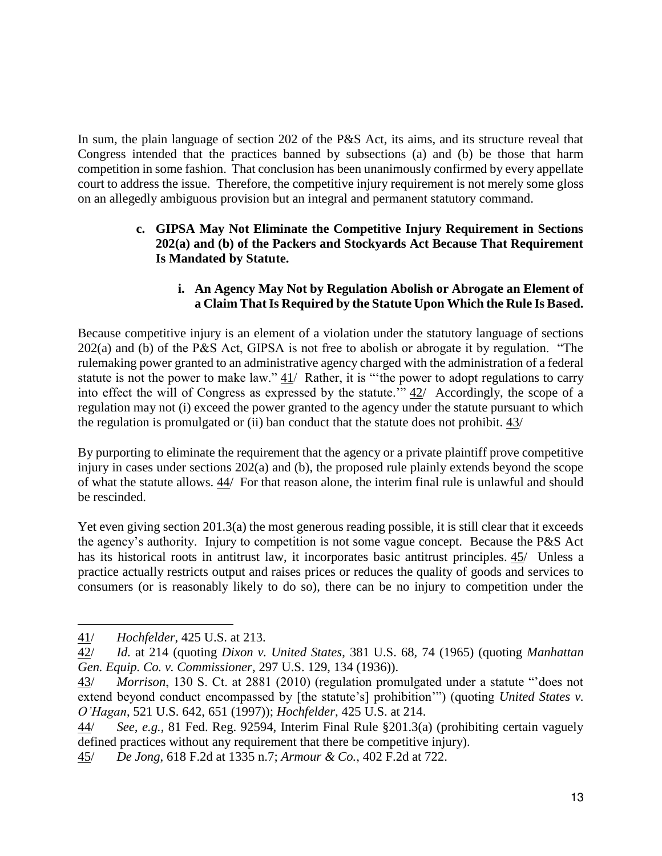In sum, the plain language of section 202 of the P&S Act, its aims, and its structure reveal that Congress intended that the practices banned by subsections (a) and (b) be those that harm competition in some fashion. That conclusion has been unanimously confirmed by every appellate court to address the issue. Therefore, the competitive injury requirement is not merely some gloss on an allegedly ambiguous provision but an integral and permanent statutory command.

## **c. GIPSA May Not Eliminate the Competitive Injury Requirement in Sections 202(a) and (b) of the Packers and Stockyards Act Because That Requirement Is Mandated by Statute.**

## **i. An Agency May Not by Regulation Abolish or Abrogate an Element of a Claim That Is Required by the Statute Upon Which the Rule Is Based.**

Because competitive injury is an element of a violation under the statutory language of sections  $202(a)$  and (b) of the P&S Act, GIPSA is not free to abolish or abrogate it by regulation. "The rulemaking power granted to an administrative agency charged with the administration of a federal statute is not the power to make law." 41/ Rather, it is "the power to adopt regulations to carry into effect the will of Congress as expressed by the statute.'"  $42/$  Accordingly, the scope of a regulation may not (i) exceed the power granted to the agency under the statute pursuant to which the regulation is promulgated or (ii) ban conduct that the statute does not prohibit. 43/

By purporting to eliminate the requirement that the agency or a private plaintiff prove competitive injury in cases under sections 202(a) and (b), the proposed rule plainly extends beyond the scope of what the statute allows. 44/ For that reason alone, the interim final rule is unlawful and should be rescinded.

Yet even giving section 201.3(a) the most generous reading possible, it is still clear that it exceeds the agency's authority. Injury to competition is not some vague concept. Because the P&S Act has its historical roots in antitrust law, it incorporates basic antitrust principles. 45/ Unless a practice actually restricts output and raises prices or reduces the quality of goods and services to consumers (or is reasonably likely to do so), there can be no injury to competition under the

<sup>41/</sup> *Hochfelder*, 425 U.S. at 213.

<sup>42/</sup> *Id.* at 214 (quoting *Dixon v. United States*, 381 U.S. 68, 74 (1965) (quoting *Manhattan Gen. Equip. Co. v. Commissioner*, 297 U.S. 129, 134 (1936)).

<sup>43/</sup> *Morrison*, 130 S. Ct. at 2881 (2010) (regulation promulgated under a statute "'does not extend beyond conduct encompassed by [the statute's] prohibition'") (quoting *United States v. O'Hagan*, 521 U.S. 642, 651 (1997)); *Hochfelder*, 425 U.S. at 214.

<sup>44/</sup> *See, e.g.*, 81 Fed. Reg. 92594, Interim Final Rule §201.3(a) (prohibiting certain vaguely defined practices without any requirement that there be competitive injury).

<sup>45/</sup> *De Jong*, 618 F.2d at 1335 n.7; *Armour & Co.*, 402 F.2d at 722.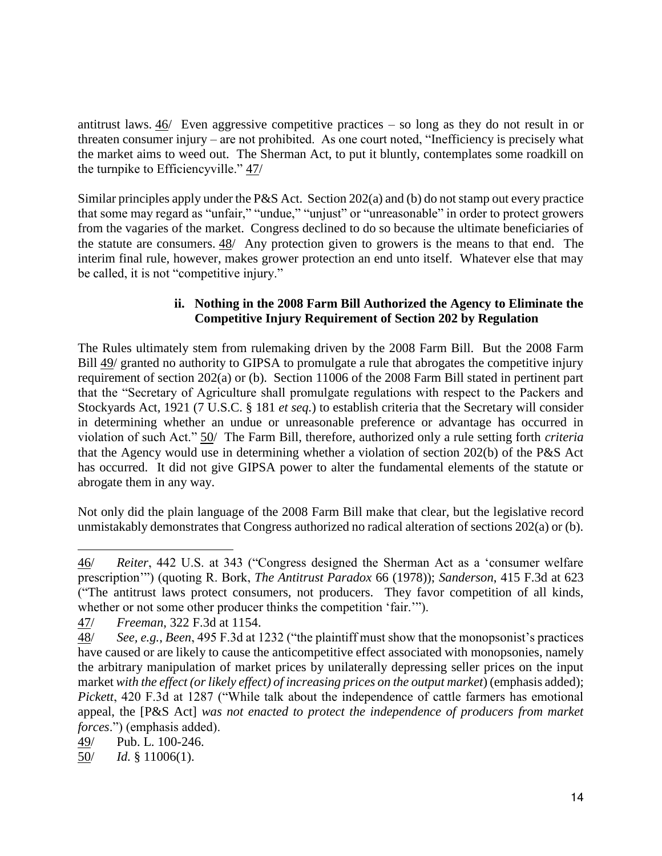antitrust laws. 46/ Even aggressive competitive practices – so long as they do not result in or threaten consumer injury – are not prohibited. As one court noted, "Inefficiency is precisely what the market aims to weed out. The Sherman Act, to put it bluntly, contemplates some roadkill on the turnpike to Efficiencyville." 47/

Similar principles apply under the P&S Act. Section 202(a) and (b) do not stamp out every practice that some may regard as "unfair," "undue," "unjust" or "unreasonable" in order to protect growers from the vagaries of the market. Congress declined to do so because the ultimate beneficiaries of the statute are consumers. 48/ Any protection given to growers is the means to that end. The interim final rule, however, makes grower protection an end unto itself. Whatever else that may be called, it is not "competitive injury."

## **ii. Nothing in the 2008 Farm Bill Authorized the Agency to Eliminate the Competitive Injury Requirement of Section 202 by Regulation**

The Rules ultimately stem from rulemaking driven by the 2008 Farm Bill. But the 2008 Farm Bill 49/ granted no authority to GIPSA to promulgate a rule that abrogates the competitive injury requirement of section 202(a) or (b). Section 11006 of the 2008 Farm Bill stated in pertinent part that the "Secretary of Agriculture shall promulgate regulations with respect to the Packers and Stockyards Act, 1921 (7 U.S.C. § 181 *et seq.*) to establish criteria that the Secretary will consider in determining whether an undue or unreasonable preference or advantage has occurred in violation of such Act." 50/ The Farm Bill, therefore, authorized only a rule setting forth *criteria* that the Agency would use in determining whether a violation of section 202(b) of the P&S Act has occurred. It did not give GIPSA power to alter the fundamental elements of the statute or abrogate them in any way.

Not only did the plain language of the 2008 Farm Bill make that clear, but the legislative record unmistakably demonstrates that Congress authorized no radical alteration of sections 202(a) or (b).

49/ Pub. L. 100-246.

50/ *Id.* § 11006(1).

 $\overline{a}$ 46/ *Reiter*, 442 U.S. at 343 ("Congress designed the Sherman Act as a 'consumer welfare prescription'") (quoting R. Bork, *The Antitrust Paradox* 66 (1978)); *Sanderson*, 415 F.3d at 623 ("The antitrust laws protect consumers, not producers. They favor competition of all kinds, whether or not some other producer thinks the competition 'fair.'").

<sup>47/</sup> *Freeman*, 322 F.3d at 1154.

<sup>48/</sup> *See, e.g.*, *Been*, 495 F.3d at 1232 ("the plaintiff must show that the monopsonist's practices have caused or are likely to cause the anticompetitive effect associated with monopsonies, namely the arbitrary manipulation of market prices by unilaterally depressing seller prices on the input market *with the effect (or likely effect) of increasing prices on the output market*) (emphasis added); *Pickett*, 420 F.3d at 1287 ("While talk about the independence of cattle farmers has emotional appeal, the [P&S Act] *was not enacted to protect the independence of producers from market forces*.") (emphasis added).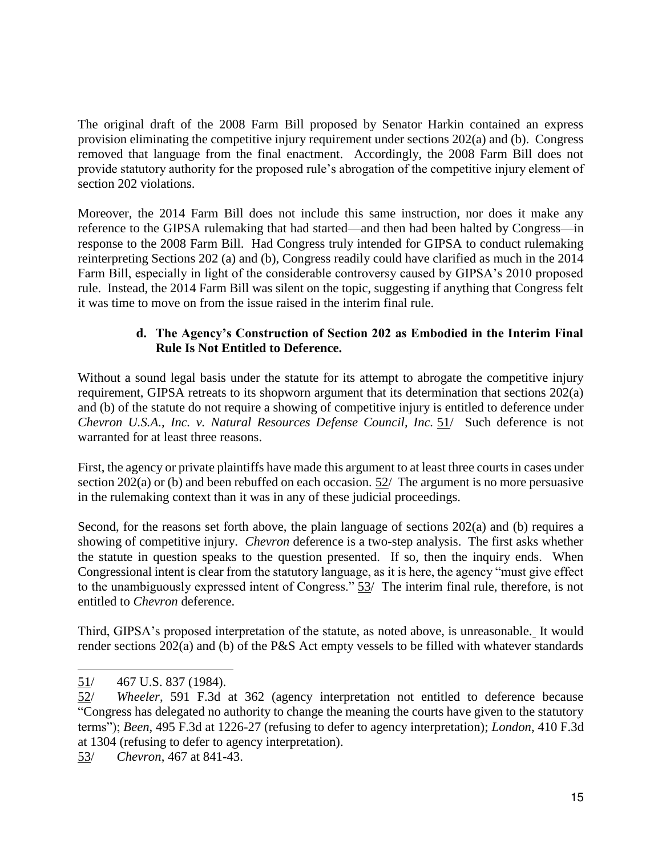The original draft of the 2008 Farm Bill proposed by Senator Harkin contained an express provision eliminating the competitive injury requirement under sections 202(a) and (b). Congress removed that language from the final enactment. Accordingly, the 2008 Farm Bill does not provide statutory authority for the proposed rule's abrogation of the competitive injury element of section 202 violations.

Moreover, the 2014 Farm Bill does not include this same instruction, nor does it make any reference to the GIPSA rulemaking that had started—and then had been halted by Congress—in response to the 2008 Farm Bill. Had Congress truly intended for GIPSA to conduct rulemaking reinterpreting Sections 202 (a) and (b), Congress readily could have clarified as much in the 2014 Farm Bill, especially in light of the considerable controversy caused by GIPSA's 2010 proposed rule. Instead, the 2014 Farm Bill was silent on the topic, suggesting if anything that Congress felt it was time to move on from the issue raised in the interim final rule.

## **d. The Agency's Construction of Section 202 as Embodied in the Interim Final Rule Is Not Entitled to Deference.**

Without a sound legal basis under the statute for its attempt to abrogate the competitive injury requirement, GIPSA retreats to its shopworn argument that its determination that sections 202(a) and (b) of the statute do not require a showing of competitive injury is entitled to deference under *Chevron U.S.A., Inc. v. Natural Resources Defense Council, Inc.* 51/ Such deference is not warranted for at least three reasons.

First, the agency or private plaintiffs have made this argument to at least three courts in cases under section 202(a) or (b) and been rebuffed on each occasion. 52/ The argument is no more persuasive in the rulemaking context than it was in any of these judicial proceedings.

Second, for the reasons set forth above, the plain language of sections 202(a) and (b) requires a showing of competitive injury. *Chevron* deference is a two-step analysis. The first asks whether the statute in question speaks to the question presented. If so, then the inquiry ends. When Congressional intent is clear from the statutory language, as it is here, the agency "must give effect to the unambiguously expressed intent of Congress." 53/ The interim final rule, therefore, is not entitled to *Chevron* deference.

Third, GIPSA's proposed interpretation of the statute, as noted above, is unreasonable. It would render sections 202(a) and (b) of the P&S Act empty vessels to be filled with whatever standards

 $\ddot{ }$ 

53/ *Chevron*, 467 at 841-43.

 $51/$  467 U.S. 837 (1984).

<sup>52/</sup> *Wheeler*, 591 F.3d at 362 (agency interpretation not entitled to deference because "Congress has delegated no authority to change the meaning the courts have given to the statutory terms"); *Been*, 495 F.3d at 1226-27 (refusing to defer to agency interpretation); *London*, 410 F.3d at 1304 (refusing to defer to agency interpretation).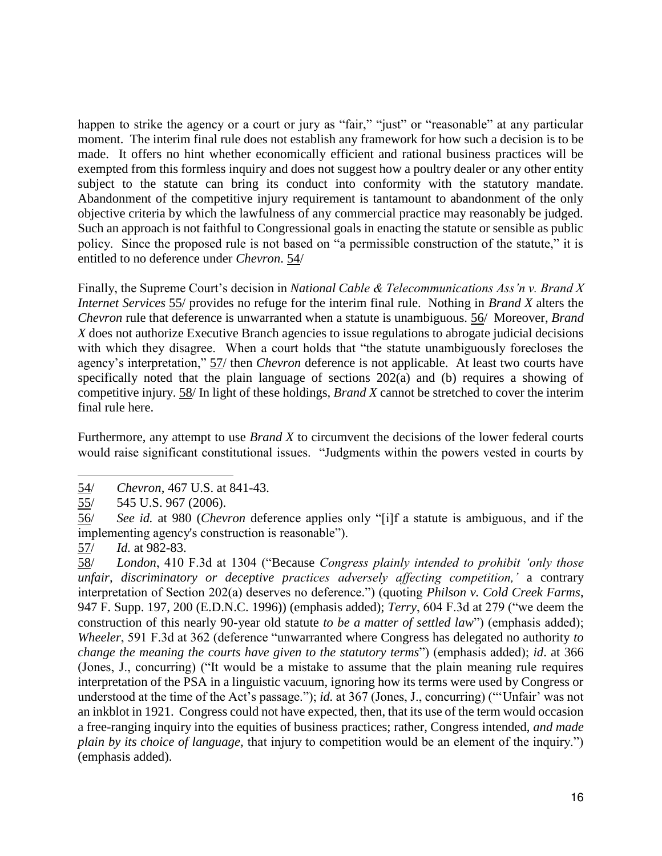happen to strike the agency or a court or jury as "fair," "just" or "reasonable" at any particular moment. The interim final rule does not establish any framework for how such a decision is to be made. It offers no hint whether economically efficient and rational business practices will be exempted from this formless inquiry and does not suggest how a poultry dealer or any other entity subject to the statute can bring its conduct into conformity with the statutory mandate. Abandonment of the competitive injury requirement is tantamount to abandonment of the only objective criteria by which the lawfulness of any commercial practice may reasonably be judged. Such an approach is not faithful to Congressional goals in enacting the statute or sensible as public policy. Since the proposed rule is not based on "a permissible construction of the statute," it is entitled to no deference under *Chevron*. 54/

Finally, the Supreme Court's decision in *National Cable & Telecommunications Ass'n v. Brand X Internet Services* 55/ provides no refuge for the interim final rule. Nothing in *Brand X* alters the *Chevron* rule that deference is unwarranted when a statute is unambiguous. 56/ Moreover, *Brand X* does not authorize Executive Branch agencies to issue regulations to abrogate judicial decisions with which they disagree. When a court holds that "the statute unambiguously forecloses the agency's interpretation," 57/ then *Chevron* deference is not applicable. At least two courts have specifically noted that the plain language of sections 202(a) and (b) requires a showing of competitive injury. 58/ In light of these holdings, *Brand X* cannot be stretched to cover the interim final rule here.

Furthermore, any attempt to use *Brand X* to circumvent the decisions of the lower federal courts would raise significant constitutional issues. "Judgments within the powers vested in courts by

 $\overline{a}$ 54/ *Chevron*, 467 U.S. at 841-43.

 $\frac{55}{10}$  545 U.S. 967 (2006).

<sup>56/</sup> *See id.* at 980 (*Chevron* deference applies only "[i]f a statute is ambiguous, and if the implementing agency's construction is reasonable").

<sup>57/</sup> *Id.* at 982-83.

<sup>58/</sup> *London*, 410 F.3d at 1304 ("Because *Congress plainly intended to prohibit 'only those unfair, discriminatory or deceptive practices adversely affecting competition,'* a contrary interpretation of Section 202(a) deserves no deference.") (quoting *Philson v. Cold Creek Farms*, 947 F. Supp. 197, 200 (E.D.N.C. 1996)) (emphasis added); *Terry*, 604 F.3d at 279 ("we deem the construction of this nearly 90-year old statute *to be a matter of settled law*") (emphasis added); *Wheeler*, 591 F.3d at 362 (deference "unwarranted where Congress has delegated no authority *to change the meaning the courts have given to the statutory terms*") (emphasis added); *id*. at 366 (Jones, J., concurring) ("It would be a mistake to assume that the plain meaning rule requires interpretation of the PSA in a linguistic vacuum, ignoring how its terms were used by Congress or understood at the time of the Act's passage."); *id.* at 367 (Jones, J., concurring) ("'Unfair' was not an inkblot in 1921. Congress could not have expected, then, that its use of the term would occasion a free-ranging inquiry into the equities of business practices; rather, Congress intended, *and made plain by its choice of language,* that injury to competition would be an element of the inquiry.") (emphasis added).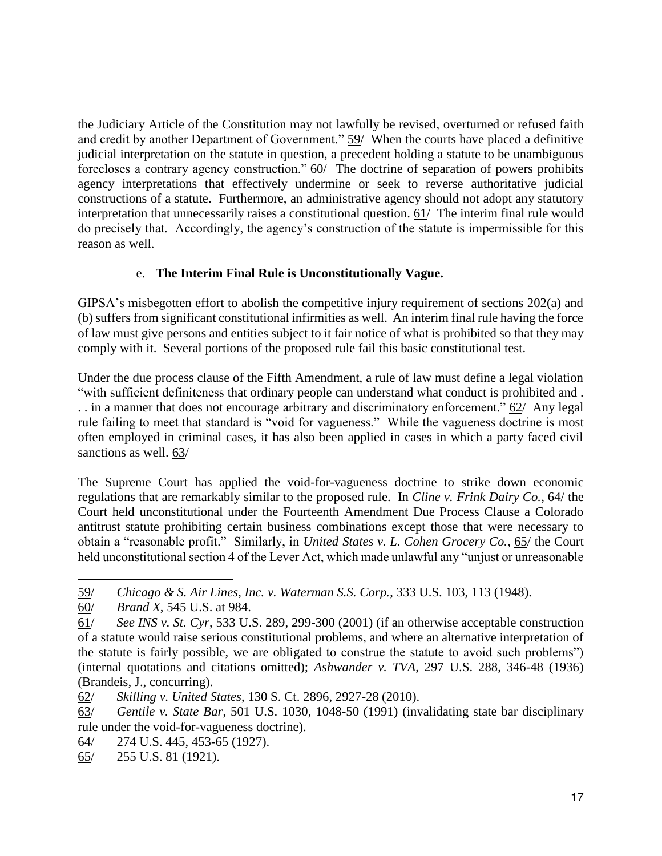the Judiciary Article of the Constitution may not lawfully be revised, overturned or refused faith and credit by another Department of Government." 59/ When the courts have placed a definitive judicial interpretation on the statute in question, a precedent holding a statute to be unambiguous forecloses a contrary agency construction." 60/ The doctrine of separation of powers prohibits agency interpretations that effectively undermine or seek to reverse authoritative judicial constructions of a statute. Furthermore, an administrative agency should not adopt any statutory interpretation that unnecessarily raises a constitutional question. 61/ The interim final rule would do precisely that. Accordingly, the agency's construction of the statute is impermissible for this reason as well.

## e. **The Interim Final Rule is Unconstitutionally Vague.**

GIPSA's misbegotten effort to abolish the competitive injury requirement of sections 202(a) and (b) suffers from significant constitutional infirmities as well. An interim final rule having the force of law must give persons and entities subject to it fair notice of what is prohibited so that they may comply with it. Several portions of the proposed rule fail this basic constitutional test.

Under the due process clause of the Fifth Amendment, a rule of law must define a legal violation "with sufficient definiteness that ordinary people can understand what conduct is prohibited and . . . in a manner that does not encourage arbitrary and discriminatory enforcement." 62/ Any legal rule failing to meet that standard is "void for vagueness." While the vagueness doctrine is most often employed in criminal cases, it has also been applied in cases in which a party faced civil sanctions as well. 63/

The Supreme Court has applied the void-for-vagueness doctrine to strike down economic regulations that are remarkably similar to the proposed rule. In *Cline v. Frink Dairy Co.*, 64/ the Court held unconstitutional under the Fourteenth Amendment Due Process Clause a Colorado antitrust statute prohibiting certain business combinations except those that were necessary to obtain a "reasonable profit." Similarly, in *United States v. L. Cohen Grocery Co.*, 65/ the Court held unconstitutional section 4 of the Lever Act, which made unlawful any "unjust or unreasonable

64/ 274 U.S. 445, 453-65 (1927).

65/ 255 U.S. 81 (1921).

 $\ddot{ }$ 59/ *Chicago & S. Air Lines, Inc. v. Waterman S.S. Corp.*, 333 U.S. 103, 113 (1948).

<sup>60/</sup> *Brand X*, 545 U.S. at 984.

<sup>61/</sup> *See INS v. St. Cyr*, 533 U.S. 289, 299-300 (2001) (if an otherwise acceptable construction of a statute would raise serious constitutional problems, and where an alternative interpretation of the statute is fairly possible, we are obligated to construe the statute to avoid such problems") (internal quotations and citations omitted); *Ashwander v. TVA*, 297 U.S. 288, 346-48 (1936) (Brandeis, J., concurring).

<sup>62/</sup> *Skilling v. United States*, 130 S. Ct. 2896, 2927-28 (2010).

<sup>63/</sup> *Gentile v. State Bar*, 501 U.S. 1030, 1048-50 (1991) (invalidating state bar disciplinary rule under the void-for-vagueness doctrine).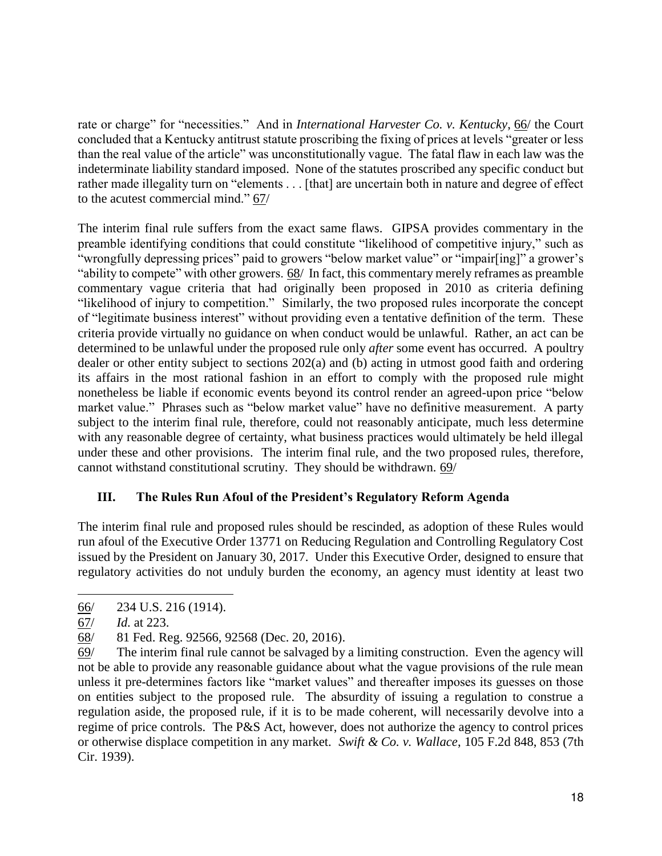rate or charge" for "necessities." And in *International Harvester Co. v. Kentucky*, 66/ the Court concluded that a Kentucky antitrust statute proscribing the fixing of prices at levels "greater or less than the real value of the article" was unconstitutionally vague. The fatal flaw in each law was the indeterminate liability standard imposed. None of the statutes proscribed any specific conduct but rather made illegality turn on "elements . . . [that] are uncertain both in nature and degree of effect to the acutest commercial mind." 67/

The interim final rule suffers from the exact same flaws. GIPSA provides commentary in the preamble identifying conditions that could constitute "likelihood of competitive injury," such as "wrongfully depressing prices" paid to growers "below market value" or "impair[ing]" a grower's "ability to compete" with other growers. 68/ In fact, this commentary merely reframes as preamble commentary vague criteria that had originally been proposed in 2010 as criteria defining "likelihood of injury to competition." Similarly, the two proposed rules incorporate the concept of "legitimate business interest" without providing even a tentative definition of the term. These criteria provide virtually no guidance on when conduct would be unlawful. Rather, an act can be determined to be unlawful under the proposed rule only *after* some event has occurred. A poultry dealer or other entity subject to sections 202(a) and (b) acting in utmost good faith and ordering its affairs in the most rational fashion in an effort to comply with the proposed rule might nonetheless be liable if economic events beyond its control render an agreed-upon price "below market value." Phrases such as "below market value" have no definitive measurement. A party subject to the interim final rule, therefore, could not reasonably anticipate, much less determine with any reasonable degree of certainty, what business practices would ultimately be held illegal under these and other provisions. The interim final rule, and the two proposed rules, therefore, cannot withstand constitutional scrutiny. They should be withdrawn. 69/

## **III. The Rules Run Afoul of the President's Regulatory Reform Agenda**

The interim final rule and proposed rules should be rescinded, as adoption of these Rules would run afoul of the Executive Order 13771 on Reducing Regulation and Controlling Regulatory Cost issued by the President on January 30, 2017. Under this Executive Order, designed to ensure that regulatory activities do not unduly burden the economy, an agency must identity at least two

 $\ddot{ }$ 

<sup>66/ 234</sup> U.S. 216 (1914).

<sup>67/</sup> *Id.* at 223.

<sup>68/ 81</sup> Fed. Reg. 92566, 92568 (Dec. 20, 2016).

<sup>69/</sup> The interim final rule cannot be salvaged by a limiting construction. Even the agency will not be able to provide any reasonable guidance about what the vague provisions of the rule mean unless it pre-determines factors like "market values" and thereafter imposes its guesses on those on entities subject to the proposed rule. The absurdity of issuing a regulation to construe a regulation aside, the proposed rule, if it is to be made coherent, will necessarily devolve into a regime of price controls. The P&S Act, however, does not authorize the agency to control prices or otherwise displace competition in any market. *Swift & Co. v. Wallace*, 105 F.2d 848, 853 (7th Cir. 1939).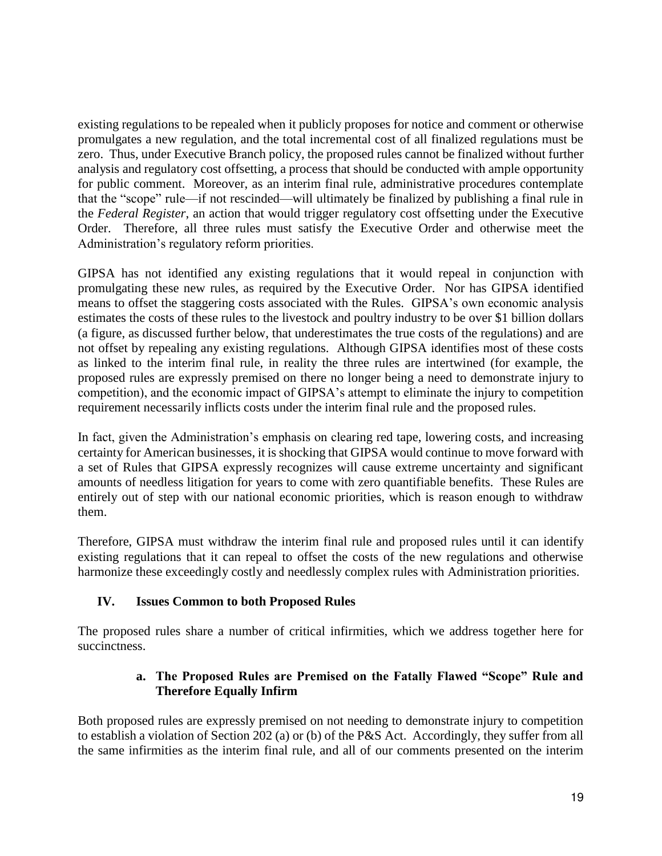existing regulations to be repealed when it publicly proposes for notice and comment or otherwise promulgates a new regulation, and the total incremental cost of all finalized regulations must be zero. Thus, under Executive Branch policy, the proposed rules cannot be finalized without further analysis and regulatory cost offsetting, a process that should be conducted with ample opportunity for public comment. Moreover, as an interim final rule, administrative procedures contemplate that the "scope" rule—if not rescinded—will ultimately be finalized by publishing a final rule in the *Federal Register*, an action that would trigger regulatory cost offsetting under the Executive Order. Therefore, all three rules must satisfy the Executive Order and otherwise meet the Administration's regulatory reform priorities.

GIPSA has not identified any existing regulations that it would repeal in conjunction with promulgating these new rules, as required by the Executive Order. Nor has GIPSA identified means to offset the staggering costs associated with the Rules. GIPSA's own economic analysis estimates the costs of these rules to the livestock and poultry industry to be over \$1 billion dollars (a figure, as discussed further below, that underestimates the true costs of the regulations) and are not offset by repealing any existing regulations. Although GIPSA identifies most of these costs as linked to the interim final rule, in reality the three rules are intertwined (for example, the proposed rules are expressly premised on there no longer being a need to demonstrate injury to competition), and the economic impact of GIPSA's attempt to eliminate the injury to competition requirement necessarily inflicts costs under the interim final rule and the proposed rules.

In fact, given the Administration's emphasis on clearing red tape, lowering costs, and increasing certainty for American businesses, it is shocking that GIPSA would continue to move forward with a set of Rules that GIPSA expressly recognizes will cause extreme uncertainty and significant amounts of needless litigation for years to come with zero quantifiable benefits. These Rules are entirely out of step with our national economic priorities, which is reason enough to withdraw them.

Therefore, GIPSA must withdraw the interim final rule and proposed rules until it can identify existing regulations that it can repeal to offset the costs of the new regulations and otherwise harmonize these exceedingly costly and needlessly complex rules with Administration priorities.

## **IV. Issues Common to both Proposed Rules**

The proposed rules share a number of critical infirmities, which we address together here for succinctness.

## **a. The Proposed Rules are Premised on the Fatally Flawed "Scope" Rule and Therefore Equally Infirm**

Both proposed rules are expressly premised on not needing to demonstrate injury to competition to establish a violation of Section 202 (a) or (b) of the P&S Act. Accordingly, they suffer from all the same infirmities as the interim final rule, and all of our comments presented on the interim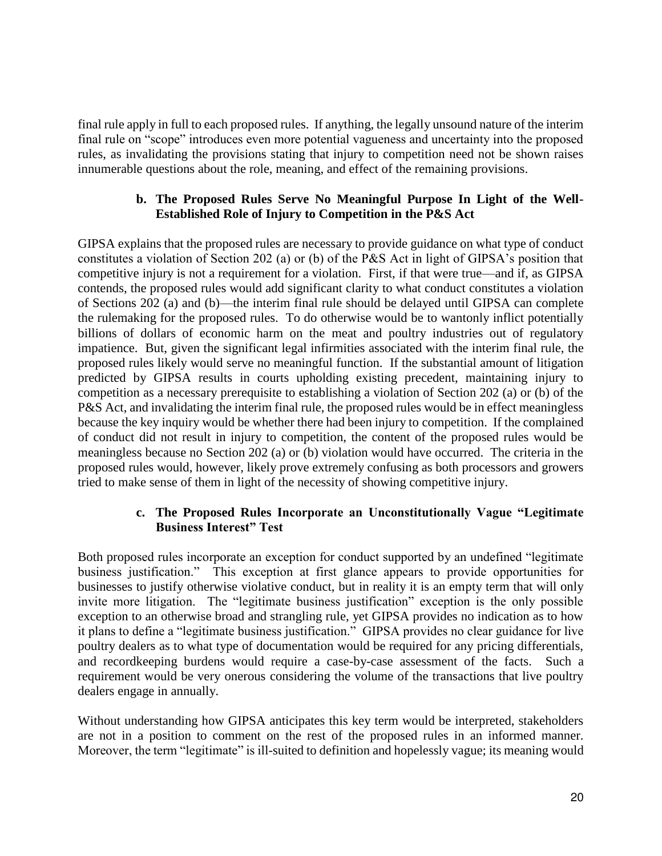final rule apply in full to each proposed rules. If anything, the legally unsound nature of the interim final rule on "scope" introduces even more potential vagueness and uncertainty into the proposed rules, as invalidating the provisions stating that injury to competition need not be shown raises innumerable questions about the role, meaning, and effect of the remaining provisions.

### **b. The Proposed Rules Serve No Meaningful Purpose In Light of the Well-Established Role of Injury to Competition in the P&S Act**

GIPSA explains that the proposed rules are necessary to provide guidance on what type of conduct constitutes a violation of Section 202 (a) or (b) of the P&S Act in light of GIPSA's position that competitive injury is not a requirement for a violation. First, if that were true—and if, as GIPSA contends, the proposed rules would add significant clarity to what conduct constitutes a violation of Sections 202 (a) and (b)—the interim final rule should be delayed until GIPSA can complete the rulemaking for the proposed rules. To do otherwise would be to wantonly inflict potentially billions of dollars of economic harm on the meat and poultry industries out of regulatory impatience. But, given the significant legal infirmities associated with the interim final rule, the proposed rules likely would serve no meaningful function. If the substantial amount of litigation predicted by GIPSA results in courts upholding existing precedent, maintaining injury to competition as a necessary prerequisite to establishing a violation of Section 202 (a) or (b) of the P&S Act, and invalidating the interim final rule, the proposed rules would be in effect meaningless because the key inquiry would be whether there had been injury to competition. If the complained of conduct did not result in injury to competition, the content of the proposed rules would be meaningless because no Section 202 (a) or (b) violation would have occurred. The criteria in the proposed rules would, however, likely prove extremely confusing as both processors and growers tried to make sense of them in light of the necessity of showing competitive injury.

## **c. The Proposed Rules Incorporate an Unconstitutionally Vague "Legitimate Business Interest" Test**

Both proposed rules incorporate an exception for conduct supported by an undefined "legitimate business justification." This exception at first glance appears to provide opportunities for businesses to justify otherwise violative conduct, but in reality it is an empty term that will only invite more litigation. The "legitimate business justification" exception is the only possible exception to an otherwise broad and strangling rule, yet GIPSA provides no indication as to how it plans to define a "legitimate business justification." GIPSA provides no clear guidance for live poultry dealers as to what type of documentation would be required for any pricing differentials, and recordkeeping burdens would require a case-by-case assessment of the facts. Such a requirement would be very onerous considering the volume of the transactions that live poultry dealers engage in annually.

Without understanding how GIPSA anticipates this key term would be interpreted, stakeholders are not in a position to comment on the rest of the proposed rules in an informed manner. Moreover, the term "legitimate" is ill-suited to definition and hopelessly vague; its meaning would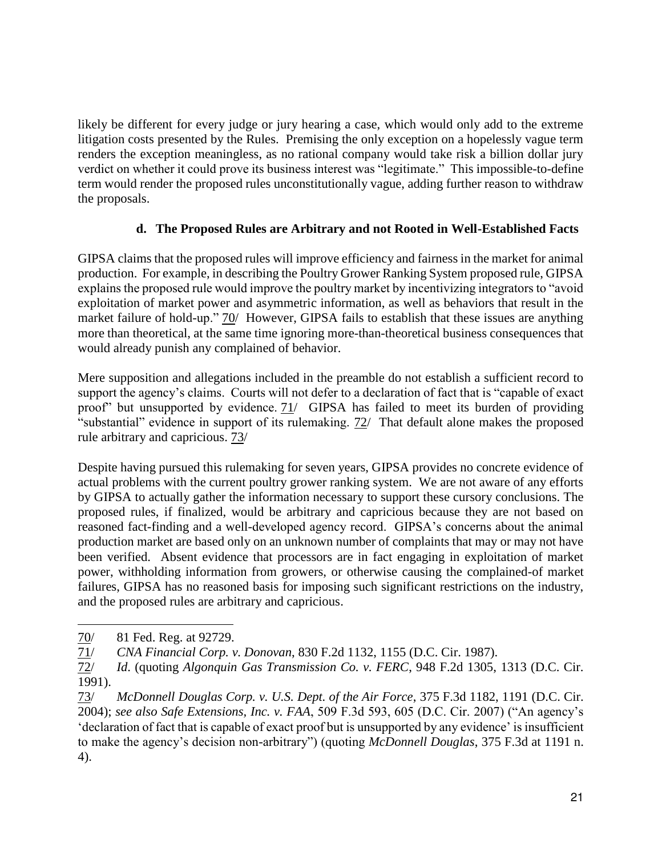likely be different for every judge or jury hearing a case, which would only add to the extreme litigation costs presented by the Rules. Premising the only exception on a hopelessly vague term renders the exception meaningless, as no rational company would take risk a billion dollar jury verdict on whether it could prove its business interest was "legitimate." This impossible-to-define term would render the proposed rules unconstitutionally vague, adding further reason to withdraw the proposals.

## **d. The Proposed Rules are Arbitrary and not Rooted in Well-Established Facts**

GIPSA claims that the proposed rules will improve efficiency and fairness in the market for animal production. For example, in describing the Poultry Grower Ranking System proposed rule, GIPSA explains the proposed rule would improve the poultry market by incentivizing integrators to "avoid exploitation of market power and asymmetric information, as well as behaviors that result in the market failure of hold-up." 70/ However, GIPSA fails to establish that these issues are anything more than theoretical, at the same time ignoring more-than-theoretical business consequences that would already punish any complained of behavior.

Mere supposition and allegations included in the preamble do not establish a sufficient record to support the agency's claims. Courts will not defer to a declaration of fact that is "capable of exact proof" but unsupported by evidence. 71/ GIPSA has failed to meet its burden of providing "substantial" evidence in support of its rulemaking. 72/ That default alone makes the proposed rule arbitrary and capricious. 73/

Despite having pursued this rulemaking for seven years, GIPSA provides no concrete evidence of actual problems with the current poultry grower ranking system. We are not aware of any efforts by GIPSA to actually gather the information necessary to support these cursory conclusions. The proposed rules, if finalized, would be arbitrary and capricious because they are not based on reasoned fact-finding and a well-developed agency record. GIPSA's concerns about the animal production market are based only on an unknown number of complaints that may or may not have been verified. Absent evidence that processors are in fact engaging in exploitation of market power, withholding information from growers, or otherwise causing the complained-of market failures, GIPSA has no reasoned basis for imposing such significant restrictions on the industry, and the proposed rules are arbitrary and capricious.

 $\overline{a}$ 70/ 81 Fed. Reg. at 92729.

<sup>71/</sup> *CNA Financial Corp. v. Donovan*, 830 F.2d 1132, 1155 (D.C. Cir. 1987).

<sup>72/</sup> *Id*. (quoting *Algonquin Gas Transmission Co. v. FERC*, 948 F.2d 1305, 1313 (D.C. Cir. 1991).

<sup>73/</sup> *McDonnell Douglas Corp. v. U.S. Dept. of the Air Force*, 375 F.3d 1182, 1191 (D.C. Cir. 2004); *see also Safe Extensions, Inc. v. FAA*, 509 F.3d 593, 605 (D.C. Cir. 2007) ("An agency's 'declaration of fact that is capable of exact proof but is unsupported by any evidence' is insufficient to make the agency's decision non-arbitrary") (quoting *McDonnell Douglas*, 375 F.3d at 1191 n. 4).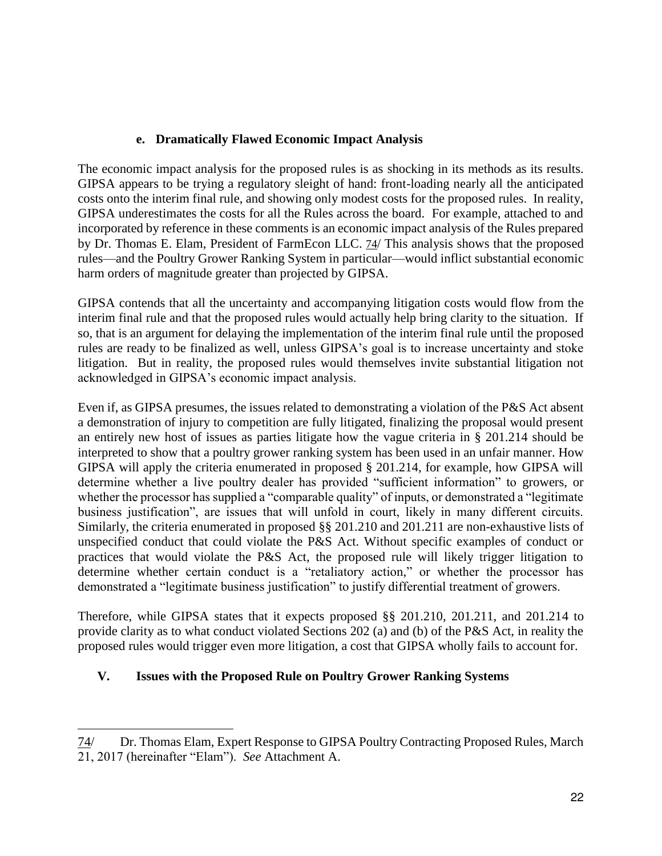## **e. Dramatically Flawed Economic Impact Analysis**

The economic impact analysis for the proposed rules is as shocking in its methods as its results. GIPSA appears to be trying a regulatory sleight of hand: front-loading nearly all the anticipated costs onto the interim final rule, and showing only modest costs for the proposed rules. In reality, GIPSA underestimates the costs for all the Rules across the board. For example, attached to and incorporated by reference in these comments is an economic impact analysis of the Rules prepared by Dr. Thomas E. Elam, President of FarmEcon LLC. 74/ This analysis shows that the proposed rules—and the Poultry Grower Ranking System in particular—would inflict substantial economic harm orders of magnitude greater than projected by GIPSA.

GIPSA contends that all the uncertainty and accompanying litigation costs would flow from the interim final rule and that the proposed rules would actually help bring clarity to the situation. If so, that is an argument for delaying the implementation of the interim final rule until the proposed rules are ready to be finalized as well, unless GIPSA's goal is to increase uncertainty and stoke litigation. But in reality, the proposed rules would themselves invite substantial litigation not acknowledged in GIPSA's economic impact analysis.

Even if, as GIPSA presumes, the issues related to demonstrating a violation of the P&S Act absent a demonstration of injury to competition are fully litigated, finalizing the proposal would present an entirely new host of issues as parties litigate how the vague criteria in § 201.214 should be interpreted to show that a poultry grower ranking system has been used in an unfair manner. How GIPSA will apply the criteria enumerated in proposed § 201.214, for example, how GIPSA will determine whether a live poultry dealer has provided "sufficient information" to growers, or whether the processor has supplied a "comparable quality" of inputs, or demonstrated a "legitimate business justification", are issues that will unfold in court, likely in many different circuits. Similarly, the criteria enumerated in proposed §§ 201.210 and 201.211 are non-exhaustive lists of unspecified conduct that could violate the P&S Act. Without specific examples of conduct or practices that would violate the P&S Act, the proposed rule will likely trigger litigation to determine whether certain conduct is a "retaliatory action," or whether the processor has demonstrated a "legitimate business justification" to justify differential treatment of growers.

Therefore, while GIPSA states that it expects proposed §§ 201.210, 201.211, and 201.214 to provide clarity as to what conduct violated Sections 202 (a) and (b) of the P&S Act, in reality the proposed rules would trigger even more litigation, a cost that GIPSA wholly fails to account for.

## **V. Issues with the Proposed Rule on Poultry Grower Ranking Systems**

 $\ddot{ }$ 74/ Dr. Thomas Elam, Expert Response to GIPSA Poultry Contracting Proposed Rules, March 21, 2017 (hereinafter "Elam"). *See* Attachment A.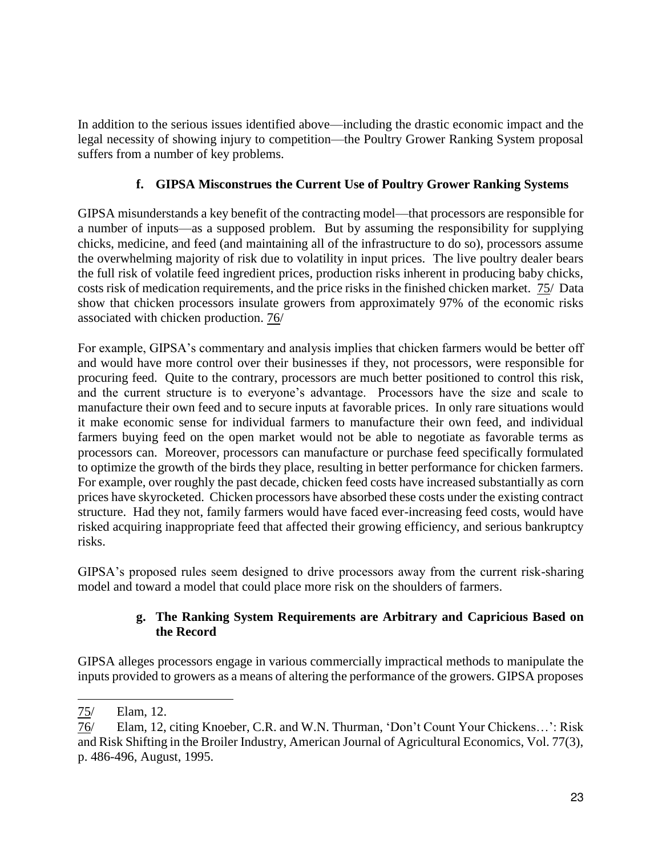In addition to the serious issues identified above—including the drastic economic impact and the legal necessity of showing injury to competition—the Poultry Grower Ranking System proposal suffers from a number of key problems.

## **f. GIPSA Misconstrues the Current Use of Poultry Grower Ranking Systems**

GIPSA misunderstands a key benefit of the contracting model—that processors are responsible for a number of inputs—as a supposed problem. But by assuming the responsibility for supplying chicks, medicine, and feed (and maintaining all of the infrastructure to do so), processors assume the overwhelming majority of risk due to volatility in input prices. The live poultry dealer bears the full risk of volatile feed ingredient prices, production risks inherent in producing baby chicks, costs risk of medication requirements, and the price risks in the finished chicken market. 75/ Data show that chicken processors insulate growers from approximately 97% of the economic risks associated with chicken production. 76/

For example, GIPSA's commentary and analysis implies that chicken farmers would be better off and would have more control over their businesses if they, not processors, were responsible for procuring feed. Quite to the contrary, processors are much better positioned to control this risk, and the current structure is to everyone's advantage. Processors have the size and scale to manufacture their own feed and to secure inputs at favorable prices. In only rare situations would it make economic sense for individual farmers to manufacture their own feed, and individual farmers buying feed on the open market would not be able to negotiate as favorable terms as processors can. Moreover, processors can manufacture or purchase feed specifically formulated to optimize the growth of the birds they place, resulting in better performance for chicken farmers. For example, over roughly the past decade, chicken feed costs have increased substantially as corn prices have skyrocketed. Chicken processors have absorbed these costs under the existing contract structure. Had they not, family farmers would have faced ever-increasing feed costs, would have risked acquiring inappropriate feed that affected their growing efficiency, and serious bankruptcy risks.

GIPSA's proposed rules seem designed to drive processors away from the current risk-sharing model and toward a model that could place more risk on the shoulders of farmers.

## **g. The Ranking System Requirements are Arbitrary and Capricious Based on the Record**

GIPSA alleges processors engage in various commercially impractical methods to manipulate the inputs provided to growers as a means of altering the performance of the growers. GIPSA proposes

 $\overline{a}$ 75/ Elam, 12.

<sup>76/</sup> Elam, 12, citing Knoeber, C.R. and W.N. Thurman, 'Don't Count Your Chickens…': Risk and Risk Shifting in the Broiler Industry, American Journal of Agricultural Economics, Vol. 77(3), p. 486-496, August, 1995.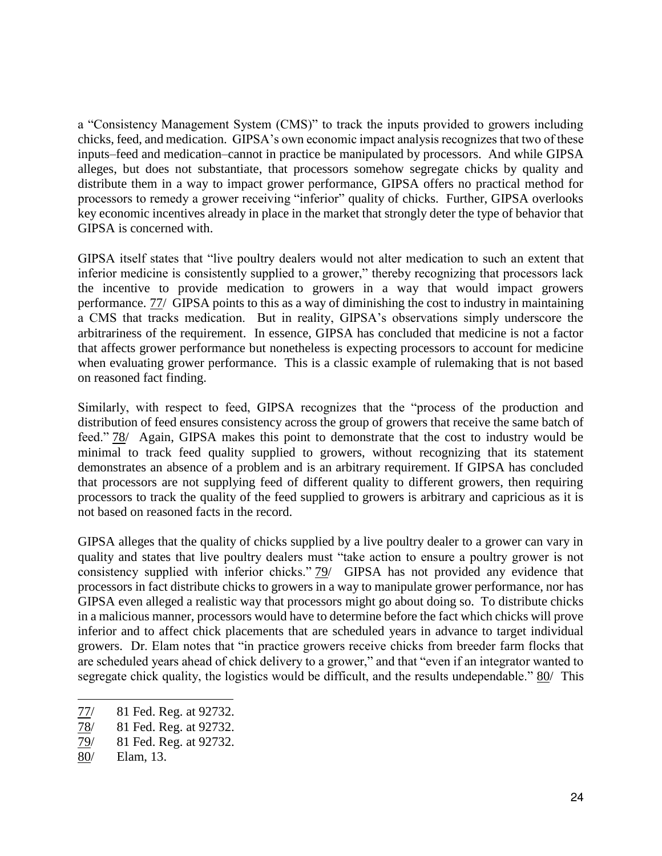a "Consistency Management System (CMS)" to track the inputs provided to growers including chicks, feed, and medication. GIPSA's own economic impact analysis recognizes that two of these inputs–feed and medication–cannot in practice be manipulated by processors. And while GIPSA alleges, but does not substantiate, that processors somehow segregate chicks by quality and distribute them in a way to impact grower performance, GIPSA offers no practical method for processors to remedy a grower receiving "inferior" quality of chicks. Further, GIPSA overlooks key economic incentives already in place in the market that strongly deter the type of behavior that GIPSA is concerned with.

GIPSA itself states that "live poultry dealers would not alter medication to such an extent that inferior medicine is consistently supplied to a grower," thereby recognizing that processors lack the incentive to provide medication to growers in a way that would impact growers performance. 77/ GIPSA points to this as a way of diminishing the cost to industry in maintaining a CMS that tracks medication. But in reality, GIPSA's observations simply underscore the arbitrariness of the requirement. In essence, GIPSA has concluded that medicine is not a factor that affects grower performance but nonetheless is expecting processors to account for medicine when evaluating grower performance. This is a classic example of rulemaking that is not based on reasoned fact finding.

Similarly, with respect to feed, GIPSA recognizes that the "process of the production and distribution of feed ensures consistency across the group of growers that receive the same batch of feed." 78/ Again, GIPSA makes this point to demonstrate that the cost to industry would be minimal to track feed quality supplied to growers, without recognizing that its statement demonstrates an absence of a problem and is an arbitrary requirement. If GIPSA has concluded that processors are not supplying feed of different quality to different growers, then requiring processors to track the quality of the feed supplied to growers is arbitrary and capricious as it is not based on reasoned facts in the record.

GIPSA alleges that the quality of chicks supplied by a live poultry dealer to a grower can vary in quality and states that live poultry dealers must "take action to ensure a poultry grower is not consistency supplied with inferior chicks." 79/ GIPSA has not provided any evidence that processors in fact distribute chicks to growers in a way to manipulate grower performance, nor has GIPSA even alleged a realistic way that processors might go about doing so. To distribute chicks in a malicious manner, processors would have to determine before the fact which chicks will prove inferior and to affect chick placements that are scheduled years in advance to target individual growers. Dr. Elam notes that "in practice growers receive chicks from breeder farm flocks that are scheduled years ahead of chick delivery to a grower," and that "even if an integrator wanted to segregate chick quality, the logistics would be difficult, and the results undependable." 80/ This

<sup>77/ 81</sup> Fed. Reg. at 92732.

<sup>78/ 81</sup> Fed. Reg. at 92732.

<sup>79/ 81</sup> Fed. Reg. at 92732.

<sup>80/</sup> Elam, 13.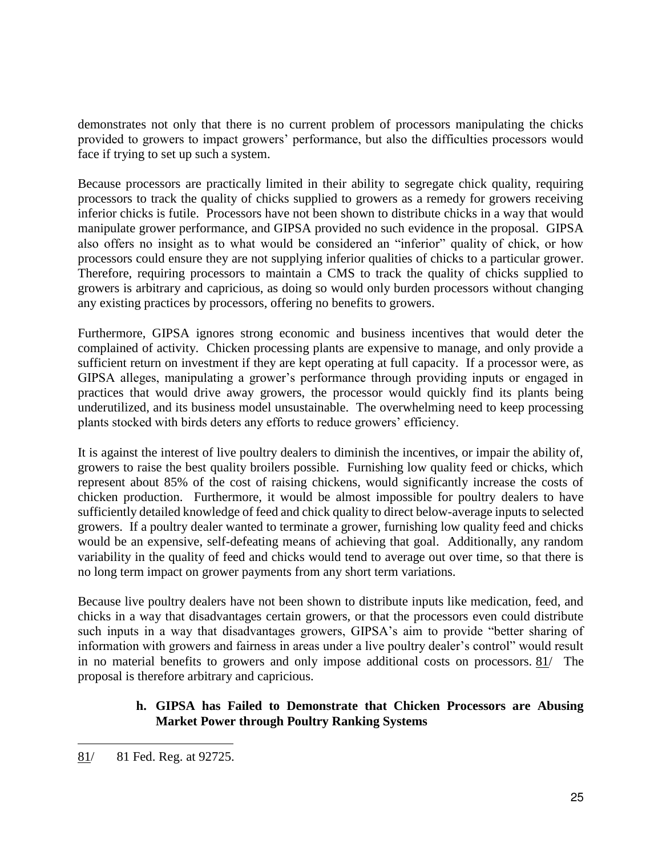demonstrates not only that there is no current problem of processors manipulating the chicks provided to growers to impact growers' performance, but also the difficulties processors would face if trying to set up such a system.

Because processors are practically limited in their ability to segregate chick quality, requiring processors to track the quality of chicks supplied to growers as a remedy for growers receiving inferior chicks is futile. Processors have not been shown to distribute chicks in a way that would manipulate grower performance, and GIPSA provided no such evidence in the proposal. GIPSA also offers no insight as to what would be considered an "inferior" quality of chick, or how processors could ensure they are not supplying inferior qualities of chicks to a particular grower. Therefore, requiring processors to maintain a CMS to track the quality of chicks supplied to growers is arbitrary and capricious, as doing so would only burden processors without changing any existing practices by processors, offering no benefits to growers.

Furthermore, GIPSA ignores strong economic and business incentives that would deter the complained of activity. Chicken processing plants are expensive to manage, and only provide a sufficient return on investment if they are kept operating at full capacity. If a processor were, as GIPSA alleges, manipulating a grower's performance through providing inputs or engaged in practices that would drive away growers, the processor would quickly find its plants being underutilized, and its business model unsustainable. The overwhelming need to keep processing plants stocked with birds deters any efforts to reduce growers' efficiency.

It is against the interest of live poultry dealers to diminish the incentives, or impair the ability of, growers to raise the best quality broilers possible. Furnishing low quality feed or chicks, which represent about 85% of the cost of raising chickens, would significantly increase the costs of chicken production. Furthermore, it would be almost impossible for poultry dealers to have sufficiently detailed knowledge of feed and chick quality to direct below-average inputs to selected growers. If a poultry dealer wanted to terminate a grower, furnishing low quality feed and chicks would be an expensive, self-defeating means of achieving that goal. Additionally, any random variability in the quality of feed and chicks would tend to average out over time, so that there is no long term impact on grower payments from any short term variations.

Because live poultry dealers have not been shown to distribute inputs like medication, feed, and chicks in a way that disadvantages certain growers, or that the processors even could distribute such inputs in a way that disadvantages growers, GIPSA's aim to provide "better sharing of information with growers and fairness in areas under a live poultry dealer's control" would result in no material benefits to growers and only impose additional costs on processors. 81/ The proposal is therefore arbitrary and capricious.

## **h. GIPSA has Failed to Demonstrate that Chicken Processors are Abusing Market Power through Poultry Ranking Systems**

 $\ddot{ }$ 

<sup>81/ 81</sup> Fed. Reg. at 92725.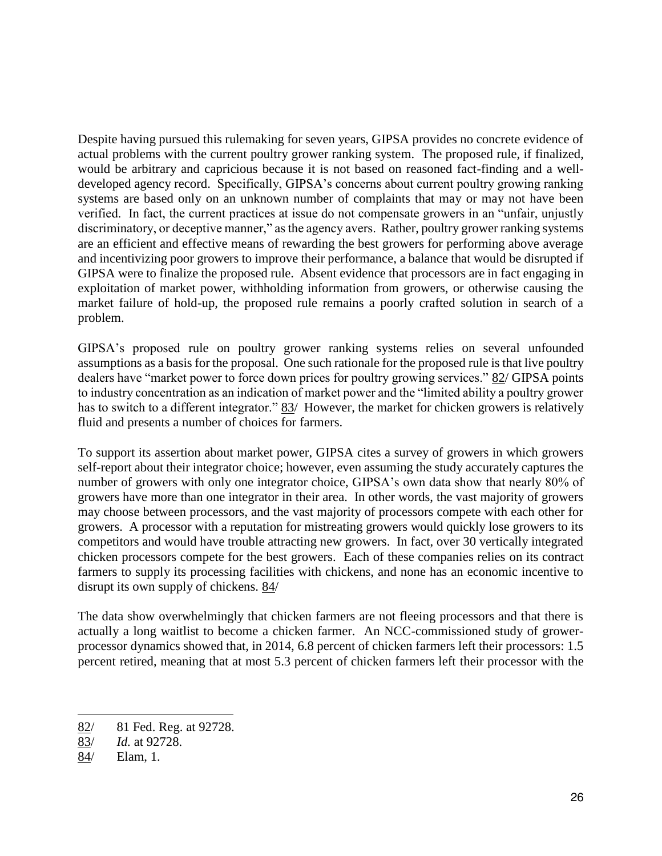Despite having pursued this rulemaking for seven years, GIPSA provides no concrete evidence of actual problems with the current poultry grower ranking system. The proposed rule, if finalized, would be arbitrary and capricious because it is not based on reasoned fact-finding and a welldeveloped agency record. Specifically, GIPSA's concerns about current poultry growing ranking systems are based only on an unknown number of complaints that may or may not have been verified. In fact, the current practices at issue do not compensate growers in an "unfair, unjustly discriminatory, or deceptive manner," as the agency avers. Rather, poultry grower ranking systems are an efficient and effective means of rewarding the best growers for performing above average and incentivizing poor growers to improve their performance, a balance that would be disrupted if GIPSA were to finalize the proposed rule. Absent evidence that processors are in fact engaging in exploitation of market power, withholding information from growers, or otherwise causing the market failure of hold-up, the proposed rule remains a poorly crafted solution in search of a problem.

GIPSA's proposed rule on poultry grower ranking systems relies on several unfounded assumptions as a basis for the proposal. One such rationale for the proposed rule is that live poultry dealers have "market power to force down prices for poultry growing services." 82/ GIPSA points to industry concentration as an indication of market power and the "limited ability a poultry grower has to switch to a different integrator." 83/ However, the market for chicken growers is relatively fluid and presents a number of choices for farmers.

To support its assertion about market power, GIPSA cites a survey of growers in which growers self-report about their integrator choice; however, even assuming the study accurately captures the number of growers with only one integrator choice, GIPSA's own data show that nearly 80% of growers have more than one integrator in their area. In other words, the vast majority of growers may choose between processors, and the vast majority of processors compete with each other for growers. A processor with a reputation for mistreating growers would quickly lose growers to its competitors and would have trouble attracting new growers. In fact, over 30 vertically integrated chicken processors compete for the best growers. Each of these companies relies on its contract farmers to supply its processing facilities with chickens, and none has an economic incentive to disrupt its own supply of chickens. 84/

The data show overwhelmingly that chicken farmers are not fleeing processors and that there is actually a long waitlist to become a chicken farmer. An NCC-commissioned study of growerprocessor dynamics showed that, in 2014, 6.8 percent of chicken farmers left their processors: 1.5 percent retired, meaning that at most 5.3 percent of chicken farmers left their processor with the

<sup>82/ 81</sup> Fed. Reg. at 92728.

<sup>83/</sup> *Id.* at 92728.

<sup>84/</sup> Elam, 1.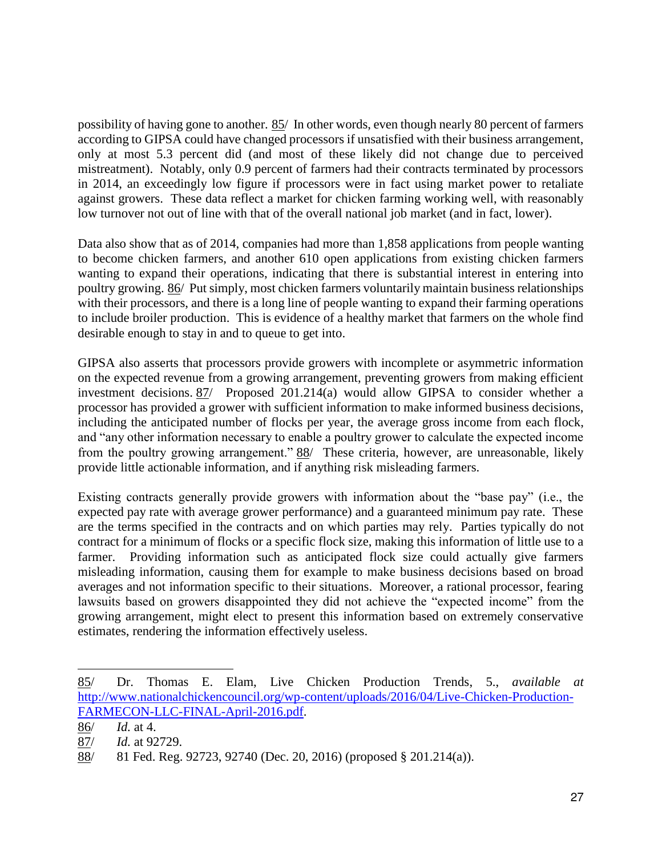possibility of having gone to another. 85/ In other words, even though nearly 80 percent of farmers according to GIPSA could have changed processors if unsatisfied with their business arrangement, only at most 5.3 percent did (and most of these likely did not change due to perceived mistreatment). Notably, only 0.9 percent of farmers had their contracts terminated by processors in 2014, an exceedingly low figure if processors were in fact using market power to retaliate against growers. These data reflect a market for chicken farming working well, with reasonably low turnover not out of line with that of the overall national job market (and in fact, lower).

Data also show that as of 2014, companies had more than 1,858 applications from people wanting to become chicken farmers, and another 610 open applications from existing chicken farmers wanting to expand their operations, indicating that there is substantial interest in entering into poultry growing. 86/ Put simply, most chicken farmers voluntarily maintain business relationships with their processors, and there is a long line of people wanting to expand their farming operations to include broiler production. This is evidence of a healthy market that farmers on the whole find desirable enough to stay in and to queue to get into.

GIPSA also asserts that processors provide growers with incomplete or asymmetric information on the expected revenue from a growing arrangement, preventing growers from making efficient investment decisions. 87/ Proposed 201.214(a) would allow GIPSA to consider whether a processor has provided a grower with sufficient information to make informed business decisions, including the anticipated number of flocks per year, the average gross income from each flock, and "any other information necessary to enable a poultry grower to calculate the expected income from the poultry growing arrangement." 88/ These criteria, however, are unreasonable, likely provide little actionable information, and if anything risk misleading farmers.

Existing contracts generally provide growers with information about the "base pay" (i.e., the expected pay rate with average grower performance) and a guaranteed minimum pay rate. These are the terms specified in the contracts and on which parties may rely. Parties typically do not contract for a minimum of flocks or a specific flock size, making this information of little use to a farmer. Providing information such as anticipated flock size could actually give farmers misleading information, causing them for example to make business decisions based on broad averages and not information specific to their situations. Moreover, a rational processor, fearing lawsuits based on growers disappointed they did not achieve the "expected income" from the growing arrangement, might elect to present this information based on extremely conservative estimates, rendering the information effectively useless.

l

<sup>85/</sup> Dr. Thomas E. Elam, Live Chicken Production Trends, 5., *available at* [http://www.nationalchickencouncil.org/wp-content/uploads/2016/04/Live-Chicken-Production-](http://www.nationalchickencouncil.org/wp-content/uploads/2016/04/Live-Chicken-Production-FARMECON-LLC-FINAL-April-2016.pdf)[FARMECON-LLC-FINAL-April-2016.pdf.](http://www.nationalchickencouncil.org/wp-content/uploads/2016/04/Live-Chicken-Production-FARMECON-LLC-FINAL-April-2016.pdf)

<sup>86/</sup> *Id.* at 4.

<sup>87/</sup> *Id.* at 92729.

<sup>88/ 81</sup> Fed. Reg. 92723, 92740 (Dec. 20, 2016) (proposed § 201.214(a)).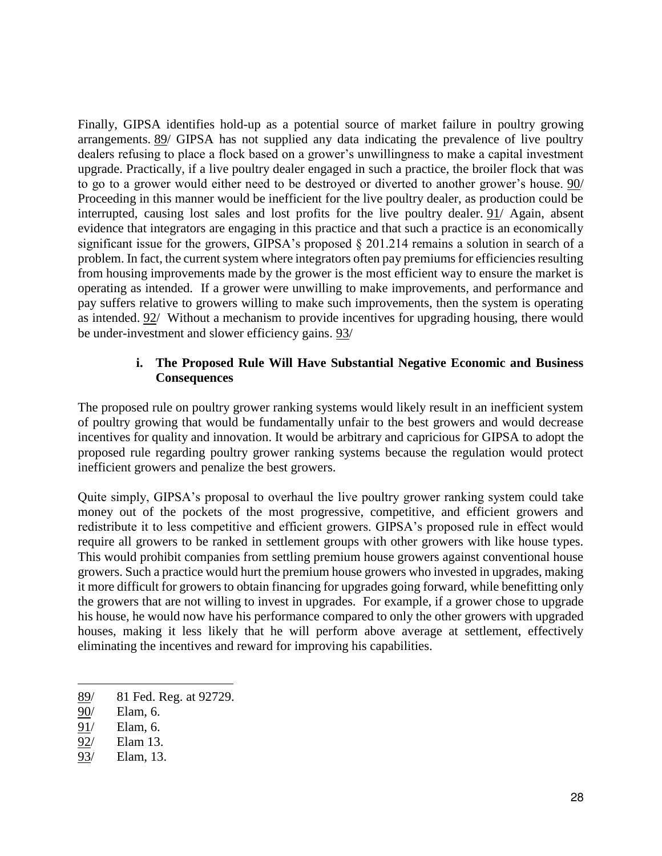Finally, GIPSA identifies hold-up as a potential source of market failure in poultry growing arrangements. 89/ GIPSA has not supplied any data indicating the prevalence of live poultry dealers refusing to place a flock based on a grower's unwillingness to make a capital investment upgrade. Practically, if a live poultry dealer engaged in such a practice, the broiler flock that was to go to a grower would either need to be destroyed or diverted to another grower's house. 90/ Proceeding in this manner would be inefficient for the live poultry dealer, as production could be interrupted, causing lost sales and lost profits for the live poultry dealer. 91/ Again, absent evidence that integrators are engaging in this practice and that such a practice is an economically significant issue for the growers, GIPSA's proposed § 201.214 remains a solution in search of a problem. In fact, the current system where integrators often pay premiums for efficiencies resulting from housing improvements made by the grower is the most efficient way to ensure the market is operating as intended. If a grower were unwilling to make improvements, and performance and pay suffers relative to growers willing to make such improvements, then the system is operating as intended. 92/ Without a mechanism to provide incentives for upgrading housing, there would be under-investment and slower efficiency gains. 93/

### **i. The Proposed Rule Will Have Substantial Negative Economic and Business Consequences**

The proposed rule on poultry grower ranking systems would likely result in an inefficient system of poultry growing that would be fundamentally unfair to the best growers and would decrease incentives for quality and innovation. It would be arbitrary and capricious for GIPSA to adopt the proposed rule regarding poultry grower ranking systems because the regulation would protect inefficient growers and penalize the best growers.

Quite simply, GIPSA's proposal to overhaul the live poultry grower ranking system could take money out of the pockets of the most progressive, competitive, and efficient growers and redistribute it to less competitive and efficient growers. GIPSA's proposed rule in effect would require all growers to be ranked in settlement groups with other growers with like house types. This would prohibit companies from settling premium house growers against conventional house growers. Such a practice would hurt the premium house growers who invested in upgrades, making it more difficult for growers to obtain financing for upgrades going forward, while benefitting only the growers that are not willing to invest in upgrades. For example, if a grower chose to upgrade his house, he would now have his performance compared to only the other growers with upgraded houses, making it less likely that he will perform above average at settlement, effectively eliminating the incentives and reward for improving his capabilities.

<sup>89/ 81</sup> Fed. Reg. at 92729.

<sup>90/</sup> Elam, 6.

<sup>91/</sup> Elam, 6.

<sup>92/</sup> Elam 13.

<sup>93/</sup> Elam, 13.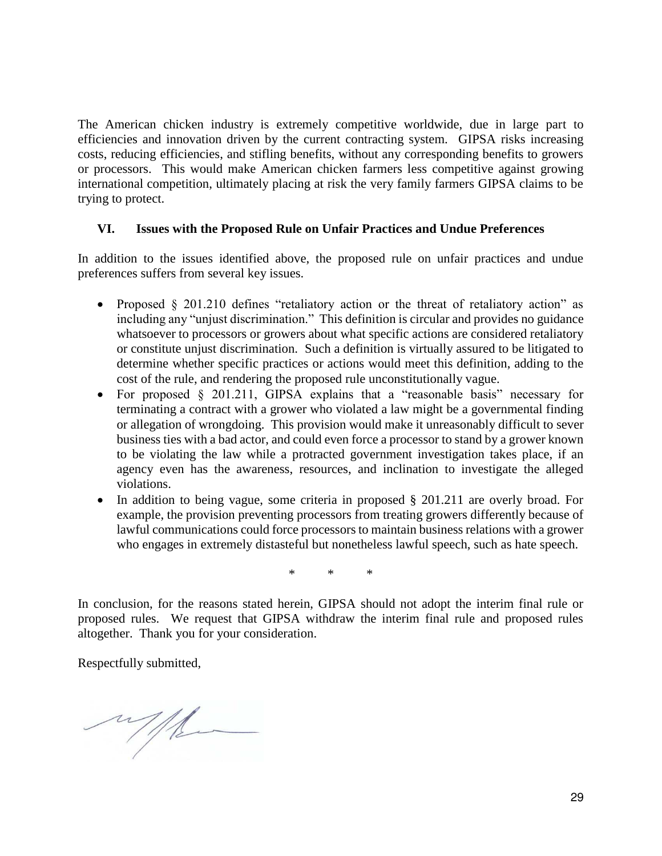The American chicken industry is extremely competitive worldwide, due in large part to efficiencies and innovation driven by the current contracting system. GIPSA risks increasing costs, reducing efficiencies, and stifling benefits, without any corresponding benefits to growers or processors. This would make American chicken farmers less competitive against growing international competition, ultimately placing at risk the very family farmers GIPSA claims to be trying to protect.

#### **VI. Issues with the Proposed Rule on Unfair Practices and Undue Preferences**

In addition to the issues identified above, the proposed rule on unfair practices and undue preferences suffers from several key issues.

- Proposed § 201.210 defines "retaliatory action or the threat of retaliatory action" as including any "unjust discrimination." This definition is circular and provides no guidance whatsoever to processors or growers about what specific actions are considered retaliatory or constitute unjust discrimination. Such a definition is virtually assured to be litigated to determine whether specific practices or actions would meet this definition, adding to the cost of the rule, and rendering the proposed rule unconstitutionally vague.
- For proposed § 201.211, GIPSA explains that a "reasonable basis" necessary for terminating a contract with a grower who violated a law might be a governmental finding or allegation of wrongdoing. This provision would make it unreasonably difficult to sever business ties with a bad actor, and could even force a processor to stand by a grower known to be violating the law while a protracted government investigation takes place, if an agency even has the awareness, resources, and inclination to investigate the alleged violations.
- In addition to being vague, some criteria in proposed  $\S 201.211$  are overly broad. For example, the provision preventing processors from treating growers differently because of lawful communications could force processors to maintain business relations with a grower who engages in extremely distasteful but nonetheless lawful speech, such as hate speech.

\* \* \*

In conclusion, for the reasons stated herein, GIPSA should not adopt the interim final rule or proposed rules. We request that GIPSA withdraw the interim final rule and proposed rules altogether. Thank you for your consideration.

Respectfully submitted,

with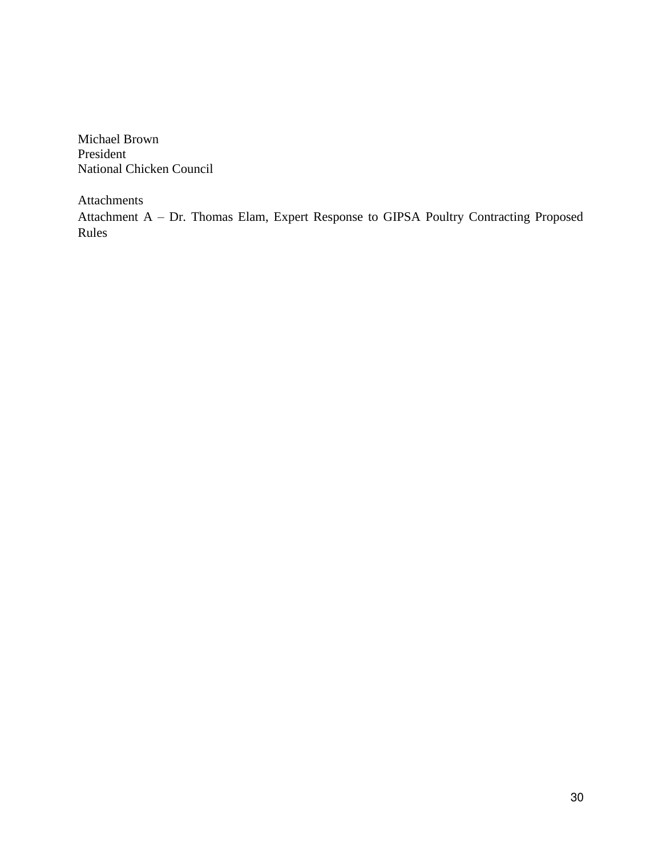Michael Brown President National Chicken Council

Attachments

Attachment A – Dr. Thomas Elam, Expert Response to GIPSA Poultry Contracting Proposed Rules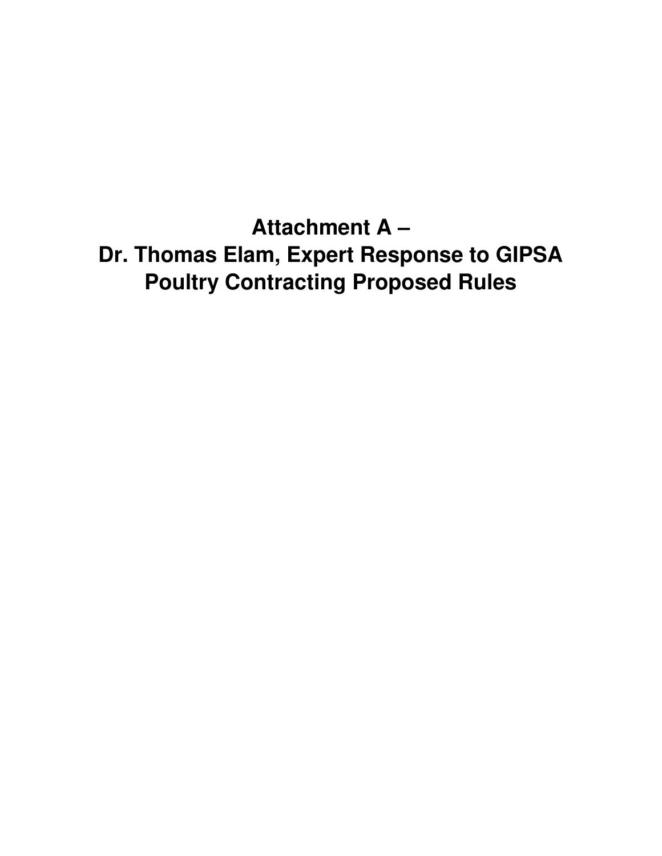**Attachment A – Dr. Thomas Elam, Expert Response to GIPSA Poultry Contracting Proposed Rules**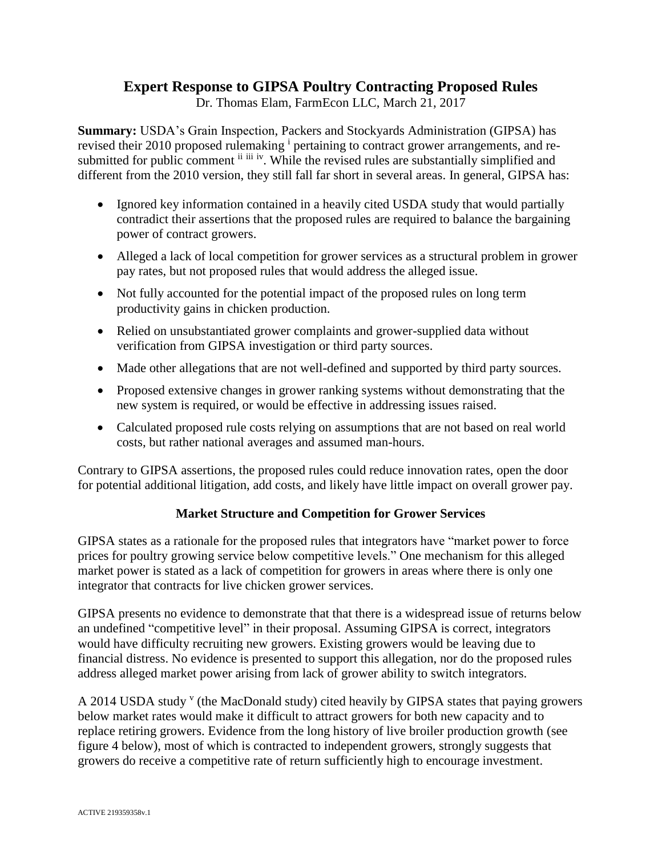# **Expert Response to GIPSA Poultry Contracting Proposed Rules**

Dr. Thomas Elam, FarmEcon LLC, March 21, 2017

**Summary:** USDA's Grain Inspection, Packers and Stockyards Administration (GIPSA) has revised their 2010 proposed rulemaking <sup>i</sup> pertaining to contract grower arrangements, and resubmitted for public comment ii iii iv. While the revised rules are substantially simplified and different from the 2010 version, they still fall far short in several areas. In general, GIPSA has:

- Ignored key information contained in a heavily cited USDA study that would partially contradict their assertions that the proposed rules are required to balance the bargaining power of contract growers.
- Alleged a lack of local competition for grower services as a structural problem in grower pay rates, but not proposed rules that would address the alleged issue.
- Not fully accounted for the potential impact of the proposed rules on long term productivity gains in chicken production.
- Relied on unsubstantiated grower complaints and grower-supplied data without verification from GIPSA investigation or third party sources.
- Made other allegations that are not well-defined and supported by third party sources.
- Proposed extensive changes in grower ranking systems without demonstrating that the new system is required, or would be effective in addressing issues raised.
- Calculated proposed rule costs relying on assumptions that are not based on real world costs, but rather national averages and assumed man-hours.

Contrary to GIPSA assertions, the proposed rules could reduce innovation rates, open the door for potential additional litigation, add costs, and likely have little impact on overall grower pay.

## **Market Structure and Competition for Grower Services**

GIPSA states as a rationale for the proposed rules that integrators have "market power to force prices for poultry growing service below competitive levels." One mechanism for this alleged market power is stated as a lack of competition for growers in areas where there is only one integrator that contracts for live chicken grower services.

GIPSA presents no evidence to demonstrate that that there is a widespread issue of returns below an undefined "competitive level" in their proposal. Assuming GIPSA is correct, integrators would have difficulty recruiting new growers. Existing growers would be leaving due to financial distress. No evidence is presented to support this allegation, nor do the proposed rules address alleged market power arising from lack of grower ability to switch integrators.

A 2014 USDA study <sup>v</sup> (the MacDonald study) cited heavily by GIPSA states that paying growers below market rates would make it difficult to attract growers for both new capacity and to replace retiring growers. Evidence from the long history of live broiler production growth (see figure 4 below), most of which is contracted to independent growers, strongly suggests that growers do receive a competitive rate of return sufficiently high to encourage investment.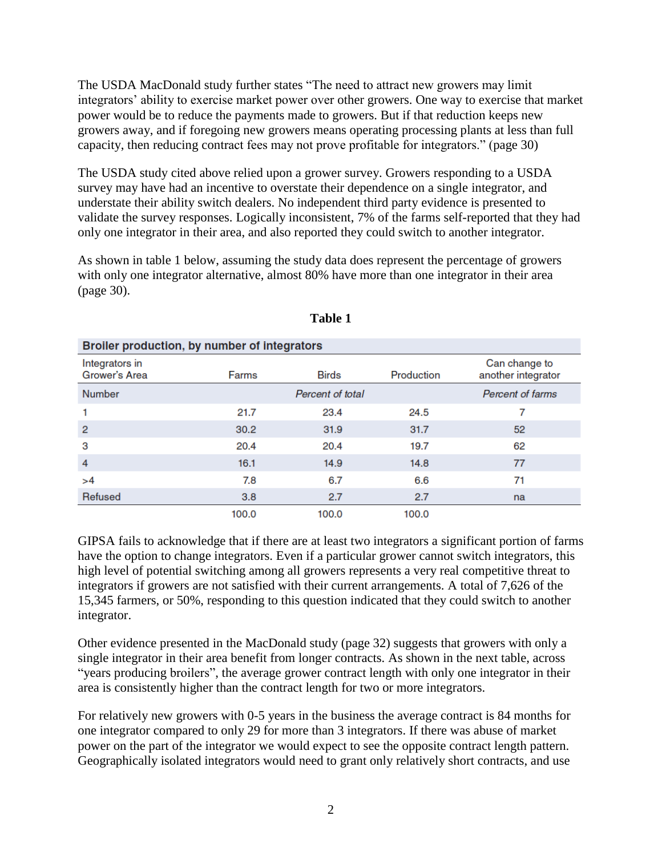The USDA MacDonald study further states "The need to attract new growers may limit integrators' ability to exercise market power over other growers. One way to exercise that market power would be to reduce the payments made to growers. But if that reduction keeps new growers away, and if foregoing new growers means operating processing plants at less than full capacity, then reducing contract fees may not prove profitable for integrators." (page 30)

The USDA study cited above relied upon a grower survey. Growers responding to a USDA survey may have had an incentive to overstate their dependence on a single integrator, and understate their ability switch dealers. No independent third party evidence is presented to validate the survey responses. Logically inconsistent, 7% of the farms self-reported that they had only one integrator in their area, and also reported they could switch to another integrator.

As shown in table 1 below, assuming the study data does represent the percentage of growers with only one integrator alternative, almost 80% have more than one integrator in their area (page 30).

| Broiler production, by number of integrators |       |                                     |       |    |  |  |  |  |  |
|----------------------------------------------|-------|-------------------------------------|-------|----|--|--|--|--|--|
| Integrators in<br>Grower's Area              | Farms | Can change to<br>another integrator |       |    |  |  |  |  |  |
| <b>Number</b>                                |       | Percent of farms                    |       |    |  |  |  |  |  |
|                                              | 21.7  | 23.4                                | 24.5  | 7  |  |  |  |  |  |
| 2                                            | 30.2  | 31.9                                | 31.7  | 52 |  |  |  |  |  |
| 3                                            | 20.4  | 20.4                                | 19.7  | 62 |  |  |  |  |  |
| 4                                            | 16.1  | 14.9                                | 14.8  | 77 |  |  |  |  |  |
| >4                                           | 7.8   | 6.7                                 | 6.6   | 71 |  |  |  |  |  |
| Refused                                      | 3.8   | 2.7                                 | 2.7   | na |  |  |  |  |  |
|                                              | 100.0 | 100.0                               | 100.0 |    |  |  |  |  |  |

**Table 1** 

GIPSA fails to acknowledge that if there are at least two integrators a significant portion of farms have the option to change integrators. Even if a particular grower cannot switch integrators, this high level of potential switching among all growers represents a very real competitive threat to integrators if growers are not satisfied with their current arrangements. A total of 7,626 of the 15,345 farmers, or 50%, responding to this question indicated that they could switch to another integrator.

Other evidence presented in the MacDonald study (page 32) suggests that growers with only a single integrator in their area benefit from longer contracts. As shown in the next table, across "years producing broilers", the average grower contract length with only one integrator in their area is consistently higher than the contract length for two or more integrators.

For relatively new growers with 0-5 years in the business the average contract is 84 months for one integrator compared to only 29 for more than 3 integrators. If there was abuse of market power on the part of the integrator we would expect to see the opposite contract length pattern. Geographically isolated integrators would need to grant only relatively short contracts, and use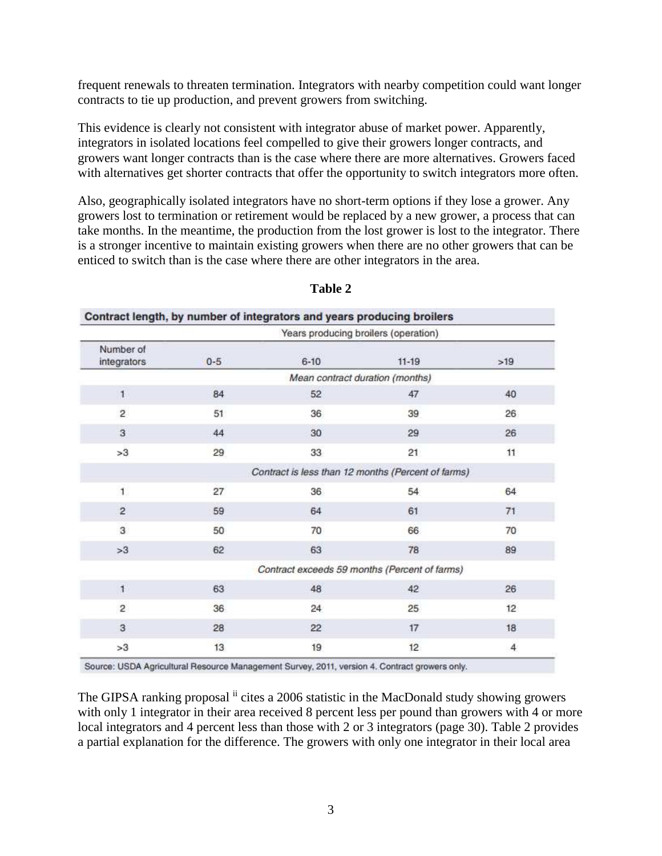frequent renewals to threaten termination. Integrators with nearby competition could want longer contracts to tie up production, and prevent growers from switching.

This evidence is clearly not consistent with integrator abuse of market power. Apparently, integrators in isolated locations feel compelled to give their growers longer contracts, and growers want longer contracts than is the case where there are more alternatives. Growers faced with alternatives get shorter contracts that offer the opportunity to switch integrators more often.

Also, geographically isolated integrators have no short-term options if they lose a grower. Any growers lost to termination or retirement would be replaced by a new grower, a process that can take months. In the meantime, the production from the lost grower is lost to the integrator. There is a stronger incentive to maintain existing growers when there are no other growers that can be enticed to switch than is the case where there are other integrators in the area.

|                          |         |          | Years producing broilers (operation)               |                |
|--------------------------|---------|----------|----------------------------------------------------|----------------|
| Number of<br>integrators | $0 - 5$ | $6 - 10$ | $11 - 19$                                          | >19            |
|                          |         |          | Mean contract duration (months)                    |                |
| $\mathbf{1}$             | 84      | 52       | 47                                                 | 40             |
| $\overline{2}$           | 51      | 36       | 39                                                 | 26             |
| $\overline{3}$           | 44      | 30       | 29                                                 | 26             |
| >3                       | 29      | 33       | 21                                                 | 11             |
|                          |         |          | Contract is less than 12 months (Percent of farms) |                |
| $\mathbf{1}$             | 27      | 36       | 54                                                 | 64             |
| $\overline{2}$           | 59      | 64       | 61                                                 | 71             |
| 3                        | 50      | 70       | 66                                                 | 70             |
| >3                       | 62      | 63       | 78                                                 | 89             |
|                          |         |          | Contract exceeds 59 months (Percent of farms)      |                |
| $\mathbf{1}$             | 63      | 48       | 42                                                 | 26             |
| $\overline{2}$           | 36      | 24       | 25                                                 | 12             |
| $\mathbf{3}$             | 28      | 22       | 17                                                 | 18             |
| >3                       | 13      | 19       | 12                                                 | $\overline{4}$ |

### **Table 2**

Source: USDA Agricultural Resource Management Survey, 2011, version 4. Contract growers only.

The GIPSA ranking proposal  $\frac{1}{11}$  cites a 2006 statistic in the MacDonald study showing growers with only 1 integrator in their area received 8 percent less per pound than growers with 4 or more local integrators and 4 percent less than those with 2 or 3 integrators (page 30). Table 2 provides a partial explanation for the difference. The growers with only one integrator in their local area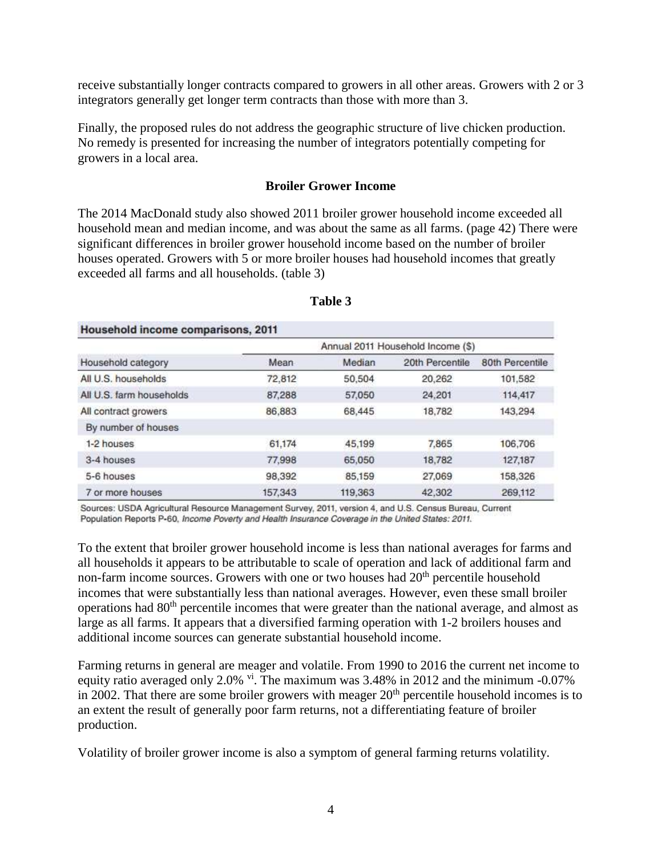receive substantially longer contracts compared to growers in all other areas. Growers with 2 or 3 integrators generally get longer term contracts than those with more than 3.

Finally, the proposed rules do not address the geographic structure of live chicken production. No remedy is presented for increasing the number of integrators potentially competing for growers in a local area.

#### **Broiler Grower Income**

The 2014 MacDonald study also showed 2011 broiler grower household income exceeded all household mean and median income, and was about the same as all farms. (page 42) There were significant differences in broiler grower household income based on the number of broiler houses operated. Growers with 5 or more broiler houses had household incomes that greatly exceeded all farms and all households. (table 3)

|                          |         |         | Annual 2011 Household Income (\$) |                 |
|--------------------------|---------|---------|-----------------------------------|-----------------|
| Household category       | Mean    | Median  | 20th Percentile                   | 80th Percentile |
| All U.S. households      | 72,812  | 50,504  | 20,262                            | 101,582         |
| All U.S. farm households | 87,288  | 57,050  | 24,201                            | 114,417         |
| All contract growers     | 86,883  | 68,445  | 18,782                            | 143,294         |
| By number of houses      |         |         |                                   |                 |
| 1-2 houses               | 61.174  | 45,199  | 7.865                             | 106,706         |
| 3-4 houses               | 77,998  | 65,050  | 18,782                            | 127,187         |
| 5-6 houses               | 98,392  | 85,159  | 27,069                            | 158,326         |
| 7 or more houses         | 157,343 | 119,363 | 42,302                            | 269,112         |

#### **Table 3**

Sources: USDA Agricultural Resource Management Survey, 2011, version 4, and U.S. Census Bureau, Current Population Reports P-60, Income Poverty and Health Insurance Coverage in the United States: 2011.

To the extent that broiler grower household income is less than national averages for farms and all households it appears to be attributable to scale of operation and lack of additional farm and non-farm income sources. Growers with one or two houses had  $20<sup>th</sup>$  percentile household incomes that were substantially less than national averages. However, even these small broiler operations had 80<sup>th</sup> percentile incomes that were greater than the national average, and almost as large as all farms. It appears that a diversified farming operation with 1-2 broilers houses and additional income sources can generate substantial household income.

Farming returns in general are meager and volatile. From 1990 to 2016 the current net income to equity ratio averaged only 2.0%  $\rm{v}$ <sup>i</sup>. The maximum was 3.48% in 2012 and the minimum -0.07% in 2002. That there are some broiler growers with meager  $20<sup>th</sup>$  percentile household incomes is to an extent the result of generally poor farm returns, not a differentiating feature of broiler production.

Volatility of broiler grower income is also a symptom of general farming returns volatility.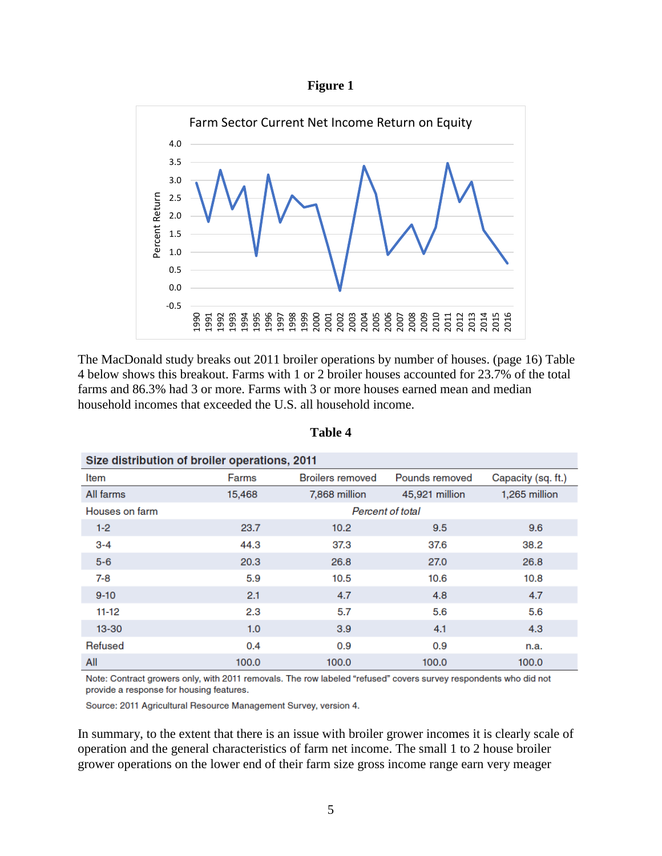



The MacDonald study breaks out 2011 broiler operations by number of houses. (page 16) Table 4 below shows this breakout. Farms with 1 or 2 broiler houses accounted for 23.7% of the total farms and 86.3% had 3 or more. Farms with 3 or more houses earned mean and median household incomes that exceeded the U.S. all household income.

| Size distribution of broiler operations, 2011 |                  |                         |                |                    |  |  |  |  |  |
|-----------------------------------------------|------------------|-------------------------|----------------|--------------------|--|--|--|--|--|
| Item                                          | Farms            | <b>Broilers removed</b> | Pounds removed | Capacity (sq. ft.) |  |  |  |  |  |
| All farms                                     | 15,468           | 7,868 million           | 45,921 million | 1,265 million      |  |  |  |  |  |
| Houses on farm                                | Percent of total |                         |                |                    |  |  |  |  |  |
| $1 - 2$                                       | 23.7             | 10.2 <sub>2</sub>       | 9.5            | 9.6                |  |  |  |  |  |
| $3 - 4$                                       | 44.3             | 37.3                    | 37.6           | 38.2               |  |  |  |  |  |
| $5 - 6$                                       | 20.3             | 26.8                    | 27.0           | 26.8               |  |  |  |  |  |
| $7 - 8$                                       | 5.9              | 10.5                    | 10.6           | 10.8               |  |  |  |  |  |
| $9 - 10$                                      | 2.1              | 4.7                     | 4.8            | 4.7                |  |  |  |  |  |
| $11 - 12$                                     | 2.3              | 5.7                     | 5.6            | 5.6                |  |  |  |  |  |
| $13 - 30$                                     | 1.0              | 3.9                     | 4.1            | 4.3                |  |  |  |  |  |
| Refused                                       | 0.4              | 0.9                     | 0.9            | n.a.               |  |  |  |  |  |
| All                                           | 100.0            | 100.0                   | 100.0          | 100.0              |  |  |  |  |  |

**Table 4** 

Note: Contract growers only, with 2011 removals. The row labeled "refused" covers survey respondents who did not provide a response for housing features.

Source: 2011 Agricultural Resource Management Survey, version 4.

In summary, to the extent that there is an issue with broiler grower incomes it is clearly scale of operation and the general characteristics of farm net income. The small 1 to 2 house broiler grower operations on the lower end of their farm size gross income range earn very meager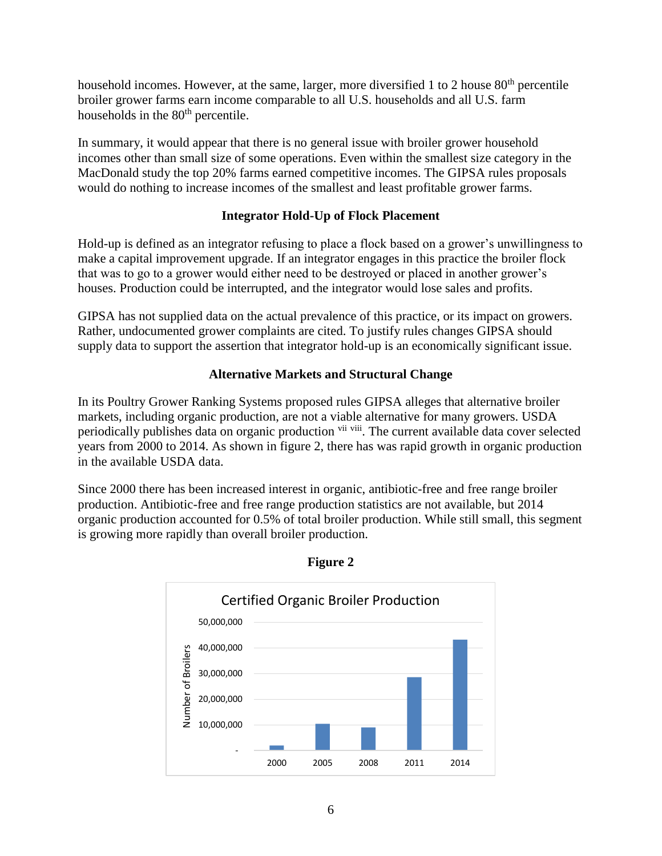household incomes. However, at the same, larger, more diversified 1 to 2 house  $80<sup>th</sup>$  percentile broiler grower farms earn income comparable to all U.S. households and all U.S. farm households in the 80<sup>th</sup> percentile.

In summary, it would appear that there is no general issue with broiler grower household incomes other than small size of some operations. Even within the smallest size category in the MacDonald study the top 20% farms earned competitive incomes. The GIPSA rules proposals would do nothing to increase incomes of the smallest and least profitable grower farms.

## **Integrator Hold-Up of Flock Placement**

Hold-up is defined as an integrator refusing to place a flock based on a grower's unwillingness to make a capital improvement upgrade. If an integrator engages in this practice the broiler flock that was to go to a grower would either need to be destroyed or placed in another grower's houses. Production could be interrupted, and the integrator would lose sales and profits.

GIPSA has not supplied data on the actual prevalence of this practice, or its impact on growers. Rather, undocumented grower complaints are cited. To justify rules changes GIPSA should supply data to support the assertion that integrator hold-up is an economically significant issue.

## **Alternative Markets and Structural Change**

In its Poultry Grower Ranking Systems proposed rules GIPSA alleges that alternative broiler markets, including organic production, are not a viable alternative for many growers. USDA periodically publishes data on organic production vii viii. The current available data cover selected years from 2000 to 2014. As shown in figure 2, there has was rapid growth in organic production in the available USDA data.

Since 2000 there has been increased interest in organic, antibiotic-free and free range broiler production. Antibiotic-free and free range production statistics are not available, but 2014 organic production accounted for 0.5% of total broiler production. While still small, this segment is growing more rapidly than overall broiler production.



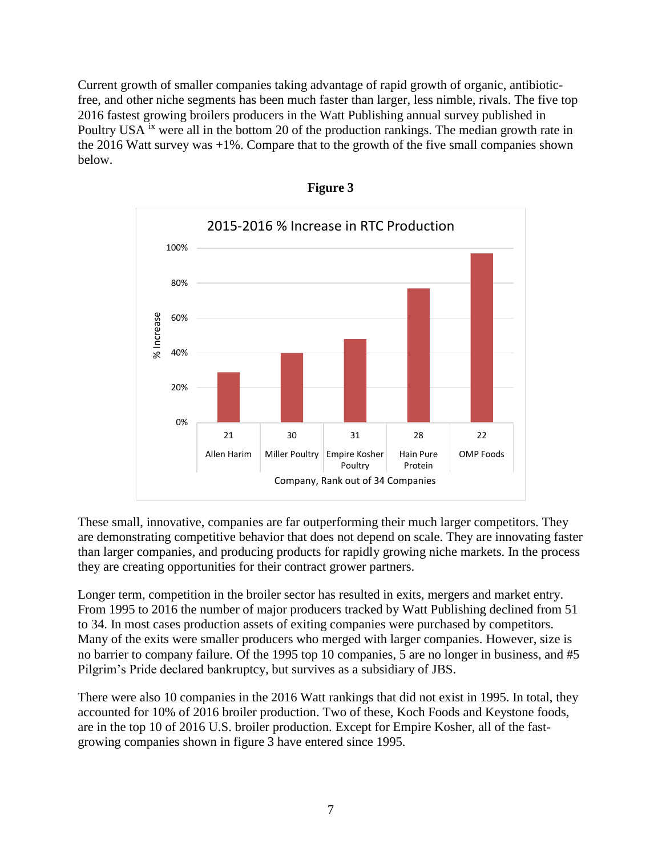Current growth of smaller companies taking advantage of rapid growth of organic, antibioticfree, and other niche segments has been much faster than larger, less nimble, rivals. The five top 2016 fastest growing broilers producers in the Watt Publishing annual survey published in Poultry USA  $\dot{x}$  were all in the bottom 20 of the production rankings. The median growth rate in the 2016 Watt survey was  $+1\%$ . Compare that to the growth of the five small companies shown below.





These small, innovative, companies are far outperforming their much larger competitors. They are demonstrating competitive behavior that does not depend on scale. They are innovating faster than larger companies, and producing products for rapidly growing niche markets. In the process they are creating opportunities for their contract grower partners.

Longer term, competition in the broiler sector has resulted in exits, mergers and market entry. From 1995 to 2016 the number of major producers tracked by Watt Publishing declined from 51 to 34. In most cases production assets of exiting companies were purchased by competitors. Many of the exits were smaller producers who merged with larger companies. However, size is no barrier to company failure. Of the 1995 top 10 companies, 5 are no longer in business, and #5 Pilgrim's Pride declared bankruptcy, but survives as a subsidiary of JBS.

There were also 10 companies in the 2016 Watt rankings that did not exist in 1995. In total, they accounted for 10% of 2016 broiler production. Two of these, Koch Foods and Keystone foods, are in the top 10 of 2016 U.S. broiler production. Except for Empire Kosher, all of the fastgrowing companies shown in figure 3 have entered since 1995.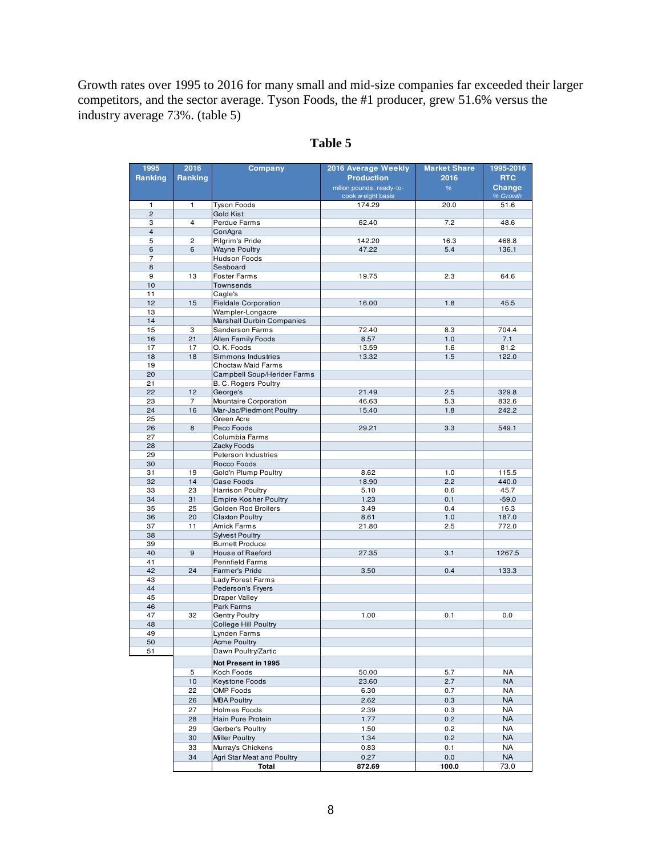Growth rates over 1995 to 2016 for many small and mid-size companies far exceeded their larger competitors, and the sector average. Tyson Foods, the #1 producer, grew 51.6% versus the industry average 73%. (table 5)

| 1995                | 2016                 | Company                                           | 2016 Average Weekly                             | <b>Market Share</b> | 1995-2016          |  |
|---------------------|----------------------|---------------------------------------------------|-------------------------------------------------|---------------------|--------------------|--|
| Ranking             | Ranking              |                                                   | <b>Production</b>                               | 2016                | <b>RTC</b>         |  |
|                     |                      |                                                   | million pounds, ready-to-<br>cook w eight basis | %                   | Change<br>% Growth |  |
| 1                   | 1                    | <b>Tyson Foods</b>                                | 174.29                                          | 20.0                | 51.6               |  |
| $\overline{c}$      |                      | Gold Kist                                         |                                                 |                     |                    |  |
| 3                   | $\overline{4}$       | Perdue Farms                                      | 62.40                                           | 7.2                 | 48.6               |  |
| $\overline{4}$      |                      | ConAgra                                           |                                                 |                     |                    |  |
| 5                   | $\overline{c}$       | Pilgrim's Pride                                   | 142.20                                          | 16.3                | 468.8              |  |
| 6<br>$\overline{7}$ | 6                    | <b>Wayne Poultry</b><br>Hudson Foods              | 47.22                                           | 5.4                 | 136.1              |  |
| 8                   |                      | Seaboard                                          |                                                 |                     |                    |  |
| 9                   | 13                   | <b>Foster Farms</b>                               | 19.75                                           | 2.3                 | 64.6               |  |
| 10                  |                      | Townsends                                         |                                                 |                     |                    |  |
| 11                  |                      | Cagle's                                           |                                                 |                     |                    |  |
| 12                  | 15                   | <b>Fieldale Corporation</b>                       | 16.00                                           | 1.8                 | 45.5               |  |
| 13                  |                      | Wampler-Longacre                                  |                                                 |                     |                    |  |
| 14<br>15            | 3                    | Marshall Durbin Companies<br>Sanderson Farms      | 72.40                                           | 8.3                 | 704.4              |  |
| 16                  | 21                   | Allen Family Foods                                | 8.57                                            | 1.0                 | 7.1                |  |
| 17                  | 17                   | O. K. Foods                                       | 13.59                                           | 1.6                 | 81.2               |  |
| 18                  | 18                   | Simmons Industries                                | 13.32                                           | 1.5                 | 122.0              |  |
| 19                  |                      | Choctaw Maid Farms                                |                                                 |                     |                    |  |
| 20                  |                      | Campbell Soup/Herider Farms                       |                                                 |                     |                    |  |
| 21                  |                      | <b>B. C. Rogers Poultry</b>                       |                                                 |                     |                    |  |
| 22                  | 12                   | George's                                          | 21.49                                           | 2.5                 | 329.8              |  |
| 23<br>24            | $\overline{7}$<br>16 | Mountaire Corporation<br>Mar-Jac/Piedmont Poultry | 46.63<br>15.40                                  | 5.3<br>1.8          | 832.6<br>242.2     |  |
| 25                  |                      | Green Acre                                        |                                                 |                     |                    |  |
| 26                  | 8                    | Peco Foods                                        | 29.21                                           | 3.3                 | 549.1              |  |
| 27                  |                      | Columbia Farms                                    |                                                 |                     |                    |  |
| 28                  |                      | Zacky Foods                                       |                                                 |                     |                    |  |
| 29                  |                      | Peterson Industries                               |                                                 |                     |                    |  |
| 30                  |                      | Rocco Foods                                       |                                                 |                     |                    |  |
| 31                  | 19                   | Gold'n Plump Poultry                              | 8.62                                            | 1.0                 | 115.5              |  |
| 32<br>33            | 14<br>23             | Case Foods<br><b>Harrison Poultry</b>             | 18.90<br>5.10                                   | 2.2<br>0.6          | 440.0<br>45.7      |  |
| 34                  | 31                   | <b>Empire Kosher Poultry</b>                      | 1.23                                            | 0.1                 | $-59.0$            |  |
| 35                  | 25                   | Golden Rod Broilers                               | 3.49                                            | 0.4                 | 16.3               |  |
| 36                  | 20                   | <b>Claxton Poultry</b>                            | 8.61                                            | 1.0                 | 187.0              |  |
| 37                  | 11                   | Amick Farms                                       | 21.80                                           | 2.5                 | 772.0              |  |
| 38                  |                      | <b>Sylvest Poultry</b>                            |                                                 |                     |                    |  |
| 39                  |                      | <b>Burnett Produce</b>                            |                                                 |                     |                    |  |
| 40                  | $9$                  | House of Raeford                                  | 27.35                                           | 3.1                 | 1267.5             |  |
| 41<br>42            | 24                   | <b>Pennfield Farms</b><br>Farmer's Pride          | 3.50                                            | 0.4                 | 133.3              |  |
| 43                  |                      | Lady Forest Farms                                 |                                                 |                     |                    |  |
| 44                  |                      | Pederson's Fryers                                 |                                                 |                     |                    |  |
| 45                  |                      | Draper Valley                                     |                                                 |                     |                    |  |
| 46                  |                      | Park Farms                                        |                                                 |                     |                    |  |
| 47                  | 32                   | Gentry Poultry                                    | 1.00                                            | 0.1                 | 0.0                |  |
| 48                  |                      | <b>College Hill Poultry</b>                       |                                                 |                     |                    |  |
| 49                  |                      | Lynden Farms                                      |                                                 |                     |                    |  |
| 50<br>51            |                      | <b>Acme Poultry</b><br>Dawn Poultry/Zartic        |                                                 |                     |                    |  |
|                     |                      |                                                   |                                                 |                     |                    |  |
|                     |                      | Not Present in 1995                               |                                                 |                     |                    |  |
|                     | 5<br>10              | Koch Foods<br>Keystone Foods                      | 50.00<br>23.60                                  | 5.7<br>2.7          | NA<br><b>NA</b>    |  |
|                     | 22                   | <b>OMP Foods</b>                                  | 6.30                                            | 0.7                 | NA                 |  |
|                     | 26                   | <b>MBA Poultry</b>                                | 2.62                                            | 0.3                 | <b>NA</b>          |  |
|                     | 27                   | Holmes Foods                                      | 2.39                                            | 0.3                 | <b>NA</b>          |  |
|                     | 28                   | Hain Pure Protein                                 | 1.77                                            | 0.2                 | <b>NA</b>          |  |
|                     | 29                   | Gerber's Poultry                                  | 1.50                                            | 0.2                 | <b>NA</b>          |  |
|                     | 30                   | Miller Poultry                                    | 1.34                                            | 0.2                 | <b>NA</b>          |  |
|                     | 33                   | Murray's Chickens                                 | 0.83                                            | 0.1                 | <b>NA</b>          |  |
|                     | 34                   | Agri Star Meat and Poultry                        | 0.27                                            | 0.0                 | <b>NA</b>          |  |
|                     |                      | Total                                             | 872.69                                          | 100.0               | 73.0               |  |

# **Table 5**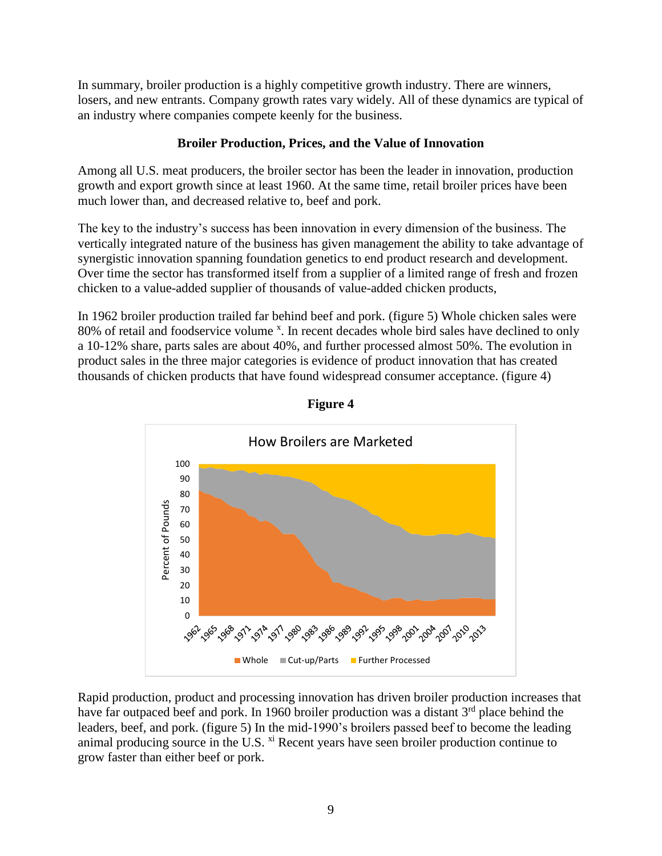In summary, broiler production is a highly competitive growth industry. There are winners, losers, and new entrants. Company growth rates vary widely. All of these dynamics are typical of an industry where companies compete keenly for the business.

## **Broiler Production, Prices, and the Value of Innovation**

Among all U.S. meat producers, the broiler sector has been the leader in innovation, production growth and export growth since at least 1960. At the same time, retail broiler prices have been much lower than, and decreased relative to, beef and pork.

The key to the industry's success has been innovation in every dimension of the business. The vertically integrated nature of the business has given management the ability to take advantage of synergistic innovation spanning foundation genetics to end product research and development. Over time the sector has transformed itself from a supplier of a limited range of fresh and frozen chicken to a value-added supplier of thousands of value-added chicken products,

In 1962 broiler production trailed far behind beef and pork. (figure 5) Whole chicken sales were 80% of retail and foodservice volume<sup>x</sup>. In recent decades whole bird sales have declined to only a 10-12% share, parts sales are about 40%, and further processed almost 50%. The evolution in product sales in the three major categories is evidence of product innovation that has created thousands of chicken products that have found widespread consumer acceptance. (figure 4)





Rapid production, product and processing innovation has driven broiler production increases that have far outpaced beef and pork. In 1960 broiler production was a distant  $3<sup>rd</sup>$  place behind the leaders, beef, and pork. (figure 5) In the mid-1990's broilers passed beef to become the leading animal producing source in the U.S. <sup>xi</sup> Recent years have seen broiler production continue to grow faster than either beef or pork.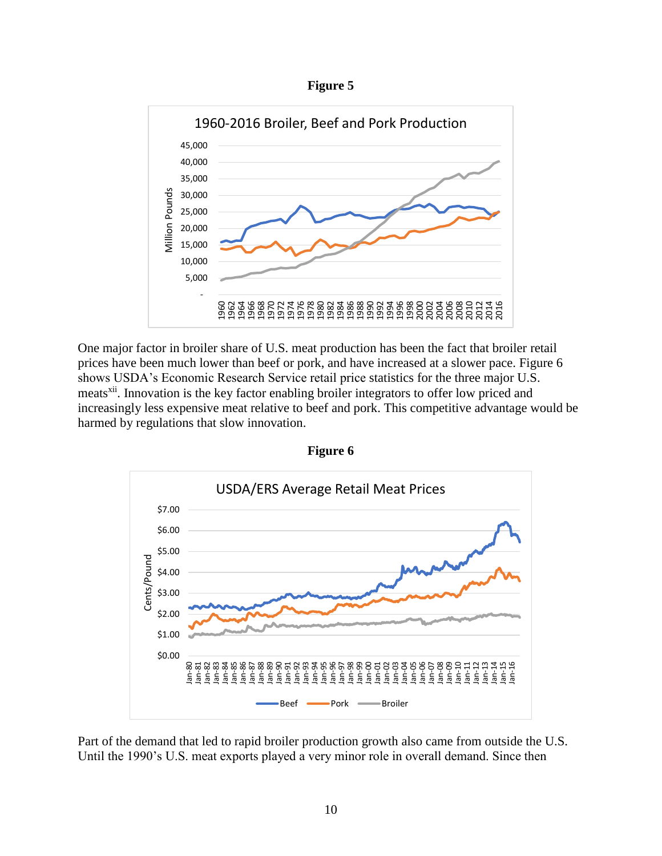



One major factor in broiler share of U.S. meat production has been the fact that broiler retail prices have been much lower than beef or pork, and have increased at a slower pace. Figure 6 shows USDA's Economic Research Service retail price statistics for the three major U.S. meats<sup>xii</sup>. Innovation is the key factor enabling broiler integrators to offer low priced and increasingly less expensive meat relative to beef and pork. This competitive advantage would be harmed by regulations that slow innovation.



**Figure 6** 

Part of the demand that led to rapid broiler production growth also came from outside the U.S. Until the 1990's U.S. meat exports played a very minor role in overall demand. Since then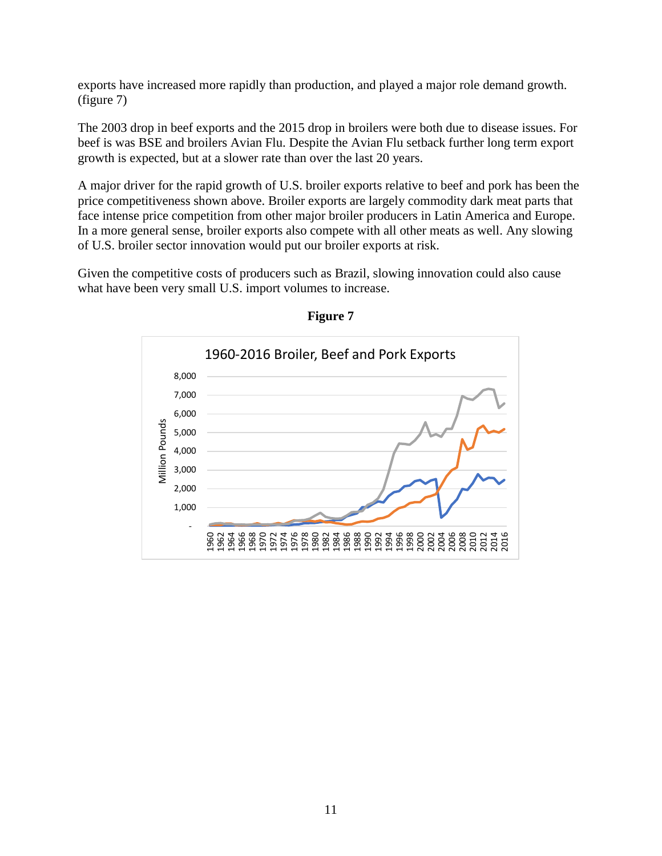exports have increased more rapidly than production, and played a major role demand growth. (figure 7)

The 2003 drop in beef exports and the 2015 drop in broilers were both due to disease issues. For beef is was BSE and broilers Avian Flu. Despite the Avian Flu setback further long term export growth is expected, but at a slower rate than over the last 20 years.

A major driver for the rapid growth of U.S. broiler exports relative to beef and pork has been the price competitiveness shown above. Broiler exports are largely commodity dark meat parts that face intense price competition from other major broiler producers in Latin America and Europe. In a more general sense, broiler exports also compete with all other meats as well. Any slowing of U.S. broiler sector innovation would put our broiler exports at risk.

Given the competitive costs of producers such as Brazil, slowing innovation could also cause what have been very small U.S. import volumes to increase.



**Figure 7**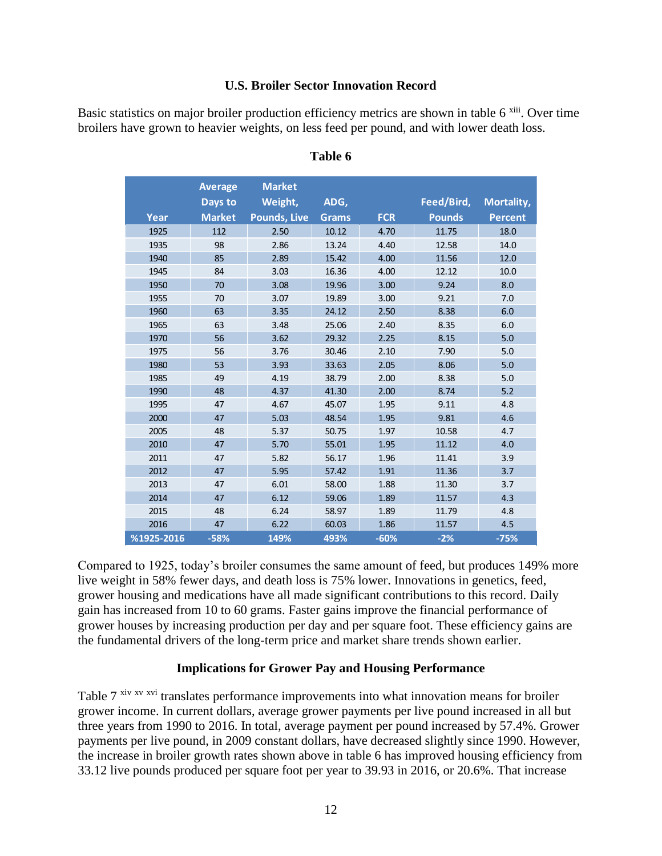#### **U.S. Broiler Sector Innovation Record**

Basic statistics on major broiler production efficiency metrics are shown in table 6<sup>xiii</sup>. Over time broilers have grown to heavier weights, on less feed per pound, and with lower death loss.

|            | <b>Average</b> | <b>Market</b>       |              |            |               |                |
|------------|----------------|---------------------|--------------|------------|---------------|----------------|
|            | Days to        | Weight,             | ADG,         |            | Feed/Bird,    | Mortality,     |
| Year       | <b>Market</b>  | <b>Pounds, Live</b> | <b>Grams</b> | <b>FCR</b> | <b>Pounds</b> | <b>Percent</b> |
| 1925       | 112            | 2.50                | 10.12        | 4.70       | 11.75         | 18.0           |
| 1935       | 98             | 2.86                | 13.24        | 4.40       | 12.58         | 14.0           |
| 1940       | 85             | 2.89                | 15.42        | 4.00       | 11.56         | 12.0           |
| 1945       | 84             | 3.03                | 16.36        | 4.00       | 12.12         | 10.0           |
| 1950       | 70             | 3.08                | 19.96        | 3.00       | 9.24          | 8.0            |
| 1955       | 70             | 3.07                | 19.89        | 3.00       | 9.21          | 7.0            |
| 1960       | 63             | 3.35                | 24.12        | 2.50       | 8.38          | 6.0            |
| 1965       | 63             | 3.48                | 25.06        | 2.40       | 8.35          | 6.0            |
| 1970       | 56             | 3.62                | 29.32        | 2.25       | 8.15          | 5.0            |
| 1975       | 56             | 3.76                | 30.46        | 2.10       | 7.90          | 5.0            |
| 1980       | 53             | 3.93                | 33.63        | 2.05       | 8.06          | 5.0            |
| 1985       | 49             | 4.19                | 38.79        | 2.00       | 8.38          | 5.0            |
| 1990       | 48             | 4.37                | 41.30        | 2.00       | 8.74          | 5.2            |
| 1995       | 47             | 4.67                | 45.07        | 1.95       | 9.11          | 4.8            |
| 2000       | 47             | 5.03                | 48.54        | 1.95       | 9.81          | 4.6            |
| 2005       | 48             | 5.37                | 50.75        | 1.97       | 10.58         | 4.7            |
| 2010       | 47             | 5.70                | 55.01        | 1.95       | 11.12         | 4.0            |
| 2011       | 47             | 5.82                | 56.17        | 1.96       | 11.41         | 3.9            |
| 2012       | 47             | 5.95                | 57.42        | 1.91       | 11.36         | 3.7            |
| 2013       | 47             | 6.01                | 58.00        | 1.88       | 11.30         | 3.7            |
| 2014       | 47             | 6.12                | 59.06        | 1.89       | 11.57         | 4.3            |
| 2015       | 48             | 6.24                | 58.97        | 1.89       | 11.79         | 4.8            |
| 2016       | 47             | 6.22                | 60.03        | 1.86       | 11.57         | 4.5            |
| %1925-2016 | $-58%$         | 149%                | 493%         | $-60%$     | $-2%$         | $-75%$         |

#### **Table 6**

Compared to 1925, today's broiler consumes the same amount of feed, but produces 149% more live weight in 58% fewer days, and death loss is 75% lower. Innovations in genetics, feed, grower housing and medications have all made significant contributions to this record. Daily gain has increased from 10 to 60 grams. Faster gains improve the financial performance of grower houses by increasing production per day and per square foot. These efficiency gains are the fundamental drivers of the long-term price and market share trends shown earlier.

#### **Implications for Grower Pay and Housing Performance**

Table 7<sup>xiv xv</sup> x<sup>vi</sup> translates performance improvements into what innovation means for broiler grower income. In current dollars, average grower payments per live pound increased in all but three years from 1990 to 2016. In total, average payment per pound increased by 57.4%. Grower payments per live pound, in 2009 constant dollars, have decreased slightly since 1990. However, the increase in broiler growth rates shown above in table 6 has improved housing efficiency from 33.12 live pounds produced per square foot per year to 39.93 in 2016, or 20.6%. That increase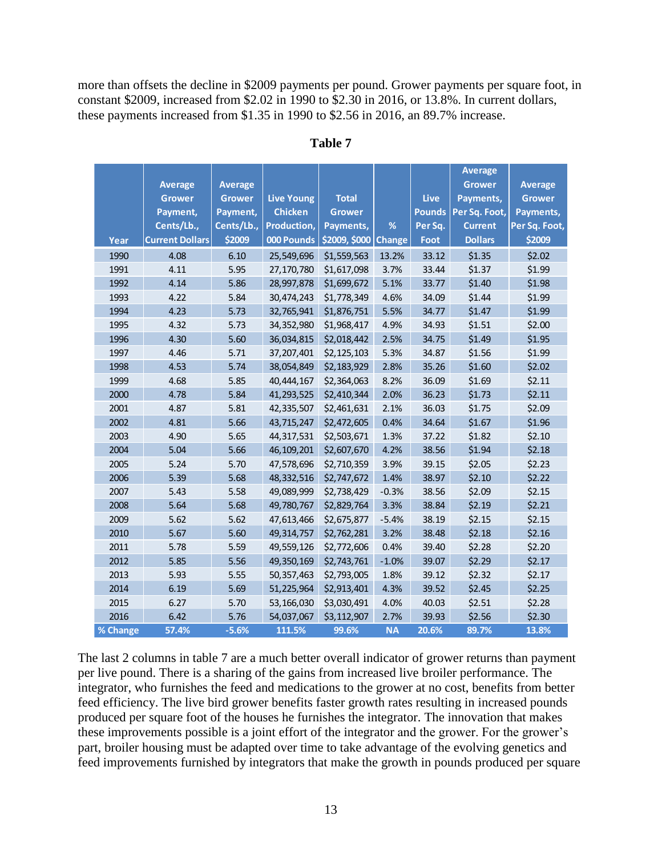more than offsets the decline in \$2009 payments per pound. Grower payments per square foot, in constant \$2009, increased from \$2.02 in 1990 to \$2.30 in 2016, or 13.8%. In current dollars, these payments increased from \$1.35 in 1990 to \$2.56 in 2016, an 89.7% increase.

|          |                        |                |                   |               |               |               | <b>Average</b> |                |
|----------|------------------------|----------------|-------------------|---------------|---------------|---------------|----------------|----------------|
|          | <b>Average</b>         | <b>Average</b> |                   |               |               |               | <b>Grower</b>  | <b>Average</b> |
|          | <b>Grower</b>          | <b>Grower</b>  | <b>Live Young</b> | <b>Total</b>  |               | Live          | Payments,      | <b>Grower</b>  |
|          | Payment,               | Payment,       | <b>Chicken</b>    | Grower        |               | <b>Pounds</b> | Per Sq. Foot,  | Payments,      |
|          | Cents/Lb.,             | Cents/Lb.,     | Production,       | Payments,     | %             | Per Sq.       | <b>Current</b> | Per Sq. Foot,  |
| Year     | <b>Current Dollars</b> | \$2009         | 000 Pounds        | \$2009, \$000 | <b>Change</b> | Foot          | <b>Dollars</b> | \$2009         |
| 1990     | 4.08                   | 6.10           | 25,549,696        | \$1,559,563   | 13.2%         | 33.12         | \$1.35         | \$2.02         |
| 1991     | 4.11                   | 5.95           | 27,170,780        | \$1,617,098   | 3.7%          | 33.44         | \$1.37         | \$1.99         |
| 1992     | 4.14                   | 5.86           | 28,997,878        | \$1,699,672   | 5.1%          | 33.77         | \$1.40         | \$1.98         |
| 1993     | 4.22                   | 5.84           | 30,474,243        | \$1,778,349   | 4.6%          | 34.09         | \$1.44         | \$1.99         |
| 1994     | 4.23                   | 5.73           | 32,765,941        | \$1,876,751   | 5.5%          | 34.77         | \$1.47         | \$1.99         |
| 1995     | 4.32                   | 5.73           | 34,352,980        | \$1,968,417   | 4.9%          | 34.93         | \$1.51         | \$2.00         |
| 1996     | 4.30                   | 5.60           | 36,034,815        | \$2,018,442   | 2.5%          | 34.75         | \$1.49         | \$1.95         |
| 1997     | 4.46                   | 5.71           | 37,207,401        | \$2,125,103   | 5.3%          | 34.87         | \$1.56         | \$1.99         |
| 1998     | 4.53                   | 5.74           | 38,054,849        | \$2,183,929   | 2.8%          | 35.26         | \$1.60         | \$2.02         |
| 1999     | 4.68                   | 5.85           | 40,444,167        | \$2,364,063   | 8.2%          | 36.09         | \$1.69         | \$2.11         |
| 2000     | 4.78                   | 5.84           | 41,293,525        | \$2,410,344   | 2.0%          | 36.23         | \$1.73         | \$2.11         |
| 2001     | 4.87                   | 5.81           | 42,335,507        | \$2,461,631   | 2.1%          | 36.03         | \$1.75         | \$2.09         |
| 2002     | 4.81                   | 5.66           | 43,715,247        | \$2,472,605   | 0.4%          | 34.64         | \$1.67         | \$1.96         |
| 2003     | 4.90                   | 5.65           | 44,317,531        | \$2,503,671   | 1.3%          | 37.22         | \$1.82         | \$2.10         |
| 2004     | 5.04                   | 5.66           | 46,109,201        | \$2,607,670   | 4.2%          | 38.56         | \$1.94         | \$2.18         |
| 2005     | 5.24                   | 5.70           | 47,578,696        | \$2,710,359   | 3.9%          | 39.15         | \$2.05         | \$2.23         |
| 2006     | 5.39                   | 5.68           | 48,332,516        | \$2,747,672   | 1.4%          | 38.97         | \$2.10         | \$2.22         |
| 2007     | 5.43                   | 5.58           | 49,089,999        | \$2,738,429   | $-0.3%$       | 38.56         | \$2.09         | \$2.15         |
| 2008     | 5.64                   | 5.68           | 49,780,767        | \$2,829,764   | 3.3%          | 38.84         | \$2.19         | \$2.21         |
| 2009     | 5.62                   | 5.62           | 47,613,466        | \$2,675,877   | $-5.4%$       | 38.19         | \$2.15         | \$2.15         |
| 2010     | 5.67                   | 5.60           | 49,314,757        | \$2,762,281   | 3.2%          | 38.48         | \$2.18         | \$2.16         |
| 2011     | 5.78                   | 5.59           | 49,559,126        | \$2,772,606   | 0.4%          | 39.40         | \$2.28         | \$2.20         |
| 2012     | 5.85                   | 5.56           | 49,350,169        | \$2,743,761   | $-1.0%$       | 39.07         | \$2.29         | \$2.17         |
| 2013     | 5.93                   | 5.55           | 50,357,463        | \$2,793,005   | 1.8%          | 39.12         | \$2.32         | \$2.17         |
| 2014     | 6.19                   | 5.69           | 51,225,964        | \$2,913,401   | 4.3%          | 39.52         | \$2.45         | \$2.25         |
| 2015     | 6.27                   | 5.70           | 53,166,030        | \$3,030,491   | 4.0%          | 40.03         | \$2.51         | \$2.28         |
| 2016     | 6.42                   | 5.76           | 54,037,067        | \$3,112,907   | 2.7%          | 39.93         | \$2.56         | \$2.30         |
| % Change | 57.4%                  | $-5.6%$        | 111.5%            | 99.6%         | <b>NA</b>     | 20.6%         | 89.7%          | 13.8%          |

#### **Table 7**

The last 2 columns in table 7 are a much better overall indicator of grower returns than payment per live pound. There is a sharing of the gains from increased live broiler performance. The integrator, who furnishes the feed and medications to the grower at no cost, benefits from better feed efficiency. The live bird grower benefits faster growth rates resulting in increased pounds produced per square foot of the houses he furnishes the integrator. The innovation that makes these improvements possible is a joint effort of the integrator and the grower. For the grower's part, broiler housing must be adapted over time to take advantage of the evolving genetics and feed improvements furnished by integrators that make the growth in pounds produced per square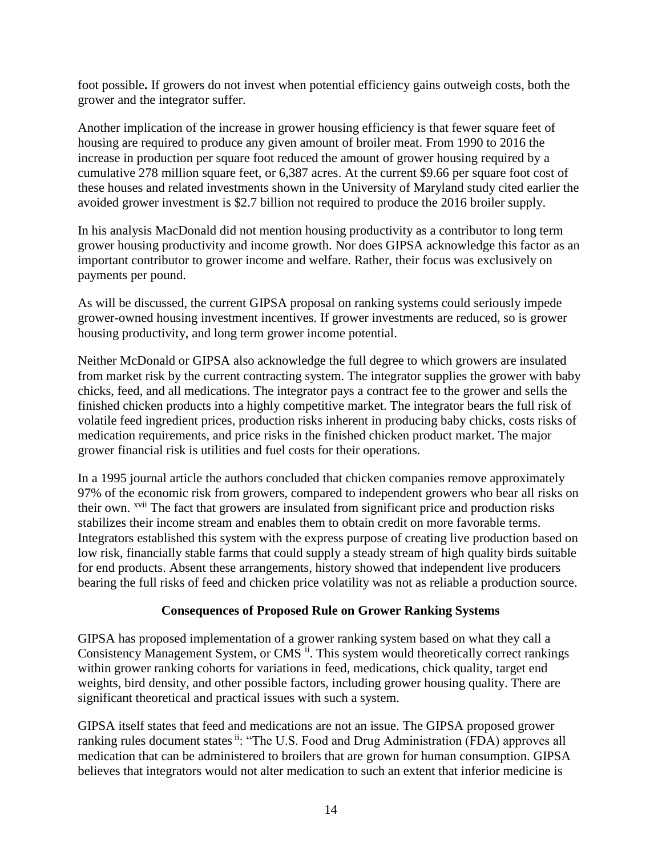foot possible**.** If growers do not invest when potential efficiency gains outweigh costs, both the grower and the integrator suffer.

Another implication of the increase in grower housing efficiency is that fewer square feet of housing are required to produce any given amount of broiler meat. From 1990 to 2016 the increase in production per square foot reduced the amount of grower housing required by a cumulative 278 million square feet, or 6,387 acres. At the current \$9.66 per square foot cost of these houses and related investments shown in the University of Maryland study cited earlier the avoided grower investment is \$2.7 billion not required to produce the 2016 broiler supply.

In his analysis MacDonald did not mention housing productivity as a contributor to long term grower housing productivity and income growth. Nor does GIPSA acknowledge this factor as an important contributor to grower income and welfare. Rather, their focus was exclusively on payments per pound.

As will be discussed, the current GIPSA proposal on ranking systems could seriously impede grower-owned housing investment incentives. If grower investments are reduced, so is grower housing productivity, and long term grower income potential.

Neither McDonald or GIPSA also acknowledge the full degree to which growers are insulated from market risk by the current contracting system. The integrator supplies the grower with baby chicks, feed, and all medications. The integrator pays a contract fee to the grower and sells the finished chicken products into a highly competitive market. The integrator bears the full risk of volatile feed ingredient prices, production risks inherent in producing baby chicks, costs risks of medication requirements, and price risks in the finished chicken product market. The major grower financial risk is utilities and fuel costs for their operations.

In a 1995 journal article the authors concluded that chicken companies remove approximately 97% of the economic risk from growers, compared to independent growers who bear all risks on their own. xvii The fact that growers are insulated from significant price and production risks stabilizes their income stream and enables them to obtain credit on more favorable terms. Integrators established this system with the express purpose of creating live production based on low risk, financially stable farms that could supply a steady stream of high quality birds suitable for end products. Absent these arrangements, history showed that independent live producers bearing the full risks of feed and chicken price volatility was not as reliable a production source.

#### **Consequences of Proposed Rule on Grower Ranking Systems**

GIPSA has proposed implementation of a grower ranking system based on what they call a Consistency Management System, or CMS <sup>ii</sup>. This system would theoretically correct rankings within grower ranking cohorts for variations in feed, medications, chick quality, target end weights, bird density, and other possible factors, including grower housing quality. There are significant theoretical and practical issues with such a system.

GIPSA itself states that feed and medications are not an issue. The GIPSA proposed grower ranking rules document states ii: "The U.S. Food and Drug Administration (FDA) approves all medication that can be administered to broilers that are grown for human consumption. GIPSA believes that integrators would not alter medication to such an extent that inferior medicine is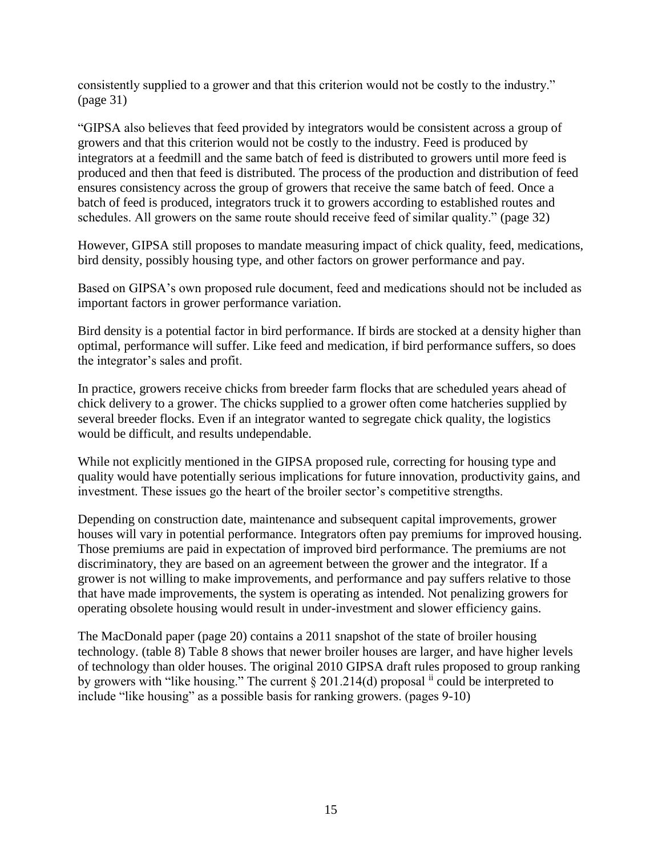consistently supplied to a grower and that this criterion would not be costly to the industry." (page 31)

"GIPSA also believes that feed provided by integrators would be consistent across a group of growers and that this criterion would not be costly to the industry. Feed is produced by integrators at a feedmill and the same batch of feed is distributed to growers until more feed is produced and then that feed is distributed. The process of the production and distribution of feed ensures consistency across the group of growers that receive the same batch of feed. Once a batch of feed is produced, integrators truck it to growers according to established routes and schedules. All growers on the same route should receive feed of similar quality." (page 32)

However, GIPSA still proposes to mandate measuring impact of chick quality, feed, medications, bird density, possibly housing type, and other factors on grower performance and pay.

Based on GIPSA's own proposed rule document, feed and medications should not be included as important factors in grower performance variation.

Bird density is a potential factor in bird performance. If birds are stocked at a density higher than optimal, performance will suffer. Like feed and medication, if bird performance suffers, so does the integrator's sales and profit.

In practice, growers receive chicks from breeder farm flocks that are scheduled years ahead of chick delivery to a grower. The chicks supplied to a grower often come hatcheries supplied by several breeder flocks. Even if an integrator wanted to segregate chick quality, the logistics would be difficult, and results undependable.

While not explicitly mentioned in the GIPSA proposed rule, correcting for housing type and quality would have potentially serious implications for future innovation, productivity gains, and investment. These issues go the heart of the broiler sector's competitive strengths.

Depending on construction date, maintenance and subsequent capital improvements, grower houses will vary in potential performance. Integrators often pay premiums for improved housing. Those premiums are paid in expectation of improved bird performance. The premiums are not discriminatory, they are based on an agreement between the grower and the integrator. If a grower is not willing to make improvements, and performance and pay suffers relative to those that have made improvements, the system is operating as intended. Not penalizing growers for operating obsolete housing would result in under-investment and slower efficiency gains.

The MacDonald paper (page 20) contains a 2011 snapshot of the state of broiler housing technology. (table 8) Table 8 shows that newer broiler houses are larger, and have higher levels of technology than older houses. The original 2010 GIPSA draft rules proposed to group ranking by growers with "like housing." The current  $\S 201.214(d)$  proposal  $\mathbf{u}$  could be interpreted to include "like housing" as a possible basis for ranking growers. (pages 9-10)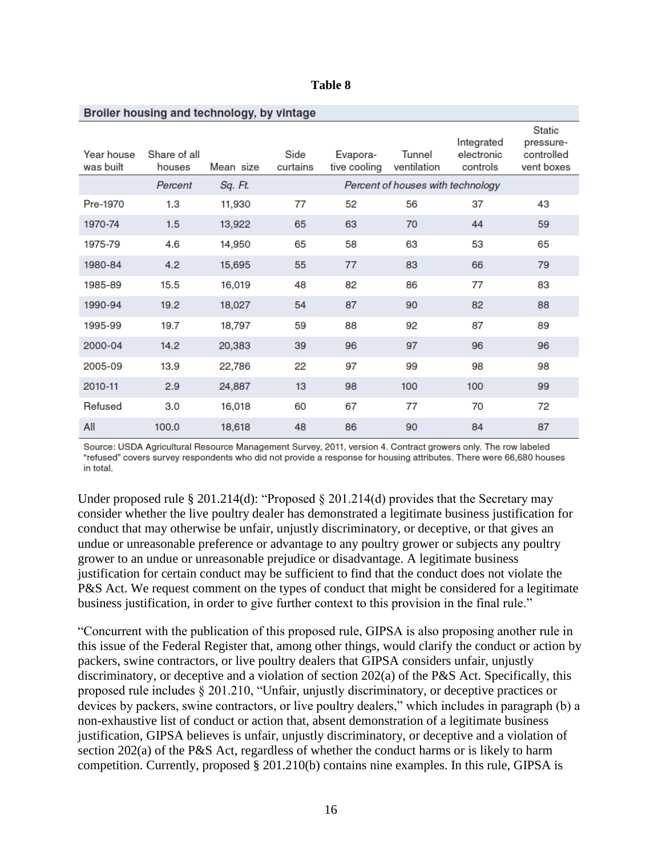| Broiler housing and technology, by vintage |                        |           |                  |                          |                                   |                                      |                                                        |  |  |
|--------------------------------------------|------------------------|-----------|------------------|--------------------------|-----------------------------------|--------------------------------------|--------------------------------------------------------|--|--|
| Year house<br>was built                    | Share of all<br>houses | Mean size | Side<br>curtains | Evapora-<br>tive cooling | <b>Tunnel</b><br>ventilation      | Integrated<br>electronic<br>controls | <b>Static</b><br>pressure-<br>controlled<br>vent boxes |  |  |
|                                            | Percent                | Sq. Ft.   |                  |                          | Percent of houses with technology |                                      |                                                        |  |  |
| Pre-1970                                   | 1.3                    | 11,930    | 77               | 52                       | 56                                | 37                                   | 43                                                     |  |  |
| 1970-74                                    | 1.5                    | 13,922    | 65               | 63                       | 70                                | 44                                   | 59                                                     |  |  |
| 1975-79                                    | 4.6                    | 14,950    | 65               | 58                       | 63                                | 53                                   | 65                                                     |  |  |
| 1980-84                                    | 4.2                    | 15,695    | 55               | 77                       | 83                                | 66                                   | 79                                                     |  |  |
| 1985-89                                    | 15.5                   | 16,019    | 48               | 82                       | 86                                | 77                                   | 83                                                     |  |  |
| 1990-94                                    | 19.2                   | 18,027    | 54               | 87                       | 90                                | 82                                   | 88                                                     |  |  |
| 1995-99                                    | 19.7                   | 18,797    | 59               | 88                       | 92                                | 87                                   | 89                                                     |  |  |
| 2000-04                                    | 14.2                   | 20,383    | 39               | 96                       | 97                                | 96                                   | 96                                                     |  |  |
| 2005-09                                    | 13.9                   | 22,786    | 22               | 97                       | 99                                | 98                                   | 98                                                     |  |  |
| 2010-11                                    | 2.9                    | 24,887    | 13               | 98                       | 100                               | 100                                  | 99                                                     |  |  |
| <b>Refused</b>                             | 3.0                    | 16,018    | 60               | 67                       | 77                                | 70                                   | 72                                                     |  |  |
| All                                        | 100.0                  | 18,618    | 48               | 86                       | 90                                | 84                                   | 87                                                     |  |  |

**Table 8** 

Source: USDA Agricultural Resource Management Survey, 2011, version 4. Contract growers only. The row labeled "refused" covers survey respondents who did not provide a response for housing attributes. There were 66,680 houses in total.

Under proposed rule § 201.214(d): "Proposed § 201.214(d) provides that the Secretary may consider whether the live poultry dealer has demonstrated a legitimate business justification for conduct that may otherwise be unfair, unjustly discriminatory, or deceptive, or that gives an undue or unreasonable preference or advantage to any poultry grower or subjects any poultry grower to an undue or unreasonable prejudice or disadvantage. A legitimate business justification for certain conduct may be sufficient to find that the conduct does not violate the P&S Act. We request comment on the types of conduct that might be considered for a legitimate business justification, in order to give further context to this provision in the final rule."

"Concurrent with the publication of this proposed rule, GIPSA is also proposing another rule in this issue of the Federal Register that, among other things, would clarify the conduct or action by packers, swine contractors, or live poultry dealers that GIPSA considers unfair, unjustly discriminatory, or deceptive and a violation of section 202(a) of the P&S Act. Specifically, this proposed rule includes § 201.210, "Unfair, unjustly discriminatory, or deceptive practices or devices by packers, swine contractors, or live poultry dealers," which includes in paragraph (b) a non-exhaustive list of conduct or action that, absent demonstration of a legitimate business justification, GIPSA believes is unfair, unjustly discriminatory, or deceptive and a violation of section 202(a) of the P&S Act, regardless of whether the conduct harms or is likely to harm competition. Currently, proposed § 201.210(b) contains nine examples. In this rule, GIPSA is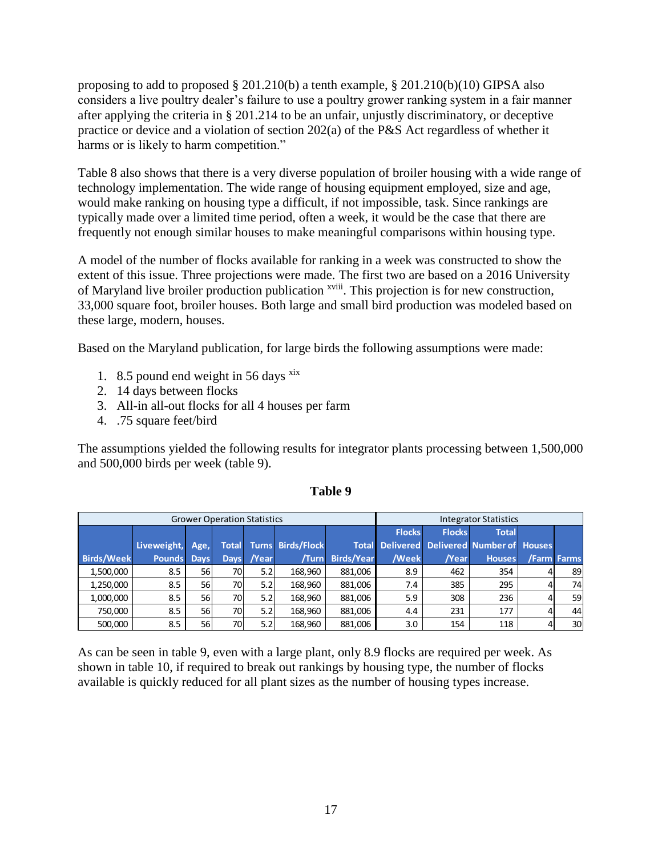proposing to add to proposed § 201.210(b) a tenth example, § 201.210(b)(10) GIPSA also considers a live poultry dealer's failure to use a poultry grower ranking system in a fair manner after applying the criteria in § 201.214 to be an unfair, unjustly discriminatory, or deceptive practice or device and a violation of section 202(a) of the P&S Act regardless of whether it harms or is likely to harm competition."

Table 8 also shows that there is a very diverse population of broiler housing with a wide range of technology implementation. The wide range of housing equipment employed, size and age, would make ranking on housing type a difficult, if not impossible, task. Since rankings are typically made over a limited time period, often a week, it would be the case that there are frequently not enough similar houses to make meaningful comparisons within housing type.

A model of the number of flocks available for ranking in a week was constructed to show the extent of this issue. Three projections were made. The first two are based on a 2016 University of Maryland live broiler production publication <sup>xviii</sup>. This projection is for new construction, 33,000 square foot, broiler houses. Both large and small bird production was modeled based on these large, modern, houses.

Based on the Maryland publication, for large birds the following assumptions were made:

- 1. 8.5 pound end weight in 56 days  $x$ <sup>xix</sup>
- 2. 14 days between flocks
- 3. All-in all-out flocks for all 4 houses per farm
- 4. .75 square feet/bird

The assumptions yielded the following results for integrator plants processing between 1,500,000 and 500,000 birds per week (table 9).

|                   | <b>Grower Operation Statistics</b> |             |     |            |                                |                   |               | <b>Integrator Statistics</b> |                                                   |                 |
|-------------------|------------------------------------|-------------|-----|------------|--------------------------------|-------------------|---------------|------------------------------|---------------------------------------------------|-----------------|
|                   |                                    |             |     |            |                                |                   | <b>Flocks</b> | <b>Flocks</b>                | <b>Total</b>                                      |                 |
|                   | Liveweight,                        | Age,        |     |            | <b>Total Turns Birds/Flock</b> |                   |               |                              | <b>Total Delivered Delivered Number of Houses</b> |                 |
| <b>Birds/Week</b> | <b>Pounds</b>                      | <b>Days</b> |     | Days /Year | /Turn                          | <b>Birds/Year</b> | /Week         | /Year                        | <b>Houses</b>                                     | /Farm Farms     |
| 1,500,000         | 8.5                                | <b>56l</b>  | 70I | 5.2        | 168.960                        | 881.006           | 8.9           | 462                          | 354                                               | 89              |
| 1,250,000         | 8.5                                | <b>56</b>   | 70I | 5.2        | 168.960                        | 881.006           | 7.4           | 385                          | 295                                               | 74              |
| 1,000,000         | 8.5                                | <b>56</b>   | 70  | 5.2        | 168.960                        | 881.006           | 5.9           | 308                          | 236                                               | <b>59</b>       |
| 750.000           | 8.5                                | <b>56</b>   | 70I | 5.2        | 168.960                        | 881.006           | 4.4           | 231                          | 177                                               | 44              |
| 500.000           | 8.5                                | <b>56</b>   | 70  | 5.2        | 168,960                        | 881.006           | 3.0           | 154                          | 118                                               | 30 <sup>1</sup> |

#### **Table 9**

As can be seen in table 9, even with a large plant, only 8.9 flocks are required per week. As shown in table 10, if required to break out rankings by housing type, the number of flocks available is quickly reduced for all plant sizes as the number of housing types increase.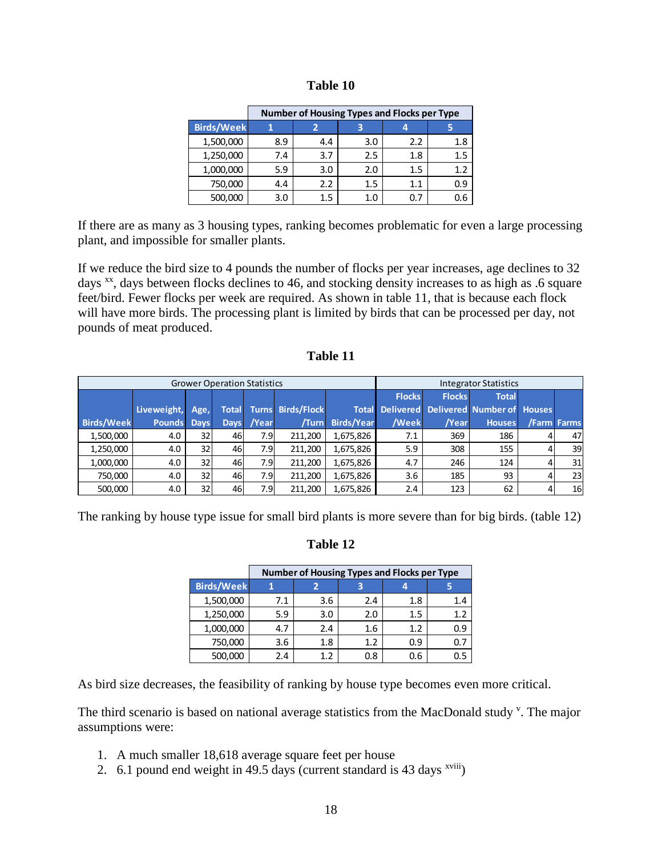| <b>Table 10</b> |  |
|-----------------|--|
|-----------------|--|

|                   | Number of Housing Types and Flocks per Type |         |     |     |     |  |  |  |  |
|-------------------|---------------------------------------------|---------|-----|-----|-----|--|--|--|--|
| <b>Birds/Week</b> |                                             |         |     |     |     |  |  |  |  |
| 1,500,000         | 8.9                                         | 4.4     | 3.0 | 2.2 | 1.8 |  |  |  |  |
| 1,250,000         | 7.4                                         | 3.7     | 2.5 | 1.8 | 1.5 |  |  |  |  |
| 1,000,000         | 5.9                                         | 3.0     | 2.0 | 1.5 | 1.2 |  |  |  |  |
| 750,000           | 4.4                                         | 2.2     | 1.5 | 1.1 | 0.9 |  |  |  |  |
| 500,000           | 3.0                                         | $1.5\,$ | 1.0 |     | 0.6 |  |  |  |  |

If there are as many as 3 housing types, ranking becomes problematic for even a large processing plant, and impossible for smaller plants.

If we reduce the bird size to 4 pounds the number of flocks per year increases, age declines to 32 days <sup>xx</sup>, days between flocks declines to 46, and stocking density increases to as high as .6 square feet/bird. Fewer flocks per week are required. As shown in table 11, that is because each flock will have more birds. The processing plant is limited by birds that can be processed per day, not pounds of meat produced.

| 'able |  |
|-------|--|
|-------|--|

|                   |               |             | <b>Grower Operation Statistics</b> |       |                          | <b>Integrator Statistics</b> |               |               |                                                   |   |                 |
|-------------------|---------------|-------------|------------------------------------|-------|--------------------------|------------------------------|---------------|---------------|---------------------------------------------------|---|-----------------|
|                   |               |             |                                    |       |                          |                              | <b>Flocks</b> | <b>Flocks</b> | <b>Total</b>                                      |   |                 |
|                   | Liveweight,   | Age,        | <b>Total</b>                       |       | <b>Turns Birds/Flock</b> |                              |               |               | <b>Total Delivered Delivered Number of Houses</b> |   |                 |
| <b>Birds/Week</b> | <b>Pounds</b> | <b>Days</b> | <b>Days</b>                        | /Year | /Turn                    | <b>Birds/Year</b>            | /Week         | /Year         | <b>Houses</b>                                     |   | /Farm Farms     |
| 1,500,000         | 4.0           | 32          | 46                                 | 7.9   | 211,200                  | 1,675,826                    | 7.1           | 369           | 186                                               | 4 | 47              |
| 1,250,000         | 4.0           | 32          | 46                                 | 7.9   | 211.200                  | 1,675,826                    | 5.9           | 308           | 155                                               | 4 | 39 <sup>1</sup> |
| 1,000,000         | 4.0           | 32          | 46                                 | 7.9   | 211,200                  | 1,675,826                    | 4.7           | 246           | 124                                               | 4 | 31              |
| 750.000           | 4.0           | 32          | 46                                 | 7.9   | 211.200                  | 1,675,826                    | 3.6           | 185           | 93                                                | 4 | 23 <sub>l</sub> |
| 500,000           | 4.0           | 32          | 46                                 | 7.9   | 211,200                  | 1,675,826                    | 2.4           | 123           | 62                                                |   | 16              |

The ranking by house type issue for small bird plants is more severe than for big birds. (table 12)

## **Table 12**

|                   | Number of Housing Types and Flocks per Type |     |     |     |                  |  |  |  |
|-------------------|---------------------------------------------|-----|-----|-----|------------------|--|--|--|
| <b>Birds/Week</b> |                                             |     | З   |     |                  |  |  |  |
| 1,500,000         | 7.1                                         | 3.6 | 2.4 | 1.8 | $1.4\phantom{0}$ |  |  |  |
| 1,250,000         | 5.9                                         | 3.0 | 2.0 | 1.5 | 1.2              |  |  |  |
| 1,000,000         | 4.7                                         | 2.4 | 1.6 | 1.2 | 0.9              |  |  |  |
| 750,000           | 3.6                                         | 1.8 | 1.2 | 0.9 |                  |  |  |  |
| 500,000           | 2.4                                         | 1.2 | 0.8 | 0.6 |                  |  |  |  |

As bird size decreases, the feasibility of ranking by house type becomes even more critical.

The third scenario is based on national average statistics from the MacDonald study<sup>v</sup>. The major assumptions were:

- 1. A much smaller 18,618 average square feet per house
- 2. 6.1 pound end weight in 49.5 days (current standard is 43 days  $x$ <sup>viii</sup>)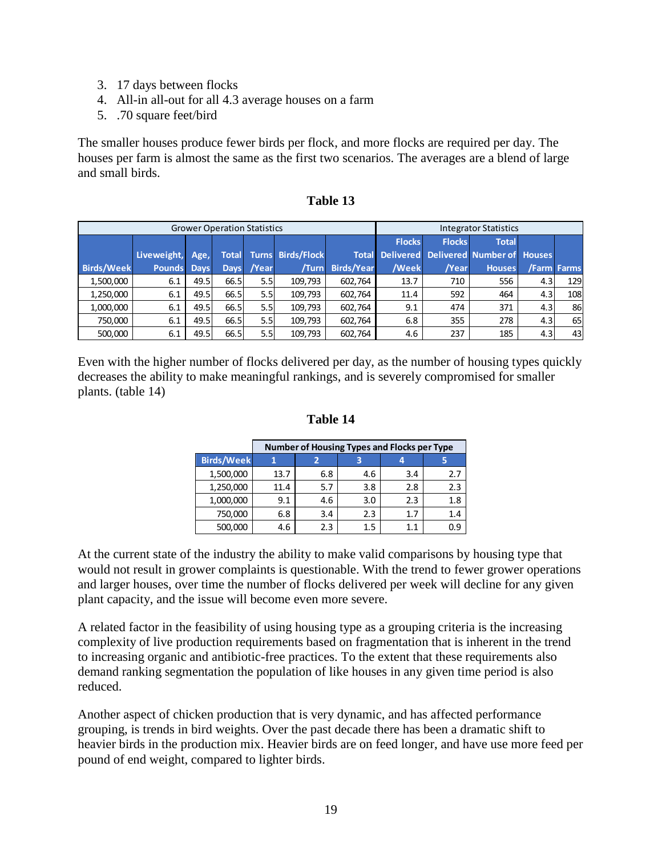- 3. 17 days between flocks
- 4. All-in all-out for all 4.3 average houses on a farm
- 5. .70 square feet/bird

The smaller houses produce fewer birds per flock, and more flocks are required per day. The houses per farm is almost the same as the first two scenarios. The averages are a blend of large and small birds.

|                   |               |             | <b>Grower Operation Statistics</b> |            |                                | <b>Integrator Statistics</b> |               |               |                                                   |                  |                 |
|-------------------|---------------|-------------|------------------------------------|------------|--------------------------------|------------------------------|---------------|---------------|---------------------------------------------------|------------------|-----------------|
|                   |               |             |                                    |            |                                |                              | <b>Flocks</b> | <b>Flocks</b> | <b>Total</b>                                      |                  |                 |
|                   | Liveweight,   | Age,        |                                    |            | <b>Total Turns Birds/Flock</b> |                              |               |               | <b>Total Delivered Delivered Number of Houses</b> |                  |                 |
| <b>Birds/Week</b> | <b>Pounds</b> | <b>Days</b> |                                    | Days /Year | /Turn                          | <b>Birds/Year</b>            | /Week         | /Year         | <b>Houses</b>                                     |                  | /Farm Farms     |
| 1,500,000         | 6.1           | 49.5        | 66.5                               | 5.5        | 109,793                        | 602.764                      | 13.7          | 710           | 556                                               | 4.3 <sub>l</sub> | 129             |
| 1,250,000         | 6.1           | 49.5        | 66.5                               | 5.5        | 109,793                        | 602,764                      | 11.4          | 592           | 464                                               | 4.3 <sub>l</sub> | 108             |
| 1,000,000         | 6.1           | 49.5        | 66.5                               | 5.5        | 109,793                        | 602,764                      | 9.1           | 474           | 371                                               | 4.3              | 86              |
| 750,000           | 6.1           | 49.5        | 66.5                               | 5.5        | 109,793                        | 602,764                      | 6.8           | 355           | 278                                               | 4.3 <sub>l</sub> | 65 <sup> </sup> |
| 500,000           | 6.1           | 49.5        | 66.5                               | 5.5        | 109,793                        | 602,764                      | 4.6           | 237           | 185                                               | 4.3              | 43              |

| <b>l'able</b> |
|---------------|
|---------------|

Even with the higher number of flocks delivered per day, as the number of housing types quickly decreases the ability to make meaningful rankings, and is severely compromised for smaller plants. (table 14)

### **Table 14**

|                   | Number of Housing Types and Flocks per Type |     |     |     |     |  |  |
|-------------------|---------------------------------------------|-----|-----|-----|-----|--|--|
| <b>Birds/Week</b> |                                             |     |     |     |     |  |  |
| 1,500,000         | 13.7                                        | 6.8 | 4.6 | 3.4 | 2.7 |  |  |
| 1,250,000         | 11.4                                        | 5.7 | 3.8 | 2.8 | 2.3 |  |  |
| 1,000,000         | 9.1                                         | 4.6 | 3.0 | 2.3 | 1.8 |  |  |
| 750,000           | 6.8                                         | 3.4 | 2.3 | 1.7 | 1.4 |  |  |
| 500,000           | 4.6                                         | 2.3 | 1.5 | 1.1 | 0.9 |  |  |

At the current state of the industry the ability to make valid comparisons by housing type that would not result in grower complaints is questionable. With the trend to fewer grower operations and larger houses, over time the number of flocks delivered per week will decline for any given plant capacity, and the issue will become even more severe.

A related factor in the feasibility of using housing type as a grouping criteria is the increasing complexity of live production requirements based on fragmentation that is inherent in the trend to increasing organic and antibiotic-free practices. To the extent that these requirements also demand ranking segmentation the population of like houses in any given time period is also reduced.

Another aspect of chicken production that is very dynamic, and has affected performance grouping, is trends in bird weights. Over the past decade there has been a dramatic shift to heavier birds in the production mix. Heavier birds are on feed longer, and have use more feed per pound of end weight, compared to lighter birds.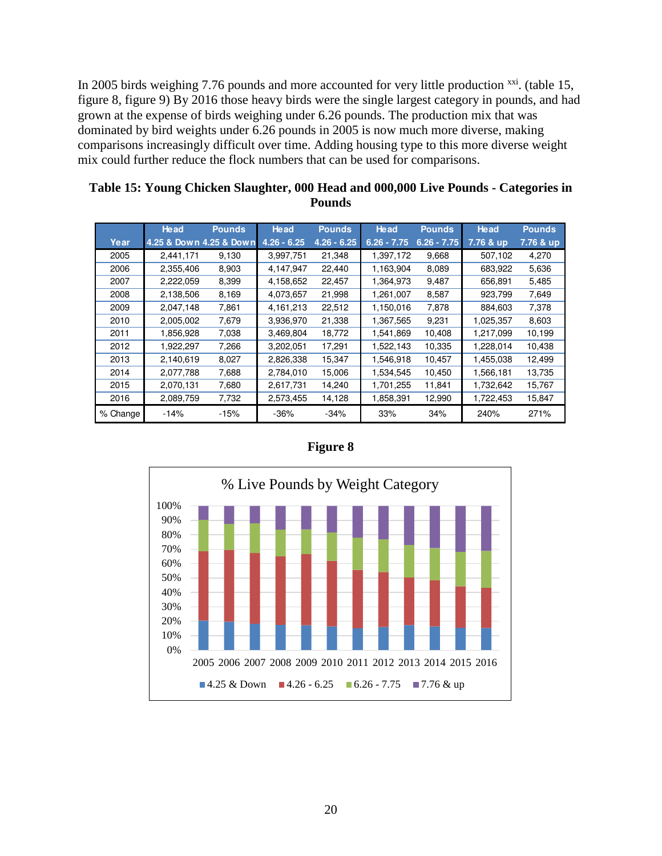In 2005 birds weighing 7.76 pounds and more accounted for very little production  $\frac{xxi}{x}$ . (table 15, figure 8, figure 9) By 2016 those heavy birds were the single largest category in pounds, and had grown at the expense of birds weighing under 6.26 pounds. The production mix that was dominated by bird weights under 6.26 pounds in 2005 is now much more diverse, making comparisons increasingly difficult over time. Adding housing type to this more diverse weight mix could further reduce the flock numbers that can be used for comparisons.

|          | <b>Head</b>             | <b>Pounds</b> | <b>Head</b>   | <b>Pounds</b> | <b>Head</b>   | <b>Pounds</b> | <b>Head</b> | <b>Pounds</b> |
|----------|-------------------------|---------------|---------------|---------------|---------------|---------------|-------------|---------------|
| Year     | 4.25 & Down 4.25 & Down |               | $4.26 - 6.25$ | $4.26 - 6.25$ | $6.26 - 7.75$ | $6.26 - 7.75$ | 7.76 & up   | 7.76 & up     |
| 2005     | 2,441,171               | 9,130         | 3.997.751     | 21,348        | 1,397,172     | 9,668         | 507,102     | 4,270         |
| 2006     | 2,355,406               | 8,903         | 4,147,947     | 22,440        | 1,163,904     | 8,089         | 683,922     | 5,636         |
| 2007     | 2,222,059               | 8,399         | 4,158,652     | 22,457        | 1,364,973     | 9,487         | 656,891     | 5,485         |
| 2008     | 2,138,506               | 8,169         | 4,073,657     | 21,998        | 1,261,007     | 8,587         | 923,799     | 7,649         |
| 2009     | 2,047,148               | 7,861         | 4,161,213     | 22,512        | 1,150,016     | 7,878         | 884,603     | 7,378         |
| 2010     | 2,005,002               | 7,679         | 3,936,970     | 21,338        | 1,367,565     | 9,231         | 1,025,357   | 8,603         |
| 2011     | 1,856,928               | 7,038         | 3,469,804     | 18,772        | 1,541,869     | 10,408        | 1,217,099   | 10,199        |
| 2012     | 1,922,297               | 7,266         | 3,202,051     | 17,291        | 1.522,143     | 10,335        | 1,228,014   | 10,438        |
| 2013     | 2,140,619               | 8,027         | 2,826,338     | 15,347        | 1,546,918     | 10,457        | 1,455,038   | 12,499        |
| 2014     | 2,077,788               | 7,688         | 2,784,010     | 15,006        | 1,534,545     | 10,450        | 1,566,181   | 13,735        |
| 2015     | 2,070,131               | 7,680         | 2,617,731     | 14,240        | 1,701,255     | 11,841        | 1,732,642   | 15,767        |
| 2016     | 2,089,759               | 7,732         | 2,573,455     | 14,128        | 1,858,391     | 12,990        | 1,722,453   | 15,847        |
| % Change | $-14%$                  | $-15%$        | $-36%$        | $-34%$        | 33%           | 34%           | 240%        | 271%          |

| Table 15: Young Chicken Slaughter, 000 Head and 000,000 Live Pounds - Categories in |
|-------------------------------------------------------------------------------------|
| <b>Pounds</b>                                                                       |



#### **Figure 8**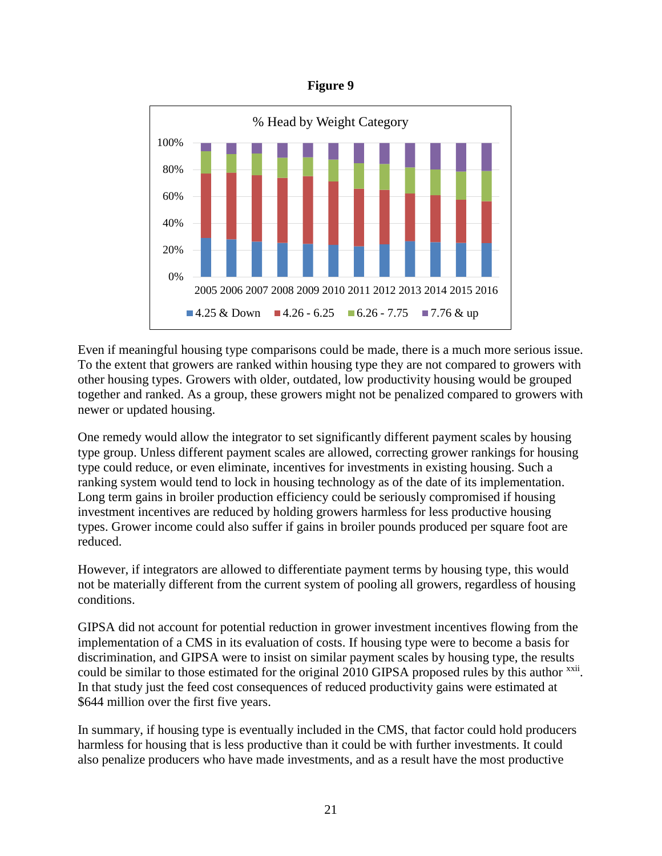



Even if meaningful housing type comparisons could be made, there is a much more serious issue. To the extent that growers are ranked within housing type they are not compared to growers with other housing types. Growers with older, outdated, low productivity housing would be grouped together and ranked. As a group, these growers might not be penalized compared to growers with newer or updated housing.

One remedy would allow the integrator to set significantly different payment scales by housing type group. Unless different payment scales are allowed, correcting grower rankings for housing type could reduce, or even eliminate, incentives for investments in existing housing. Such a ranking system would tend to lock in housing technology as of the date of its implementation. Long term gains in broiler production efficiency could be seriously compromised if housing investment incentives are reduced by holding growers harmless for less productive housing types. Grower income could also suffer if gains in broiler pounds produced per square foot are reduced.

However, if integrators are allowed to differentiate payment terms by housing type, this would not be materially different from the current system of pooling all growers, regardless of housing conditions.

GIPSA did not account for potential reduction in grower investment incentives flowing from the implementation of a CMS in its evaluation of costs. If housing type were to become a basis for discrimination, and GIPSA were to insist on similar payment scales by housing type, the results could be similar to those estimated for the original 2010 GIPSA proposed rules by this author xxii. In that study just the feed cost consequences of reduced productivity gains were estimated at \$644 million over the first five years.

In summary, if housing type is eventually included in the CMS, that factor could hold producers harmless for housing that is less productive than it could be with further investments. It could also penalize producers who have made investments, and as a result have the most productive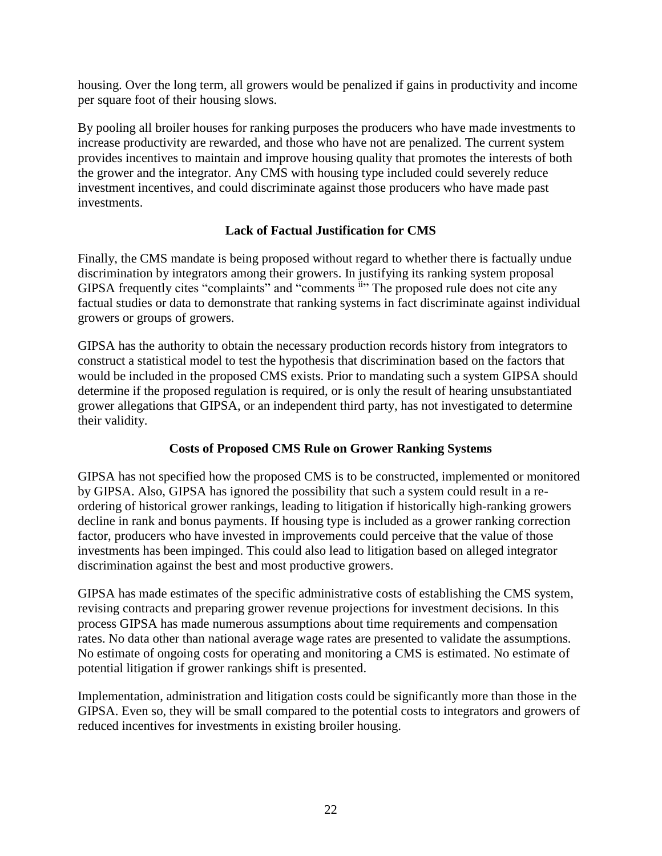housing. Over the long term, all growers would be penalized if gains in productivity and income per square foot of their housing slows.

By pooling all broiler houses for ranking purposes the producers who have made investments to increase productivity are rewarded, and those who have not are penalized. The current system provides incentives to maintain and improve housing quality that promotes the interests of both the grower and the integrator. Any CMS with housing type included could severely reduce investment incentives, and could discriminate against those producers who have made past investments.

## **Lack of Factual Justification for CMS**

Finally, the CMS mandate is being proposed without regard to whether there is factually undue discrimination by integrators among their growers. In justifying its ranking system proposal GIPSA frequently cites "complaints" and "comments ii" The proposed rule does not cite any factual studies or data to demonstrate that ranking systems in fact discriminate against individual growers or groups of growers.

GIPSA has the authority to obtain the necessary production records history from integrators to construct a statistical model to test the hypothesis that discrimination based on the factors that would be included in the proposed CMS exists. Prior to mandating such a system GIPSA should determine if the proposed regulation is required, or is only the result of hearing unsubstantiated grower allegations that GIPSA, or an independent third party, has not investigated to determine their validity.

## **Costs of Proposed CMS Rule on Grower Ranking Systems**

GIPSA has not specified how the proposed CMS is to be constructed, implemented or monitored by GIPSA. Also, GIPSA has ignored the possibility that such a system could result in a reordering of historical grower rankings, leading to litigation if historically high-ranking growers decline in rank and bonus payments. If housing type is included as a grower ranking correction factor, producers who have invested in improvements could perceive that the value of those investments has been impinged. This could also lead to litigation based on alleged integrator discrimination against the best and most productive growers.

GIPSA has made estimates of the specific administrative costs of establishing the CMS system, revising contracts and preparing grower revenue projections for investment decisions. In this process GIPSA has made numerous assumptions about time requirements and compensation rates. No data other than national average wage rates are presented to validate the assumptions. No estimate of ongoing costs for operating and monitoring a CMS is estimated. No estimate of potential litigation if grower rankings shift is presented.

Implementation, administration and litigation costs could be significantly more than those in the GIPSA. Even so, they will be small compared to the potential costs to integrators and growers of reduced incentives for investments in existing broiler housing.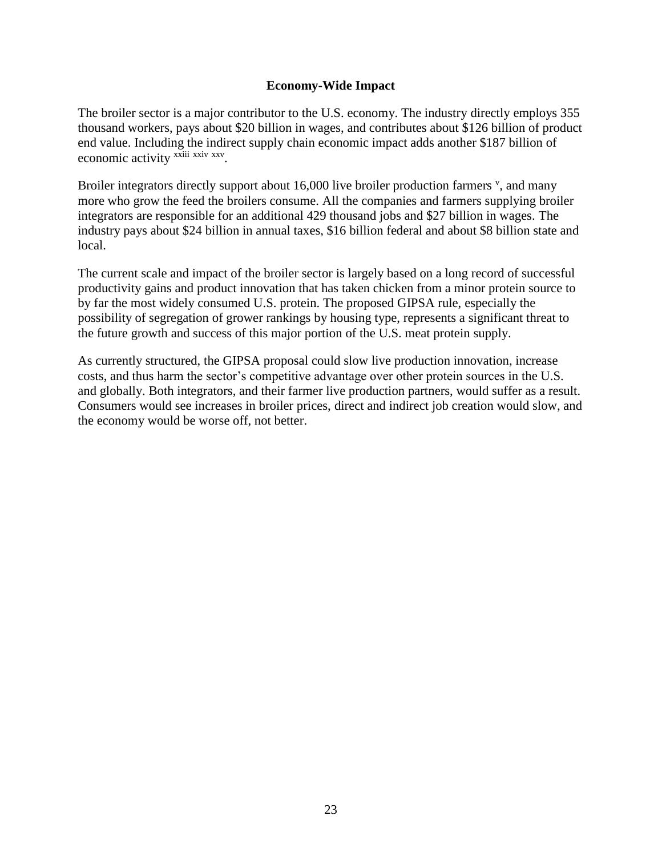#### **Economy-Wide Impact**

The broiler sector is a major contributor to the U.S. economy. The industry directly employs 355 thousand workers, pays about \$20 billion in wages, and contributes about \$126 billion of product end value. Including the indirect supply chain economic impact adds another \$187 billion of economic activity <sup>xxiii xxiv</sup> xxv.

Broiler integrators directly support about 16,000 live broiler production farmers <sup>v</sup>, and many more who grow the feed the broilers consume. All the companies and farmers supplying broiler integrators are responsible for an additional 429 thousand jobs and \$27 billion in wages. The industry pays about \$24 billion in annual taxes, \$16 billion federal and about \$8 billion state and local.

The current scale and impact of the broiler sector is largely based on a long record of successful productivity gains and product innovation that has taken chicken from a minor protein source to by far the most widely consumed U.S. protein. The proposed GIPSA rule, especially the possibility of segregation of grower rankings by housing type, represents a significant threat to the future growth and success of this major portion of the U.S. meat protein supply.

As currently structured, the GIPSA proposal could slow live production innovation, increase costs, and thus harm the sector's competitive advantage over other protein sources in the U.S. and globally. Both integrators, and their farmer live production partners, would suffer as a result. Consumers would see increases in broiler prices, direct and indirect job creation would slow, and the economy would be worse off, not better.